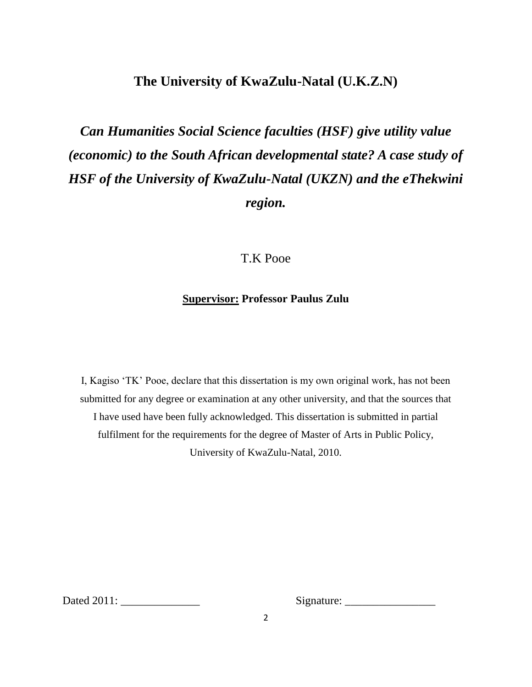# **The University of KwaZulu-Natal (U.K.Z.N)**

*Can Humanities Social Science faculties (HSF) give utility value (economic) to the South African developmental state? A case study of HSF of the University of KwaZulu-Natal (UKZN) and the eThekwini region.*

# T.K Pooe

# **Supervisor: Professor Paulus Zulu**

I, Kagiso "TK" Pooe, declare that this dissertation is my own original work, has not been submitted for any degree or examination at any other university, and that the sources that I have used have been fully acknowledged. This dissertation is submitted in partial fulfilment for the requirements for the degree of Master of Arts in Public Policy, University of KwaZulu-Natal, 2010.

Dated 2011: \_\_\_\_\_\_\_\_\_\_\_\_\_\_ Signature: \_\_\_\_\_\_\_\_\_\_\_\_\_\_\_\_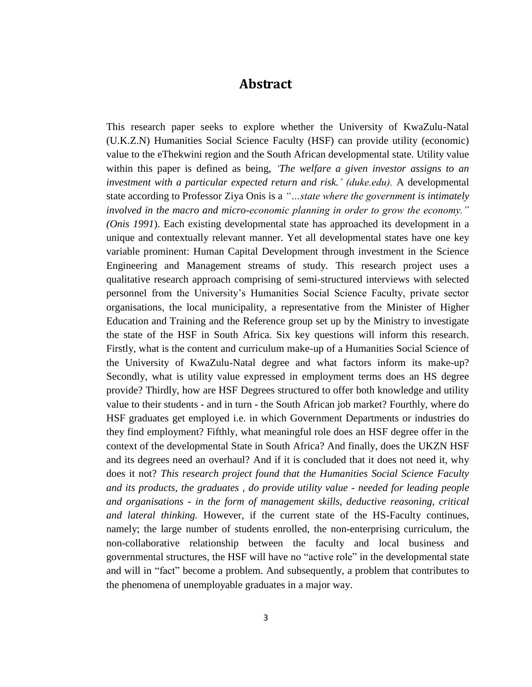# **Abstract**

This research paper seeks to explore whether the University of KwaZulu-Natal (U.K.Z.N) Humanities Social Science Faculty (HSF) can provide utility (economic) value to the eThekwini region and the South African developmental state. Utility value within this paper is defined as being, *"The welfare a given investor assigns to an investment with a particular expected return and risk." (duke.edu).* A developmental state according to Professor Ziya Onis is a *"…state where the government is intimately involved in the macro and micro-economic planning in order to grow the economy." (Onis 1991*). Each existing developmental state has approached its development in a unique and contextually relevant manner. Yet all developmental states have one key variable prominent: Human Capital Development through investment in the Science Engineering and Management streams of study. This research project uses a qualitative research approach comprising of semi-structured interviews with selected personnel from the University"s Humanities Social Science Faculty, private sector organisations, the local municipality, a representative from the Minister of Higher Education and Training and the Reference group set up by the Ministry to investigate the state of the HSF in South Africa. Six key questions will inform this research. Firstly, what is the content and curriculum make-up of a Humanities Social Science of the University of KwaZulu-Natal degree and what factors inform its make-up? Secondly, what is utility value expressed in employment terms does an HS degree provide? Thirdly, how are HSF Degrees structured to offer both knowledge and utility value to their students - and in turn - the South African job market? Fourthly, where do HSF graduates get employed i.e. in which Government Departments or industries do they find employment? Fifthly, what meaningful role does an HSF degree offer in the context of the developmental State in South Africa? And finally, does the UKZN HSF and its degrees need an overhaul? And if it is concluded that it does not need it, why does it not? *This research project found that the Humanities Social Science Faculty and its products, the graduates , do provide utility value - needed for leading people and organisations - in the form of management skills, deductive reasoning, critical and lateral thinking.* However, if the current state of the HS-Faculty continues, namely; the large number of students enrolled, the non-enterprising curriculum, the non-collaborative relationship between the faculty and local business and governmental structures, the HSF will have no "active role" in the developmental state and will in "fact" become a problem. And subsequently, a problem that contributes to the phenomena of unemployable graduates in a major way.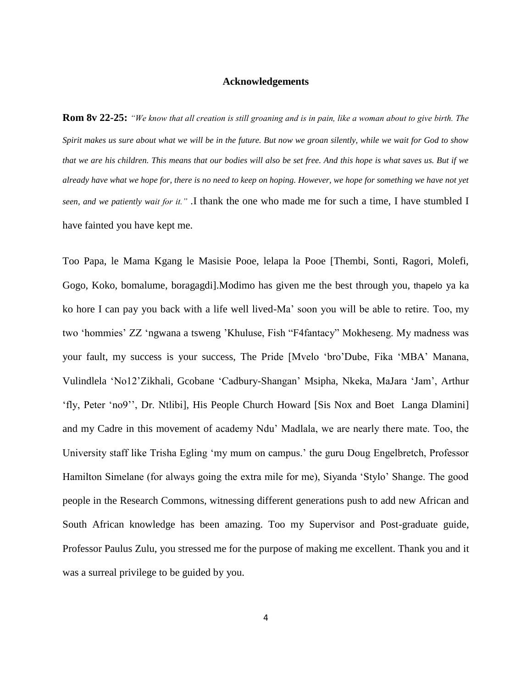#### **Acknowledgements**

**Rom 8v 22-25:** *"We know that all creation is still groaning and is in pain, like a woman about to give birth. The Spirit makes us sure about what we will be in the future. But now we groan silently, while we wait for God to show that we are his children. This means that our bodies will also be set free. And this hope is what saves us. But if we already have what we hope for, there is no need to keep on hoping. However, we hope for something we have not yet seen, and we patiently wait for it." .*I thank the one who made me for such a time, I have stumbled I have fainted you have kept me.

Too Papa, le Mama Kgang le Masisie Pooe, lelapa la Pooe [Thembi, Sonti, Ragori, Molefi, Gogo, Koko, bomalume, boragagdi].Modimo has given me the best through you, thapelo ya ka ko hore I can pay you back with a life well lived-Ma" soon you will be able to retire. Too, my two "hommies" ZZ "ngwana a tsweng "Khuluse, Fish "F4fantacy" Mokheseng. My madness was your fault, my success is your success, The Pride [Mvelo "bro"Dube, Fika "MBA" Manana, Vulindlela "No12"Zikhali, Gcobane "Cadbury-Shangan" Msipha, Nkeka, MaJara "Jam", Arthur "fly, Peter "no9"", Dr. Ntlibi], His People Church Howard [Sis Nox and Boet Langa Dlamini] and my Cadre in this movement of academy Ndu" Madlala, we are nearly there mate. Too, the University staff like Trisha Egling "my mum on campus." the guru Doug Engelbretch, Professor Hamilton Simelane (for always going the extra mile for me), Siyanda "Stylo" Shange. The good people in the Research Commons, witnessing different generations push to add new African and South African knowledge has been amazing. Too my Supervisor and Post-graduate guide, Professor Paulus Zulu, you stressed me for the purpose of making me excellent. Thank you and it was a surreal privilege to be guided by you.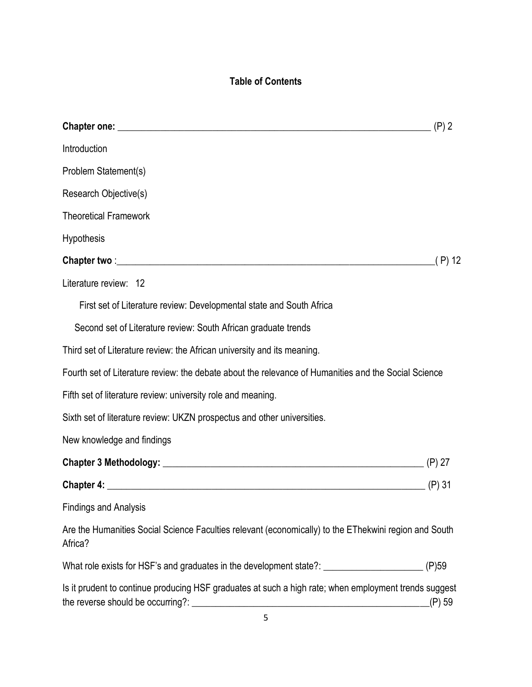# **Table of Contents**

| Introduction                                                                                                     |        |
|------------------------------------------------------------------------------------------------------------------|--------|
| Problem Statement(s)                                                                                             |        |
| Research Objective(s)                                                                                            |        |
| <b>Theoretical Framework</b>                                                                                     |        |
| Hypothesis                                                                                                       |        |
|                                                                                                                  | (P) 12 |
| Literature review: 12                                                                                            |        |
| First set of Literature review: Developmental state and South Africa                                             |        |
| Second set of Literature review: South African graduate trends                                                   |        |
| Third set of Literature review: the African university and its meaning.                                          |        |
| Fourth set of Literature review: the debate about the relevance of Humanities and the Social Science             |        |
| Fifth set of literature review: university role and meaning.                                                     |        |
| Sixth set of literature review: UKZN prospectus and other universities.                                          |        |
| New knowledge and findings                                                                                       |        |
|                                                                                                                  |        |
| <b>Chapter 4:</b> (P) 31                                                                                         |        |
| <b>Findings and Analysis</b>                                                                                     |        |
| Are the Humanities Social Science Faculties relevant (economically) to the EThekwini region and South<br>Africa? |        |
| What role exists for HSF's and graduates in the development state?: ____________________                         | (P)59  |
| Is it prudent to continue producing HSF graduates at such a high rate; when employment trends suggest            | (P) 59 |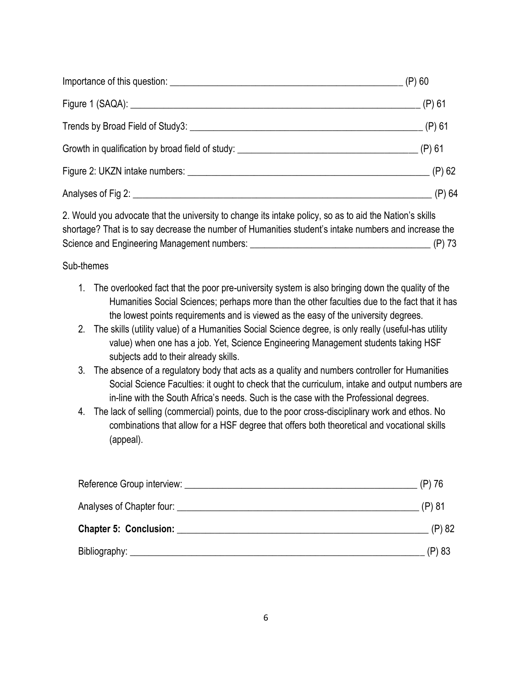|                                                                                   | $\equiv$ (P) 60 |
|-----------------------------------------------------------------------------------|-----------------|
|                                                                                   |                 |
|                                                                                   |                 |
| Growth in qualification by broad field of study: ________________________________ | $(P)$ 61        |
|                                                                                   |                 |
|                                                                                   | $(P)$ 64        |

2. Would you advocate that the university to change its intake policy, so as to aid the Nation's skills shortage? That is to say decrease the number of Humanities student's intake numbers and increase the Science and Engineering Management numbers: \_\_\_\_\_\_\_\_\_\_\_\_\_\_\_\_\_\_\_\_\_\_\_\_\_\_\_\_\_\_\_\_\_\_\_\_\_\_ (P) 73

# Sub-themes

- 1. The overlooked fact that the poor pre-university system is also bringing down the quality of the Humanities Social Sciences; perhaps more than the other faculties due to the fact that it has the lowest points requirements and is viewed as the easy of the university degrees.
- 2. The skills (utility value) of a Humanities Social Science degree, is only really (useful-has utility value) when one has a job. Yet, Science Engineering Management students taking HSF subjects add to their already skills.
- 3. The absence of a regulatory body that acts as a quality and numbers controller for Humanities Social Science Faculties: it ought to check that the curriculum, intake and output numbers are in-line with the South Africa's needs. Such is the case with the Professional degrees.
- 4. The lack of selling (commercial) points, due to the poor cross-disciplinary work and ethos. No combinations that allow for a HSF degree that offers both theoretical and vocational skills (appeal).

| Reference Group interview: Network and the contract of the contract of the contract of the contract of the contract of the contract of the contract of the contract of the contract of the contract of the contract of the con | $(P)$ 76 |
|--------------------------------------------------------------------------------------------------------------------------------------------------------------------------------------------------------------------------------|----------|
| Analyses of Chapter four:                                                                                                                                                                                                      | (P) 81   |
| Chapter 5: Conclusion: National Chapter 3: National Chapter 3: National Chapter 3: National Chapter 3: National Chapter 3: National Chapter 3: National Chapter 3: National Chapter 3: National Chapter 3: National Chapter 3: | (P) 82   |
|                                                                                                                                                                                                                                | (P) 83   |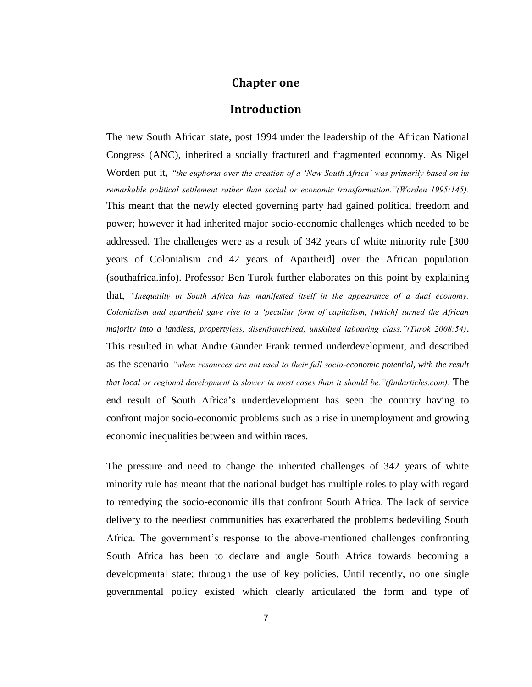# **Chapter one**

# **Introduction**

The new South African state, post 1994 under the leadership of the African National Congress (ANC), inherited a socially fractured and fragmented economy. As Nigel Worden put it, *"the euphoria over the creation of a "New South Africa" was primarily based on its remarkable political settlement rather than social or economic transformation."(Worden 1995:145).*  This meant that the newly elected governing party had gained political freedom and power; however it had inherited major socio-economic challenges which needed to be addressed. The challenges were as a result of 342 years of white minority rule [300 years of Colonialism and 42 years of Apartheid] over the African population (southafrica.info). Professor Ben Turok further elaborates on this point by explaining that, *"Inequality in South Africa has manifested itself in the appearance of a dual economy. Colonialism and apartheid gave rise to a "peculiar form of capitalism, [which] turned the African majority into a landless, propertyless, disenfranchised, unskilled labouring class."(Turok 2008:54)*. This resulted in what Andre Gunder Frank termed underdevelopment, and described as the scenario *"when resources are not used to their full socio-economic potential, with the result that local or regional development is slower in most cases than it should be."(findarticles.com).* The end result of South Africa"s underdevelopment has seen the country having to confront major socio-economic problems such as a rise in unemployment and growing economic inequalities between and within races.

The pressure and need to change the inherited challenges of 342 years of white minority rule has meant that the national budget has multiple roles to play with regard to remedying the socio-economic ills that confront South Africa. The lack of service delivery to the neediest communities has exacerbated the problems bedeviling South Africa. The government"s response to the above-mentioned challenges confronting South Africa has been to declare and angle South Africa towards becoming a developmental state; through the use of key policies. Until recently, no one single governmental policy existed which clearly articulated the form and type of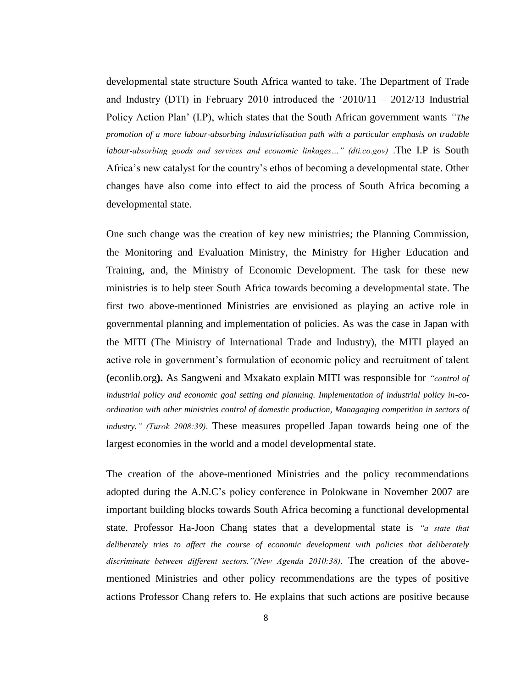developmental state structure South Africa wanted to take. The Department of Trade and Industry (DTI) in February 2010 introduced the "2010/11 – 2012/13 Industrial Policy Action Plan" (I.P), which states that the South African government wants *"The promotion of a more labour-absorbing industrialisation path with a particular emphasis on tradable labour-absorbing goods and services and economic linkages…" (dti.co.gov)* .The I.P is South Africa"s new catalyst for the country"s ethos of becoming a developmental state. Other changes have also come into effect to aid the process of South Africa becoming a developmental state.

One such change was the creation of key new ministries; the Planning Commission, the Monitoring and Evaluation Ministry, the Ministry for Higher Education and Training, and, the Ministry of Economic Development. The task for these new ministries is to help steer South Africa towards becoming a developmental state. The first two above-mentioned Ministries are envisioned as playing an active role in governmental planning and implementation of policies. As was the case in Japan with the MITI (The Ministry of International Trade and Industry), the MITI played an active role in government"s formulation of economic policy and recruitment of talent **(**econlib.org**).** As Sangweni and Mxakato explain MITI was responsible for *"control of industrial policy and economic goal setting and planning. Implementation of industrial policy in-coordination with other ministries control of domestic production, Managaging competition in sectors of industry." (Turok 2008:39)*. These measures propelled Japan towards being one of the largest economies in the world and a model developmental state.

The creation of the above-mentioned Ministries and the policy recommendations adopted during the A.N.C"s policy conference in Polokwane in November 2007 are important building blocks towards South Africa becoming a functional developmental state. Professor Ha-Joon Chang states that a developmental state is *"a state that*  deliberately tries to affect the course of economic development with policies that deliberately *discriminate between different sectors."(New Agenda 2010:38)*. The creation of the abovementioned Ministries and other policy recommendations are the types of positive actions Professor Chang refers to. He explains that such actions are positive because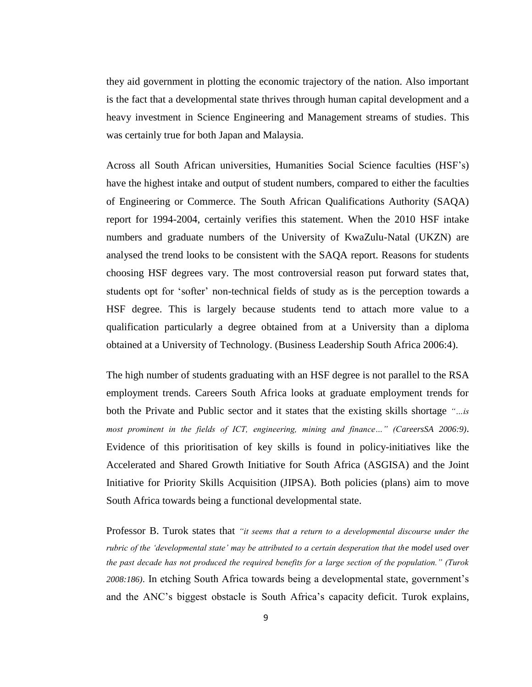they aid government in plotting the economic trajectory of the nation. Also important is the fact that a developmental state thrives through human capital development and a heavy investment in Science Engineering and Management streams of studies. This was certainly true for both Japan and Malaysia.

Across all South African universities, Humanities Social Science faculties (HSF"s) have the highest intake and output of student numbers, compared to either the faculties of Engineering or Commerce. The South African Qualifications Authority (SAQA) report for 1994-2004, certainly verifies this statement. When the 2010 HSF intake numbers and graduate numbers of the University of KwaZulu-Natal (UKZN) are analysed the trend looks to be consistent with the SAQA report. Reasons for students choosing HSF degrees vary. The most controversial reason put forward states that, students opt for "softer" non-technical fields of study as is the perception towards a HSF degree. This is largely because students tend to attach more value to a qualification particularly a degree obtained from at a University than a diploma obtained at a University of Technology. (Business Leadership South Africa 2006:4).

The high number of students graduating with an HSF degree is not parallel to the RSA employment trends. Careers South Africa looks at graduate employment trends for both the Private and Public sector and it states that the existing skills shortage *"…is most prominent in the fields of ICT, engineering, mining and finance…" (CareersSA 2006:9)*. Evidence of this prioritisation of key skills is found in policy-initiatives like the Accelerated and Shared Growth Initiative for South Africa (ASGISA) and the Joint Initiative for Priority Skills Acquisition (JIPSA). Both policies (plans) aim to move South Africa towards being a functional developmental state.

Professor B. Turok states that *"it seems that a return to a developmental discourse under the rubric of the "developmental state" may be attributed to a certain desperation that the model used over the past decade has not produced the required benefits for a large section of the population." (Turok 2008:186)*. In etching South Africa towards being a developmental state, government"s and the ANC"s biggest obstacle is South Africa"s capacity deficit. Turok explains,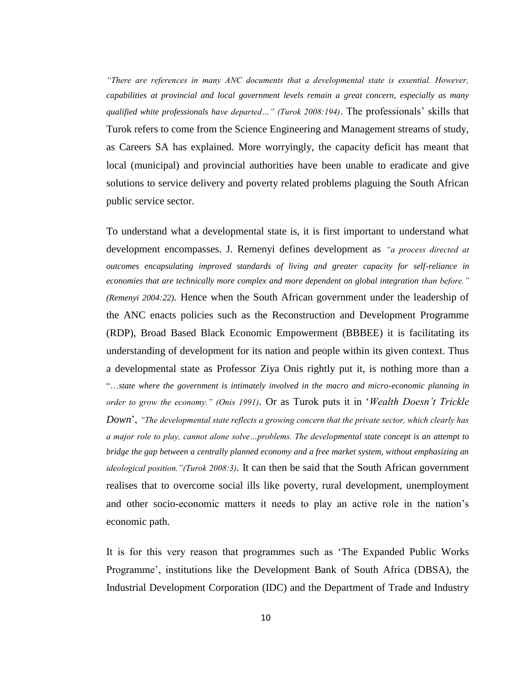*"There are references in many ANC documents that a developmental state is essential. However, capabilities at provincial and local government levels remain a great concern, especially as many qualified white professionals have departed…" (Turok 2008:194)*. The professionals" skills that Turok refers to come from the Science Engineering and Management streams of study, as Careers SA has explained. More worryingly, the capacity deficit has meant that local (municipal) and provincial authorities have been unable to eradicate and give solutions to service delivery and poverty related problems plaguing the South African public service sector.

To understand what a developmental state is, it is first important to understand what development encompasses. J. Remenyi defines development as *"a process directed at outcomes encapsulating improved standards of living and greater capacity for self-reliance in economies that are technically more complex and more dependent on global integration than before." (Remenyi 2004:22).* Hence when the South African government under the leadership of the ANC enacts policies such as the Reconstruction and Development Programme (RDP), Broad Based Black Economic Empowerment (BBBEE) it is facilitating its understanding of development for its nation and people within its given context. Thus a developmental state as Professor Ziya Onis rightly put it, is nothing more than a "…*state where the government is intimately involved in the macro and micro-economic planning in order to grow the economy." (Onis 1991).* Or as Turok puts it in "*Wealth Doesn"t Trickle Down*", *"The developmental state reflects a growing concern that the private sector, which clearly has a major role to play, cannot alone solve…problems. The developmental state concept is an attempt to bridge the gap between a centrally planned economy and a free market system, without emphasizing an ideological position."(Turok 2008:3).* It can then be said that the South African government realises that to overcome social ills like poverty, rural development, unemployment and other socio-economic matters it needs to play an active role in the nation"s economic path.

It is for this very reason that programmes such as "The Expanded Public Works Programme", institutions like the Development Bank of South Africa (DBSA), the Industrial Development Corporation (IDC) and the Department of Trade and Industry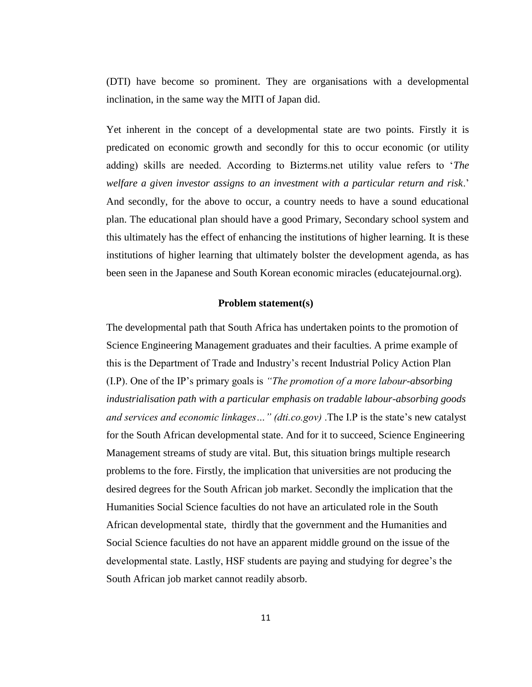(DTI) have become so prominent. They are organisations with a developmental inclination, in the same way the MITI of Japan did.

Yet inherent in the concept of a developmental state are two points. Firstly it is predicated on economic growth and secondly for this to occur economic (or utility adding) skills are needed. According to Bizterms.net utility value refers to "*The welfare a given investor assigns to an investment with a particular return and risk*." And secondly, for the above to occur, a country needs to have a sound educational plan. The educational plan should have a good Primary, Secondary school system and this ultimately has the effect of enhancing the institutions of higher learning. It is these institutions of higher learning that ultimately bolster the development agenda, as has been seen in the Japanese and South Korean economic miracles (educatejournal.org).

### **Problem statement(s)**

The developmental path that South Africa has undertaken points to the promotion of Science Engineering Management graduates and their faculties. A prime example of this is the Department of Trade and Industry"s recent Industrial Policy Action Plan (I.P). One of the IP"s primary goals is *"The promotion of a more labour-absorbing industrialisation path with a particular emphasis on tradable labour-absorbing goods and services and economic linkages…" (dti.co.gov)* .The I.P is the state"s new catalyst for the South African developmental state. And for it to succeed, Science Engineering Management streams of study are vital. But, this situation brings multiple research problems to the fore. Firstly, the implication that universities are not producing the desired degrees for the South African job market. Secondly the implication that the Humanities Social Science faculties do not have an articulated role in the South African developmental state, thirdly that the government and the Humanities and Social Science faculties do not have an apparent middle ground on the issue of the developmental state. Lastly, HSF students are paying and studying for degree"s the South African job market cannot readily absorb.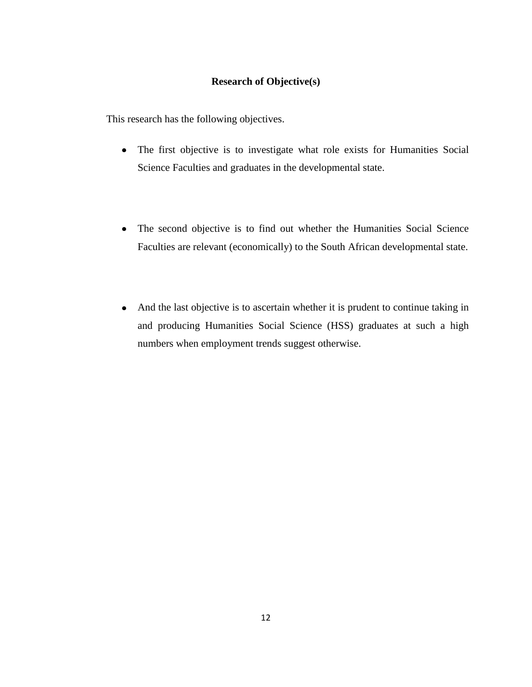## **Research of Objective(s)**

This research has the following objectives.

- The first objective is to investigate what role exists for Humanities Social Science Faculties and graduates in the developmental state.
- The second objective is to find out whether the Humanities Social Science Faculties are relevant (economically) to the South African developmental state.
- And the last objective is to ascertain whether it is prudent to continue taking in and producing Humanities Social Science (HSS) graduates at such a high numbers when employment trends suggest otherwise.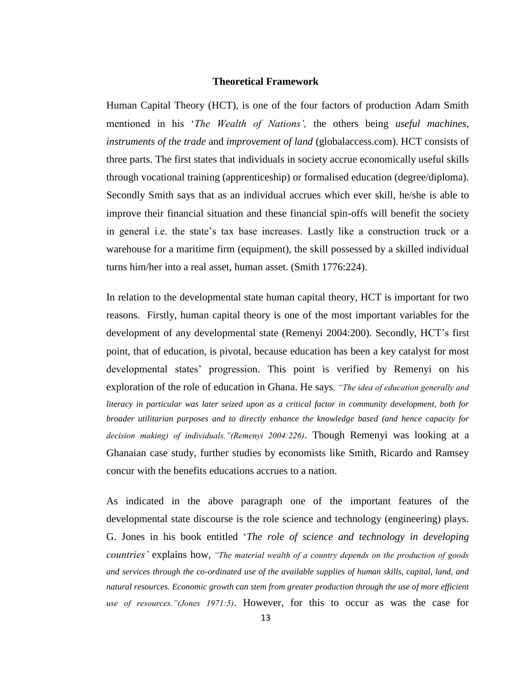#### **Theoretical Framework**

Human Capital Theory (HCT), is one of the four factors of production Adam Smith mentioned in his "*The Wealth of Nations",* the others being *useful machines*, *instruments of the trade* and *improvement of land* (globalaccess.com). HCT consists of three parts. The first states that individuals in society accrue economically useful skills through vocational training (apprenticeship) or formalised education (degree/diploma). Secondly Smith says that as an individual accrues which ever skill, he/she is able to improve their financial situation and these financial spin-offs will benefit the society in general i.e. the state"s tax base increases. Lastly like a construction truck or a warehouse for a maritime firm (equipment), the skill possessed by a skilled individual turns him/her into a real asset, human asset. (Smith 1776:224).

In relation to the developmental state human capital theory, HCT is important for two reasons. Firstly, human capital theory is one of the most important variables for the development of any developmental state (Remenyi 2004:200). Secondly, HCT"s first point, that of education, is pivotal, because education has been a key catalyst for most developmental states' progression. This point is verified by Remenyi on his exploration of the role of education in Ghana. He says*, "The idea of education generally and literacy in particular was later seized upon as a critical factor in community development, both for broader utilitarian purposes and to directly enhance the knowledge based (and hence capacity for decision making) of individuals."(Remenyi 2004:226)*. Though Remenyi was looking at a Ghanaian case study, further studies by economists like Smith, Ricardo and Ramsey concur with the benefits educations accrues to a nation.

As indicated in the above paragraph one of the important features of the developmental state discourse is the role science and technology (engineering) plays. G. Jones in his book entitled "*The role of science and technology in developing countries"* explains how, *"The material wealth of a country depends on the production of goods and services through the co-ordinated use of the available supplies of human skills, capital, land, and natural resources. Economic growth can stem from greater production through the use of more efficient use of resources."(Jones 1971:5)*. However, for this to occur as was the case for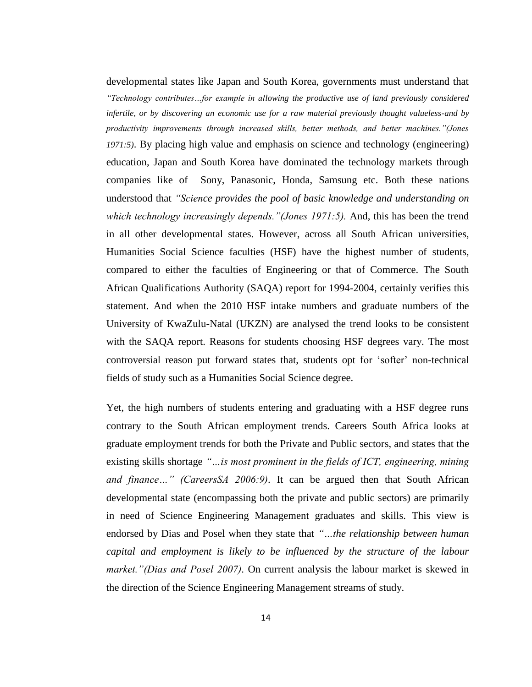developmental states like Japan and South Korea, governments must understand that *"Technology contributes…for example in allowing the productive use of land previously considered infertile, or by discovering an economic use for a raw material previously thought valueless-and by productivity improvements through increased skills, better methods, and better machines."(Jones 1971:5)*. By placing high value and emphasis on science and technology (engineering) education, Japan and South Korea have dominated the technology markets through companies like of Sony, Panasonic, Honda, Samsung etc. Both these nations understood that *"Science provides the pool of basic knowledge and understanding on which technology increasingly depends."(Jones 1971:5).* And, this has been the trend in all other developmental states. However, across all South African universities, Humanities Social Science faculties (HSF) have the highest number of students, compared to either the faculties of Engineering or that of Commerce. The South African Qualifications Authority (SAQA) report for 1994-2004, certainly verifies this statement. And when the 2010 HSF intake numbers and graduate numbers of the University of KwaZulu-Natal (UKZN) are analysed the trend looks to be consistent with the SAQA report. Reasons for students choosing HSF degrees vary. The most controversial reason put forward states that, students opt for "softer" non-technical fields of study such as a Humanities Social Science degree.

Yet, the high numbers of students entering and graduating with a HSF degree runs contrary to the South African employment trends. Careers South Africa looks at graduate employment trends for both the Private and Public sectors, and states that the existing skills shortage *"…is most prominent in the fields of ICT, engineering, mining and finance…" (CareersSA 2006:9)*. It can be argued then that South African developmental state (encompassing both the private and public sectors) are primarily in need of Science Engineering Management graduates and skills. This view is endorsed by Dias and Posel when they state that *"…the relationship between human capital and employment is likely to be influenced by the structure of the labour market."(Dias and Posel 2007)*. On current analysis the labour market is skewed in the direction of the Science Engineering Management streams of study.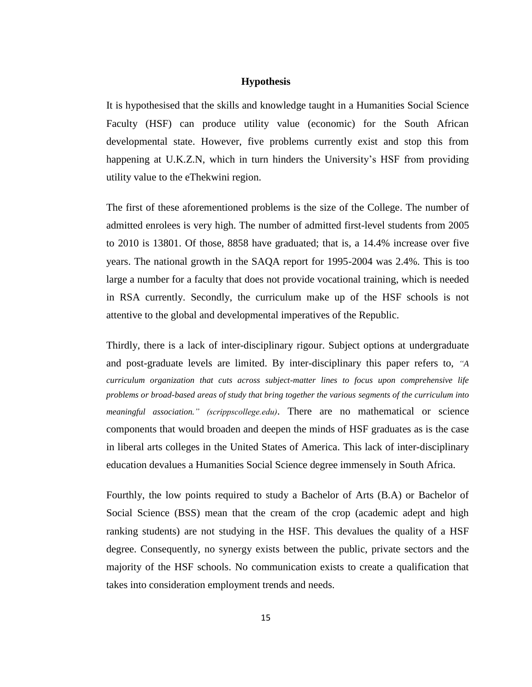### **Hypothesis**

It is hypothesised that the skills and knowledge taught in a Humanities Social Science Faculty (HSF) can produce utility value (economic) for the South African developmental state. However, five problems currently exist and stop this from happening at U.K.Z.N, which in turn hinders the University's HSF from providing utility value to the eThekwini region.

The first of these aforementioned problems is the size of the College. The number of admitted enrolees is very high. The number of admitted first-level students from 2005 to 2010 is 13801. Of those, 8858 have graduated; that is, a 14.4% increase over five years. The national growth in the SAQA report for 1995-2004 was 2.4%. This is too large a number for a faculty that does not provide vocational training, which is needed in RSA currently. Secondly, the curriculum make up of the HSF schools is not attentive to the global and developmental imperatives of the Republic.

Thirdly, there is a lack of inter-disciplinary rigour. Subject options at undergraduate and post-graduate levels are limited. By inter-disciplinary this paper refers to, *"A curriculum organization that cuts across subject-matter lines to focus upon comprehensive life problems or broad-based areas of study that bring together the various segments of the curriculum into meaningful association." (scrippscollege.edu)*. There are no mathematical or science components that would broaden and deepen the minds of HSF graduates as is the case in liberal arts colleges in the United States of America. This lack of inter-disciplinary education devalues a Humanities Social Science degree immensely in South Africa.

Fourthly, the low points required to study a Bachelor of Arts (B.A) or Bachelor of Social Science (BSS) mean that the cream of the crop (academic adept and high ranking students) are not studying in the HSF. This devalues the quality of a HSF degree. Consequently, no synergy exists between the public, private sectors and the majority of the HSF schools. No communication exists to create a qualification that takes into consideration employment trends and needs.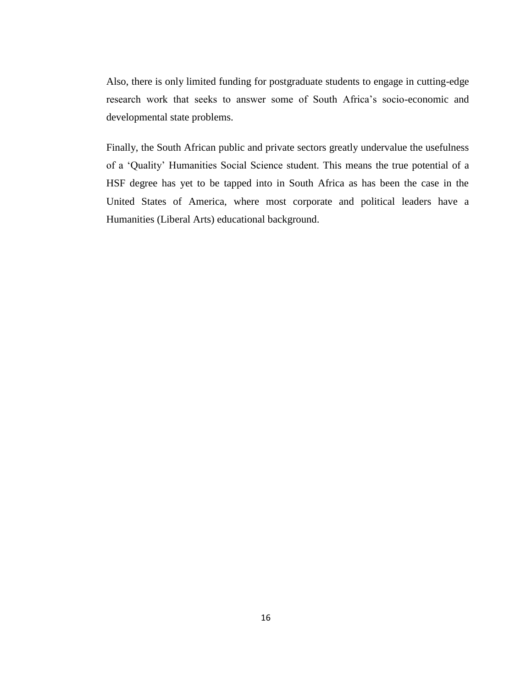Also, there is only limited funding for postgraduate students to engage in cutting-edge research work that seeks to answer some of South Africa"s socio-economic and developmental state problems.

Finally, the South African public and private sectors greatly undervalue the usefulness of a "Quality" Humanities Social Science student. This means the true potential of a HSF degree has yet to be tapped into in South Africa as has been the case in the United States of America, where most corporate and political leaders have a Humanities (Liberal Arts) educational background.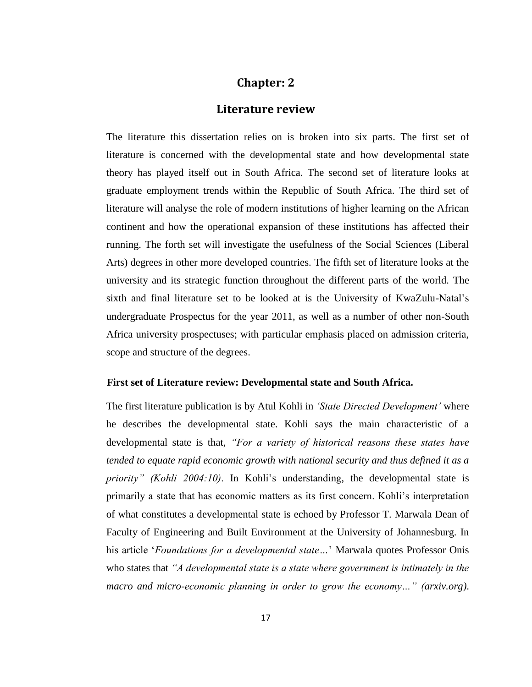# **Chapter: 2**

## **Literature review**

The literature this dissertation relies on is broken into six parts. The first set of literature is concerned with the developmental state and how developmental state theory has played itself out in South Africa. The second set of literature looks at graduate employment trends within the Republic of South Africa. The third set of literature will analyse the role of modern institutions of higher learning on the African continent and how the operational expansion of these institutions has affected their running. The forth set will investigate the usefulness of the Social Sciences (Liberal Arts) degrees in other more developed countries. The fifth set of literature looks at the university and its strategic function throughout the different parts of the world. The sixth and final literature set to be looked at is the University of KwaZulu-Natal"s undergraduate Prospectus for the year 2011, as well as a number of other non-South Africa university prospectuses; with particular emphasis placed on admission criteria, scope and structure of the degrees.

### **First set of Literature review: Developmental state and South Africa.**

The first literature publication is by Atul Kohli in *"State Directed Development"* where he describes the developmental state. Kohli says the main characteristic of a developmental state is that, *"For a variety of historical reasons these states have tended to equate rapid economic growth with national security and thus defined it as a priority" (Kohli 2004:10)*. In Kohli"s understanding, the developmental state is primarily a state that has economic matters as its first concern. Kohli"s interpretation of what constitutes a developmental state is echoed by Professor T. Marwala Dean of Faculty of Engineering and Built Environment at the University of Johannesburg. In his article "*Foundations for a developmental state…*" Marwala quotes Professor Onis who states that *"A developmental state is a state where government is intimately in the macro and micro-economic planning in order to grow the economy…" (arxiv.org)*.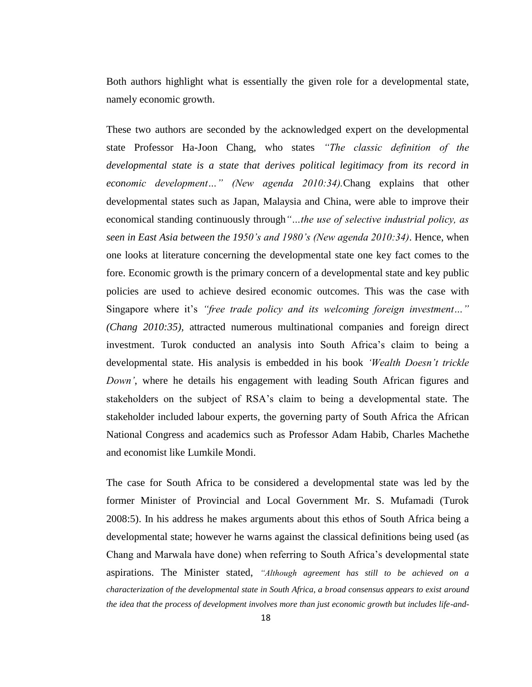Both authors highlight what is essentially the given role for a developmental state, namely economic growth.

These two authors are seconded by the acknowledged expert on the developmental state Professor Ha-Joon Chang, who states *"The classic definition of the developmental state is a state that derives political legitimacy from its record in economic development…" (New agenda 2010:34).*Chang explains that other developmental states such as Japan, Malaysia and China, were able to improve their economical standing continuously through*"…the use of selective industrial policy, as seen in East Asia between the 1950"s and 1980"s (New agenda 2010:34)*. Hence, when one looks at literature concerning the developmental state one key fact comes to the fore. Economic growth is the primary concern of a developmental state and key public policies are used to achieve desired economic outcomes. This was the case with Singapore where it"s *"free trade policy and its welcoming foreign investment…" (Chang 2010:35),* attracted numerous multinational companies and foreign direct investment. Turok conducted an analysis into South Africa"s claim to being a developmental state. His analysis is embedded in his book *"Wealth Doesn"t trickle Down"*, where he details his engagement with leading South African figures and stakeholders on the subject of RSA"s claim to being a developmental state. The stakeholder included labour experts, the governing party of South Africa the African National Congress and academics such as Professor Adam Habib, Charles Machethe and economist like Lumkile Mondi.

The case for South Africa to be considered a developmental state was led by the former Minister of Provincial and Local Government Mr. S. Mufamadi (Turok 2008:5). In his address he makes arguments about this ethos of South Africa being a developmental state; however he warns against the classical definitions being used (as Chang and Marwala have done) when referring to South Africa"s developmental state aspirations. The Minister stated, *"Although agreement has still to be achieved on a characterization of the developmental state in South Africa, a broad consensus appears to exist around the idea that the process of development involves more than just economic growth but includes life-and-*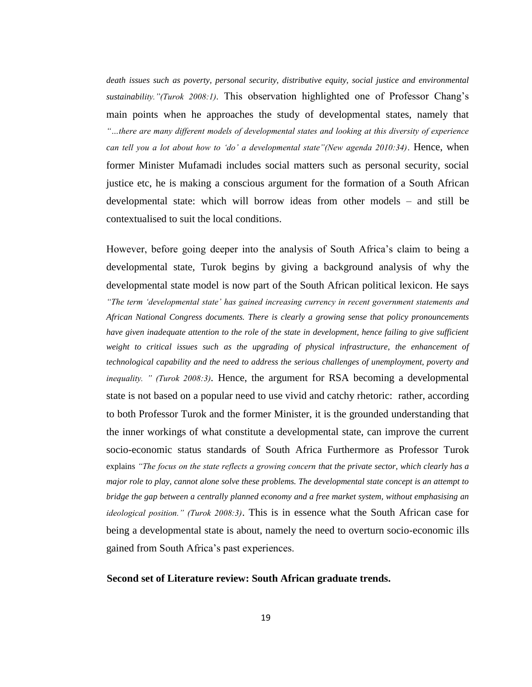*death issues such as poverty, personal security, distributive equity, social justice and environmental sustainability."(Turok 2008:1)*. This observation highlighted one of Professor Chang"s main points when he approaches the study of developmental states, namely that *"…there are many different models of developmental states and looking at this diversity of experience can tell you a lot about how to "do" a developmental state"(New agenda 2010:34)*. Hence, when former Minister Mufamadi includes social matters such as personal security, social justice etc, he is making a conscious argument for the formation of a South African developmental state: which will borrow ideas from other models – and still be contextualised to suit the local conditions.

However, before going deeper into the analysis of South Africa's claim to being a developmental state, Turok begins by giving a background analysis of why the developmental state model is now part of the South African political lexicon. He says *"The term "developmental state" has gained increasing currency in recent government statements and African National Congress documents. There is clearly a growing sense that policy pronouncements have given inadequate attention to the role of the state in development, hence failing to give sufficient weight to critical issues such as the upgrading of physical infrastructure, the enhancement of technological capability and the need to address the serious challenges of unemployment, poverty and inequality. " (Turok 2008:3)*. Hence, the argument for RSA becoming a developmental state is not based on a popular need to use vivid and catchy rhetoric: rather, according to both Professor Turok and the former Minister, it is the grounded understanding that the inner workings of what constitute a developmental state, can improve the current socio-economic status standards of South Africa Furthermore as Professor Turok explains *"The focus on the state reflects a growing concern that the private sector, which clearly has a major role to play, cannot alone solve these problems. The developmental state concept is an attempt to bridge the gap between a centrally planned economy and a free market system, without emphasising an ideological position." (Turok 2008:3)*. This is in essence what the South African case for being a developmental state is about, namely the need to overturn socio-economic ills gained from South Africa"s past experiences.

#### **Second set of Literature review: South African graduate trends.**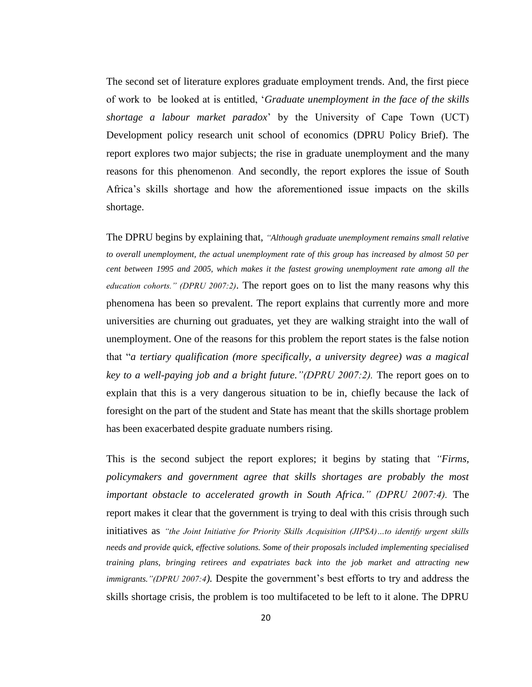The second set of literature explores graduate employment trends. And, the first piece of work to be looked at is entitled, "*Graduate unemployment in the face of the skills shortage a labour market paradox*" by the University of Cape Town (UCT) Development policy research unit school of economics (DPRU Policy Brief). The report explores two major subjects; the rise in graduate unemployment and the many reasons for this phenomenon. And secondly, the report explores the issue of South Africa"s skills shortage and how the aforementioned issue impacts on the skills shortage.

The DPRU begins by explaining that, *"Although graduate unemployment remains small relative to overall unemployment, the actual unemployment rate of this group has increased by almost 50 per cent between 1995 and 2005, which makes it the fastest growing unemployment rate among all the education cohorts." (DPRU 2007:2).* The report goes on to list the many reasons why this phenomena has been so prevalent. The report explains that currently more and more universities are churning out graduates, yet they are walking straight into the wall of unemployment. One of the reasons for this problem the report states is the false notion that "*a tertiary qualification (more specifically, a university degree) was a magical key to a well-paying job and a bright future."(DPRU 2007:2).* The report goes on to explain that this is a very dangerous situation to be in, chiefly because the lack of foresight on the part of the student and State has meant that the skills shortage problem has been exacerbated despite graduate numbers rising.

This is the second subject the report explores; it begins by stating that *"Firms, policymakers and government agree that skills shortages are probably the most important obstacle to accelerated growth in South Africa." (DPRU 2007:4).* The report makes it clear that the government is trying to deal with this crisis through such initiatives as *"the Joint Initiative for Priority Skills Acquisition (JIPSA)…to identify urgent skills needs and provide quick, effective solutions. Some of their proposals included implementing specialised training plans, bringing retirees and expatriates back into the job market and attracting new immigrants."(DPRU 2007:4).* Despite the government"s best efforts to try and address the skills shortage crisis, the problem is too multifaceted to be left to it alone. The DPRU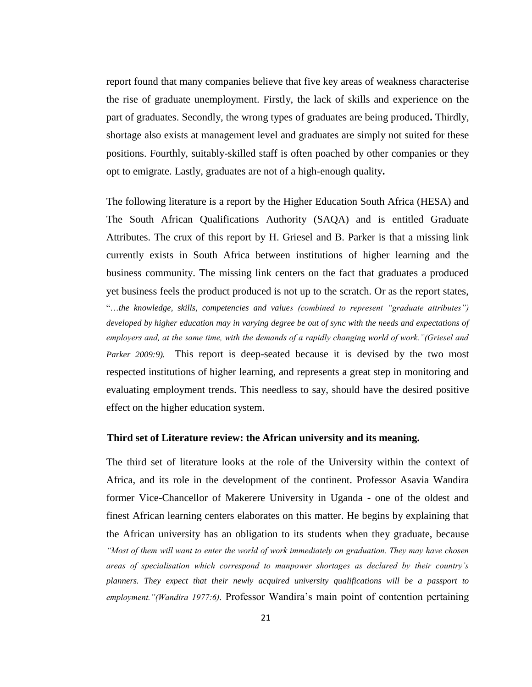report found that many companies believe that five key areas of weakness characterise the rise of graduate unemployment. Firstly, the lack of skills and experience on the part of graduates. Secondly, the wrong types of graduates are being produced**.** Thirdly, shortage also exists at management level and graduates are simply not suited for these positions. Fourthly, suitably-skilled staff is often poached by other companies or they opt to emigrate. Lastly, graduates are not of a high-enough quality**.**

The following literature is a report by the Higher Education South Africa (HESA) and The South African Qualifications Authority (SAQA) and is entitled Graduate Attributes. The crux of this report by H. Griesel and B. Parker is that a missing link currently exists in South Africa between institutions of higher learning and the business community. The missing link centers on the fact that graduates a produced yet business feels the product produced is not up to the scratch. Or as the report states, "…*the knowledge, skills, competencies and values (combined to represent "graduate attributes") developed by higher education may in varying degree be out of sync with the needs and expectations of employers and, at the same time, with the demands of a rapidly changing world of work."(Griesel and Parker 2009:9).* This report is deep-seated because it is devised by the two most respected institutions of higher learning, and represents a great step in monitoring and evaluating employment trends. This needless to say, should have the desired positive effect on the higher education system.

#### **Third set of Literature review: the African university and its meaning.**

The third set of literature looks at the role of the University within the context of Africa, and its role in the development of the continent. Professor Asavia Wandira former Vice-Chancellor of Makerere University in Uganda - one of the oldest and finest African learning centers elaborates on this matter. He begins by explaining that the African university has an obligation to its students when they graduate, because *"Most of them will want to enter the world of work immediately on graduation. They may have chosen areas of specialisation which correspond to manpower shortages as declared by their country"s planners. They expect that their newly acquired university qualifications will be a passport to employment."(Wandira 1977:6)*. Professor Wandira"s main point of contention pertaining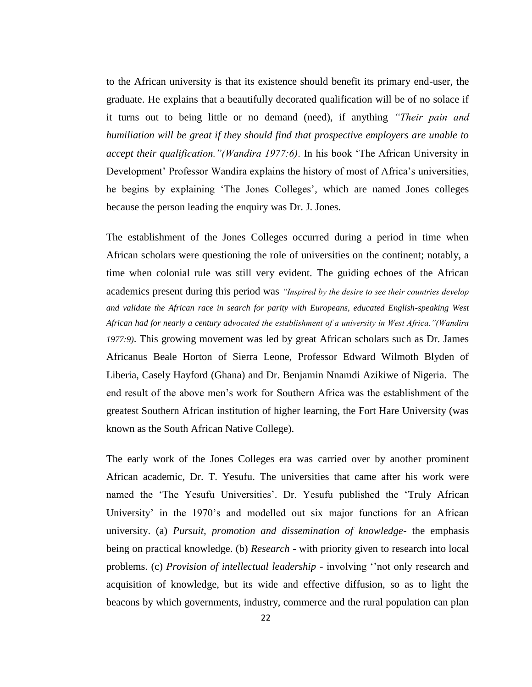to the African university is that its existence should benefit its primary end-user, the graduate. He explains that a beautifully decorated qualification will be of no solace if it turns out to being little or no demand (need), if anything *"Their pain and humiliation will be great if they should find that prospective employers are unable to accept their qualification."(Wandira 1977:6)*. In his book "The African University in Development' Professor Wandira explains the history of most of Africa's universities, he begins by explaining 'The Jones Colleges', which are named Jones colleges because the person leading the enquiry was Dr. J. Jones.

The establishment of the Jones Colleges occurred during a period in time when African scholars were questioning the role of universities on the continent; notably, a time when colonial rule was still very evident. The guiding echoes of the African academics present during this period was *"Inspired by the desire to see their countries develop and validate the African race in search for parity with Europeans, educated English-speaking West African had for nearly a century advocated the establishment of a university in West Africa."(Wandira 1977:9)*. This growing movement was led by great African scholars such as Dr. James Africanus Beale Horton of Sierra Leone, Professor Edward Wilmoth Blyden of Liberia, Casely Hayford (Ghana) and Dr. Benjamin Nnamdi Azikiwe of Nigeria. The end result of the above men"s work for Southern Africa was the establishment of the greatest Southern African institution of higher learning, the Fort Hare University (was known as the South African Native College).

The early work of the Jones Colleges era was carried over by another prominent African academic, Dr. T. Yesufu. The universities that came after his work were named the "The Yesufu Universities". Dr. Yesufu published the "Truly African University' in the 1970's and modelled out six major functions for an African university. (a) *Pursuit, promotion and dissemination of knowledge-* the emphasis being on practical knowledge. (b) *Research* - with priority given to research into local problems. (c) *Provision of intellectual leadership* - involving ""not only research and acquisition of knowledge, but its wide and effective diffusion, so as to light the beacons by which governments, industry, commerce and the rural population can plan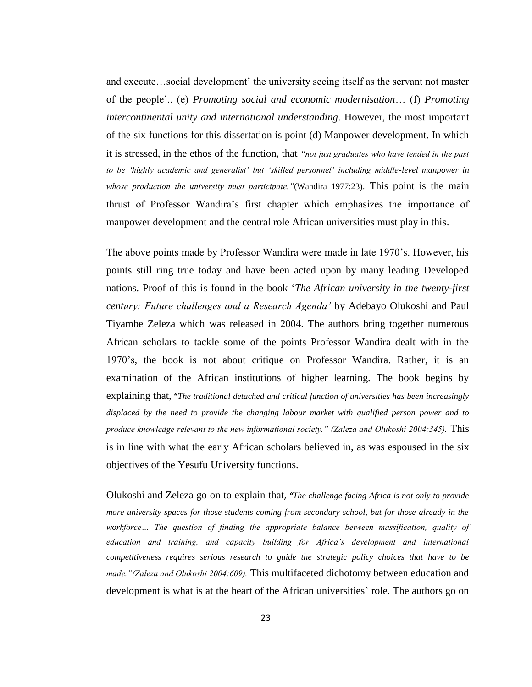and execute...social development' the university seeing itself as the servant not master of the people".. (e) *Promoting social and economic modernisation*… (f) *Promoting intercontinental unity and international understanding*. However, the most important of the six functions for this dissertation is point (d) Manpower development. In which it is stressed, in the ethos of the function, that *"not just graduates who have tended in the past to be "highly academic and generalist" but "skilled personnel" including middle-level manpower in whose production the university must participate."*(Wandira 1977:23). This point is the main thrust of Professor Wandira"s first chapter which emphasizes the importance of manpower development and the central role African universities must play in this.

The above points made by Professor Wandira were made in late 1970"s. However, his points still ring true today and have been acted upon by many leading Developed nations. Proof of this is found in the book "*The African university in the twenty-first century: Future challenges and a Research Agenda"* by Adebayo Olukoshi and Paul Tiyambe Zeleza which was released in 2004. The authors bring together numerous African scholars to tackle some of the points Professor Wandira dealt with in the 1970"s, the book is not about critique on Professor Wandira. Rather, it is an examination of the African institutions of higher learning. The book begins by explaining that, **"***The traditional detached and critical function of universities has been increasingly displaced by the need to provide the changing labour market with qualified person power and to produce knowledge relevant to the new informational society." (Zaleza and Olukoshi 2004:345).* This is in line with what the early African scholars believed in, as was espoused in the six objectives of the Yesufu University functions.

Olukoshi and Zeleza go on to explain that, *"The challenge facing Africa is not only to provide more university spaces for those students coming from secondary school, but for those already in the workforce… The question of finding the appropriate balance between massification, quality of education and training, and capacity building for Africa"s development and international competitiveness requires serious research to guide the strategic policy choices that have to be made."(Zaleza and Olukoshi 2004:609).* This multifaceted dichotomy between education and development is what is at the heart of the African universities' role. The authors go on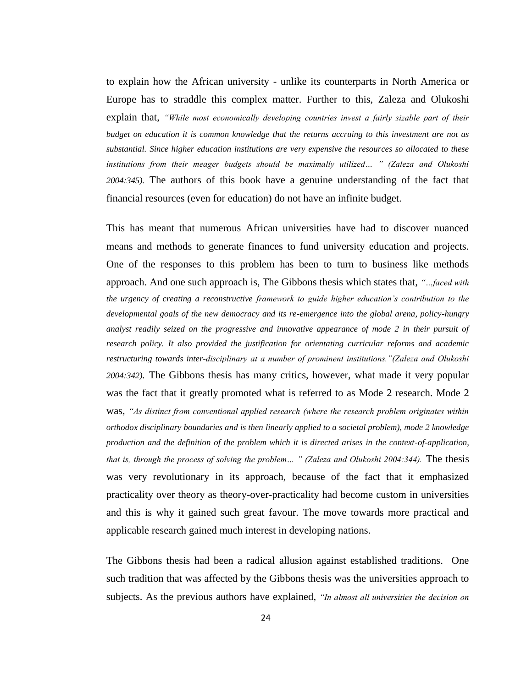to explain how the African university - unlike its counterparts in North America or Europe has to straddle this complex matter. Further to this, Zaleza and Olukoshi explain that, *"While most economically developing countries invest a fairly sizable part of their budget on education it is common knowledge that the returns accruing to this investment are not as substantial. Since higher education institutions are very expensive the resources so allocated to these institutions from their meager budgets should be maximally utilized… " (Zaleza and Olukoshi 2004:345).* The authors of this book have a genuine understanding of the fact that financial resources (even for education) do not have an infinite budget.

This has meant that numerous African universities have had to discover nuanced means and methods to generate finances to fund university education and projects. One of the responses to this problem has been to turn to business like methods approach. And one such approach is, The Gibbons thesis which states that, *"…faced with the urgency of creating a reconstructive framework to guide higher education"s contribution to the developmental goals of the new democracy and its re-emergence into the global arena, policy-hungry analyst readily seized on the progressive and innovative appearance of mode 2 in their pursuit of research policy. It also provided the justification for orientating curricular reforms and academic restructuring towards inter-disciplinary at a number of prominent institutions."(Zaleza and Olukoshi 2004:342).* The Gibbons thesis has many critics, however, what made it very popular was the fact that it greatly promoted what is referred to as Mode 2 research. Mode 2 was, *"As distinct from conventional applied research (where the research problem originates within orthodox disciplinary boundaries and is then linearly applied to a societal problem), mode 2 knowledge production and the definition of the problem which it is directed arises in the context-of-application, that is, through the process of solving the problem… " (Zaleza and Olukoshi 2004:344).* The thesis was very revolutionary in its approach, because of the fact that it emphasized practicality over theory as theory-over-practicality had become custom in universities and this is why it gained such great favour. The move towards more practical and applicable research gained much interest in developing nations.

The Gibbons thesis had been a radical allusion against established traditions. One such tradition that was affected by the Gibbons thesis was the universities approach to subjects. As the previous authors have explained, *"In almost all universities the decision on*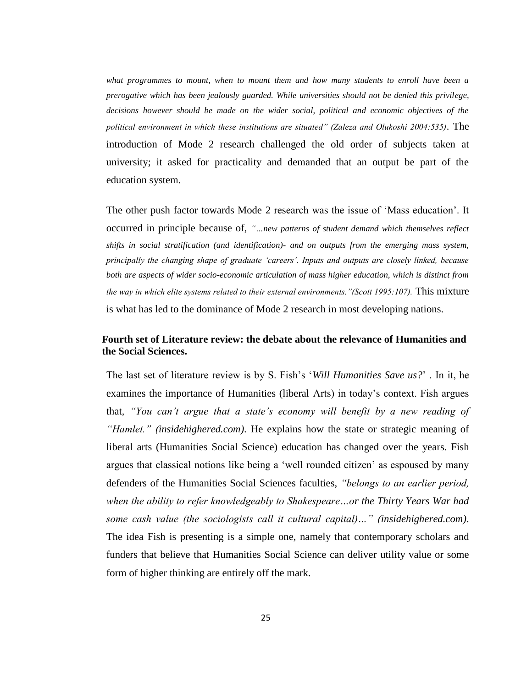*what programmes to mount, when to mount them and how many students to enroll have been a prerogative which has been jealously guarded. While universities should not be denied this privilege, decisions however should be made on the wider social, political and economic objectives of the political environment in which these institutions are situated" (Zaleza and Olukoshi 2004:535).* The introduction of Mode 2 research challenged the old order of subjects taken at university; it asked for practicality and demanded that an output be part of the education system.

The other push factor towards Mode 2 research was the issue of "Mass education". It occurred in principle because of, *"…new patterns of student demand which themselves reflect shifts in social stratification (and identification)- and on outputs from the emerging mass system, principally the changing shape of graduate "careers". Inputs and outputs are closely linked, because both are aspects of wider socio-economic articulation of mass higher education, which is distinct from the way in which elite systems related to their external environments."(Scott 1995:107).* This mixture is what has led to the dominance of Mode 2 research in most developing nations.

## **Fourth set of Literature review: the debate about the relevance of Humanities and the Social Sciences.**

The last set of literature review is by S. Fish"s "*Will Humanities Save us?*" . In it, he examines the importance of Humanities (liberal Arts) in today"s context. Fish argues that, *"You can"t argue that a state"s economy will benefit by a new reading of "Hamlet." (insidehighered.com)*. He explains how the state or strategic meaning of liberal arts (Humanities Social Science) education has changed over the years. Fish argues that classical notions like being a "well rounded citizen" as espoused by many defenders of the Humanities Social Sciences faculties, *"belongs to an earlier period, when the ability to refer knowledgeably to Shakespeare…or the Thirty Years War had some cash value (the sociologists call it cultural capital)…" (insidehighered.com)*. The idea Fish is presenting is a simple one, namely that contemporary scholars and funders that believe that Humanities Social Science can deliver utility value or some form of higher thinking are entirely off the mark.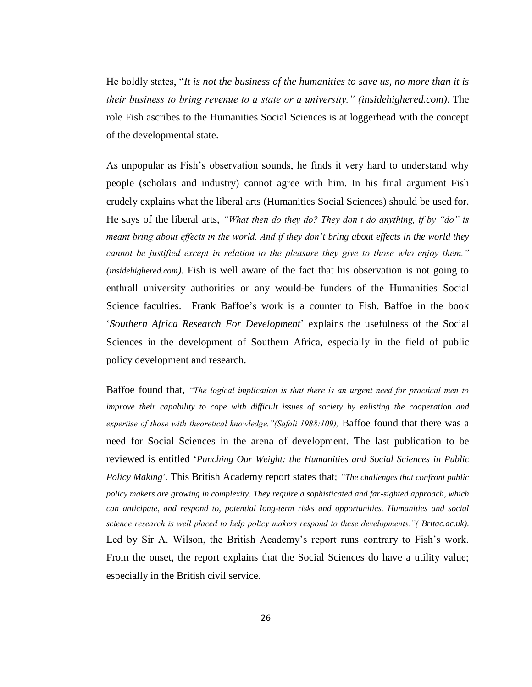He boldly states, "*It is not the business of the humanities to save us, no more than it is their business to bring revenue to a state or a university." (insidehighered.com)*. The role Fish ascribes to the Humanities Social Sciences is at loggerhead with the concept of the developmental state.

As unpopular as Fish"s observation sounds, he finds it very hard to understand why people (scholars and industry) cannot agree with him. In his final argument Fish crudely explains what the liberal arts (Humanities Social Sciences) should be used for. He says of the liberal arts, *"What then do they do? They don"t do anything, if by "do" is meant bring about effects in the world. And if they don"t bring about effects in the world they cannot be justified except in relation to the pleasure they give to those who enjoy them." (insidehighered.com)*. Fish is well aware of the fact that his observation is not going to enthrall university authorities or any would-be funders of the Humanities Social Science faculties. Frank Baffoe"s work is a counter to Fish. Baffoe in the book "*Southern Africa Research For Development*" explains the usefulness of the Social Sciences in the development of Southern Africa, especially in the field of public policy development and research.

Baffoe found that, *"The logical implication is that there is an urgent need for practical men to improve their capability to cope with difficult issues of society by enlisting the cooperation and expertise of those with theoretical knowledge."(Safali 1988:109),* Baffoe found that there was a need for Social Sciences in the arena of development. The last publication to be reviewed is entitled "*Punching Our Weight: the Humanities and Social Sciences in Public Policy Making*". This British Academy report states that; *"The challenges that confront public policy makers are growing in complexity. They require a sophisticated and far-sighted approach, which can anticipate, and respond to, potential long-term risks and opportunities. Humanities and social science research is well placed to help policy makers respond to these developments."( Britac.ac.uk)*. Led by Sir A. Wilson, the British Academy's report runs contrary to Fish's work. From the onset, the report explains that the Social Sciences do have a utility value; especially in the British civil service.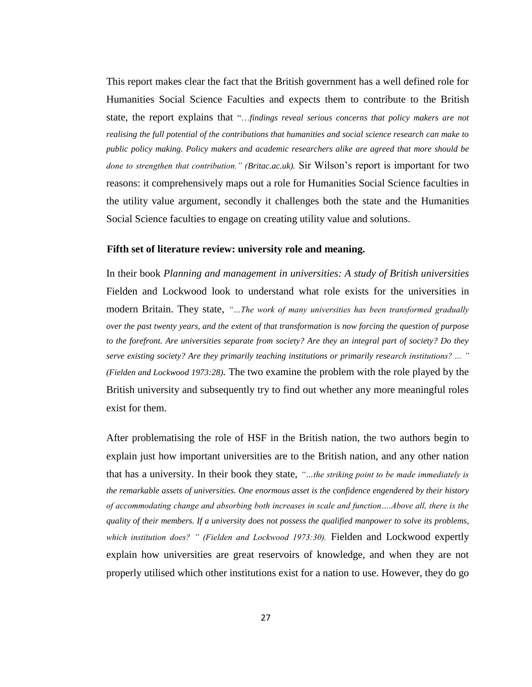This report makes clear the fact that the British government has a well defined role for Humanities Social Science Faculties and expects them to contribute to the British state, the report explains that "…*findings reveal serious concerns that policy makers are not realising the full potential of the contributions that humanities and social science research can make to public policy making. Policy makers and academic researchers alike are agreed that more should be done to strengthen that contribution." (Britac.ac.uk).* Sir Wilson"s report is important for two reasons: it comprehensively maps out a role for Humanities Social Science faculties in the utility value argument, secondly it challenges both the state and the Humanities Social Science faculties to engage on creating utility value and solutions.

#### **Fifth set of literature review: university role and meaning.**

In their book *Planning and management in universities: A study of British universities* Fielden and Lockwood look to understand what role exists for the universities in modern Britain. They state, *"…The work of many universities has been transformed gradually over the past twenty years, and the extent of that transformation is now forcing the question of purpose to the forefront. Are universities separate from society? Are they an integral part of society? Do they serve existing society? Are they primarily teaching institutions or primarily research institutions? ... " (Fielden and Lockwood 1973:28).* The two examine the problem with the role played by the British university and subsequently try to find out whether any more meaningful roles exist for them.

After problematising the role of HSF in the British nation, the two authors begin to explain just how important universities are to the British nation, and any other nation that has a university. In their book they state, *"…the striking point to be made immediately is the remarkable assets of universities. One enormous asset is the confidence engendered by their history of accommodating change and absorbing both increases in scale and function….Above all, there is the quality of their members. If a university does not possess the qualified manpower to solve its problems, which institution does? " (Fielden and Lockwood 1973:30).* Fielden and Lockwood expertly explain how universities are great reservoirs of knowledge, and when they are not properly utilised which other institutions exist for a nation to use. However, they do go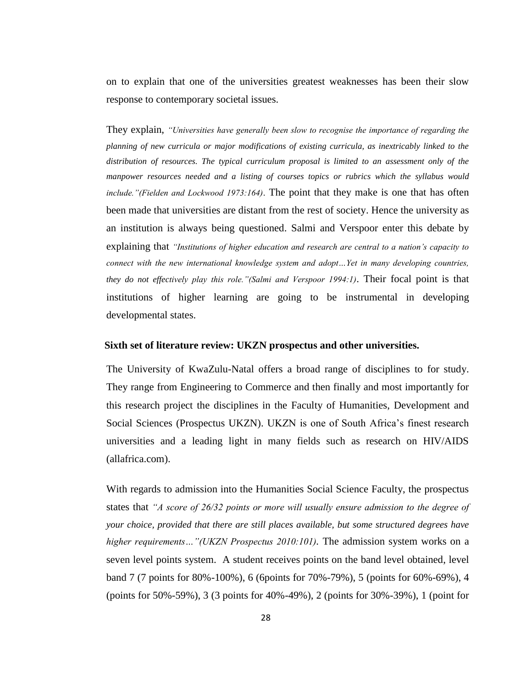on to explain that one of the universities greatest weaknesses has been their slow response to contemporary societal issues.

They explain, *"Universities have generally been slow to recognise the importance of regarding the planning of new curricula or major modifications of existing curricula, as inextricably linked to the distribution of resources. The typical curriculum proposal is limited to an assessment only of the manpower resources needed and a listing of courses topics or rubrics which the syllabus would include."(Fielden and Lockwood 1973:164)*. The point that they make is one that has often been made that universities are distant from the rest of society. Hence the university as an institution is always being questioned. Salmi and Verspoor enter this debate by explaining that *"Institutions of higher education and research are central to a nation"s capacity to connect with the new international knowledge system and adopt…Yet in many developing countries, they do not effectively play this role."(Salmi and Verspoor 1994:1)*. Their focal point is that institutions of higher learning are going to be instrumental in developing developmental states.

#### **Sixth set of literature review: UKZN prospectus and other universities.**

The University of KwaZulu-Natal offers a broad range of disciplines to for study. They range from Engineering to Commerce and then finally and most importantly for this research project the disciplines in the Faculty of Humanities, Development and Social Sciences (Prospectus UKZN). UKZN is one of South Africa"s finest research universities and a leading light in many fields such as research on HIV/AIDS (allafrica.com).

With regards to admission into the Humanities Social Science Faculty, the prospectus states that *"A score of 26/32 points or more will usually ensure admission to the degree of your choice, provided that there are still places available, but some structured degrees have higher requirements…"(UKZN Prospectus 2010:101).* The admission system works on a seven level points system. A student receives points on the band level obtained, level band 7 (7 points for 80%-100%), 6 (6points for 70%-79%), 5 (points for 60%-69%), 4 (points for 50%-59%), 3 (3 points for 40%-49%), 2 (points for 30%-39%), 1 (point for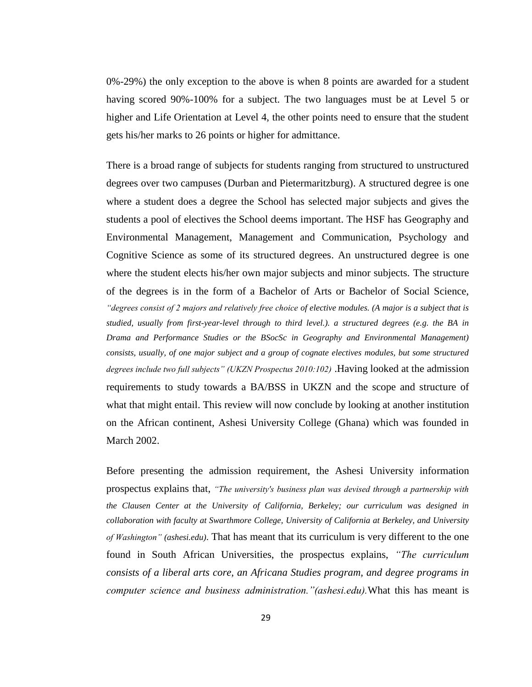0%-29%) the only exception to the above is when 8 points are awarded for a student having scored 90%-100% for a subject. The two languages must be at Level 5 or higher and Life Orientation at Level 4, the other points need to ensure that the student gets his/her marks to 26 points or higher for admittance.

There is a broad range of subjects for students ranging from structured to unstructured degrees over two campuses (Durban and Pietermaritzburg). A structured degree is one where a student does a degree the School has selected major subjects and gives the students a pool of electives the School deems important. The HSF has Geography and Environmental Management, Management and Communication, Psychology and Cognitive Science as some of its structured degrees. An unstructured degree is one where the student elects his/her own major subjects and minor subjects. The structure of the degrees is in the form of a Bachelor of Arts or Bachelor of Social Science, *"degrees consist of 2 majors and relatively free choice of elective modules. (A major is a subject that is studied, usually from first-year-level through to third level.). a structured degrees (e.g. the BA in Drama and Performance Studies or the BSocSc in Geography and Environmental Management) consists, usually, of one major subject and a group of cognate electives modules, but some structured degrees include two full subjects" (UKZN Prospectus 2010:102)* .Having looked at the admission requirements to study towards a BA/BSS in UKZN and the scope and structure of what that might entail. This review will now conclude by looking at another institution on the African continent, Ashesi University College (Ghana) which was founded in March 2002.

Before presenting the admission requirement, the Ashesi University information prospectus explains that, *"The university's business plan was devised through a partnership with the Clausen Center at the University of California, Berkeley; our curriculum was designed in collaboration with faculty at Swarthmore College, University of California at Berkeley, and University of Washington" (ashesi.edu)*. That has meant that its curriculum is very different to the one found in South African Universities, the prospectus explains, *"The curriculum consists of a liberal arts core, an Africana Studies program, and degree programs in computer science and business administration."(ashesi.edu).*What this has meant is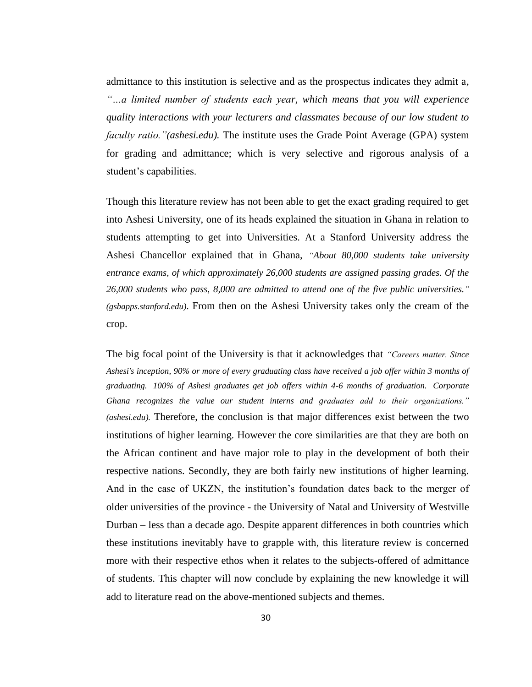admittance to this institution is selective and as the prospectus indicates they admit a*, "…a limited number of students each year, which means that you will experience quality interactions with your lecturers and classmates because of our low student to faculty ratio."(ashesi.edu).* The institute uses the Grade Point Average (GPA) system for grading and admittance; which is very selective and rigorous analysis of a student"s capabilities.

Though this literature review has not been able to get the exact grading required to get into Ashesi University, one of its heads explained the situation in Ghana in relation to students attempting to get into Universities. At a Stanford University address the Ashesi Chancellor explained that in Ghana, *"About 80,000 students take university entrance exams, of which approximately 26,000 students are assigned passing grades. Of the 26,000 students who pass, 8,000 are admitted to attend one of the five public universities." (gsbapps.stanford.edu)*. From then on the Ashesi University takes only the cream of the crop.

The big focal point of the University is that it acknowledges that *"Careers matter. Since Ashesi's inception, 90% or more of every graduating class have received a job offer within 3 months of graduating. 100% of Ashesi graduates get job offers within 4-6 months of graduation. Corporate Ghana recognizes the value our student interns and graduates add to their organizations." (ashesi.edu).* Therefore, the conclusion is that major differences exist between the two institutions of higher learning. However the core similarities are that they are both on the African continent and have major role to play in the development of both their respective nations. Secondly, they are both fairly new institutions of higher learning. And in the case of UKZN, the institution"s foundation dates back to the merger of older universities of the province - the University of Natal and University of Westville Durban – less than a decade ago. Despite apparent differences in both countries which these institutions inevitably have to grapple with, this literature review is concerned more with their respective ethos when it relates to the subjects-offered of admittance of students. This chapter will now conclude by explaining the new knowledge it will add to literature read on the above-mentioned subjects and themes.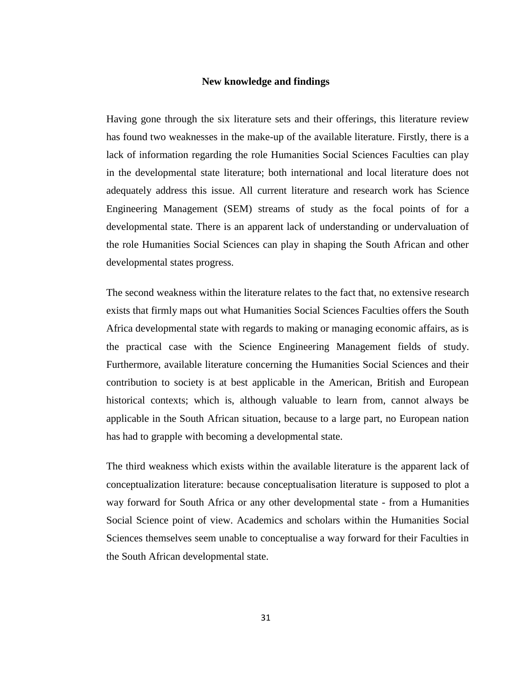#### **New knowledge and findings**

Having gone through the six literature sets and their offerings, this literature review has found two weaknesses in the make-up of the available literature. Firstly, there is a lack of information regarding the role Humanities Social Sciences Faculties can play in the developmental state literature; both international and local literature does not adequately address this issue. All current literature and research work has Science Engineering Management (SEM) streams of study as the focal points of for a developmental state. There is an apparent lack of understanding or undervaluation of the role Humanities Social Sciences can play in shaping the South African and other developmental states progress.

The second weakness within the literature relates to the fact that, no extensive research exists that firmly maps out what Humanities Social Sciences Faculties offers the South Africa developmental state with regards to making or managing economic affairs, as is the practical case with the Science Engineering Management fields of study. Furthermore, available literature concerning the Humanities Social Sciences and their contribution to society is at best applicable in the American, British and European historical contexts; which is, although valuable to learn from, cannot always be applicable in the South African situation, because to a large part, no European nation has had to grapple with becoming a developmental state.

The third weakness which exists within the available literature is the apparent lack of conceptualization literature: because conceptualisation literature is supposed to plot a way forward for South Africa or any other developmental state - from a Humanities Social Science point of view. Academics and scholars within the Humanities Social Sciences themselves seem unable to conceptualise a way forward for their Faculties in the South African developmental state.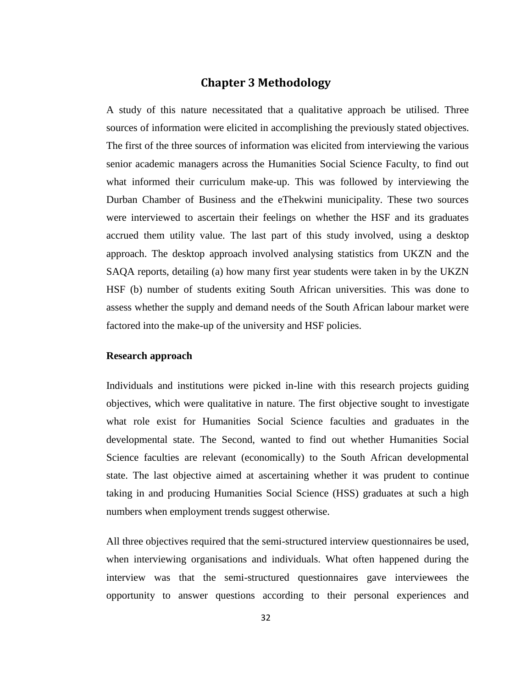# **Chapter 3 Methodology**

A study of this nature necessitated that a qualitative approach be utilised. Three sources of information were elicited in accomplishing the previously stated objectives. The first of the three sources of information was elicited from interviewing the various senior academic managers across the Humanities Social Science Faculty, to find out what informed their curriculum make-up. This was followed by interviewing the Durban Chamber of Business and the eThekwini municipality. These two sources were interviewed to ascertain their feelings on whether the HSF and its graduates accrued them utility value. The last part of this study involved, using a desktop approach. The desktop approach involved analysing statistics from UKZN and the SAQA reports, detailing (a) how many first year students were taken in by the UKZN HSF (b) number of students exiting South African universities. This was done to assess whether the supply and demand needs of the South African labour market were factored into the make-up of the university and HSF policies.

### **Research approach**

Individuals and institutions were picked in-line with this research projects guiding objectives, which were qualitative in nature. The first objective sought to investigate what role exist for Humanities Social Science faculties and graduates in the developmental state. The Second, wanted to find out whether Humanities Social Science faculties are relevant (economically) to the South African developmental state. The last objective aimed at ascertaining whether it was prudent to continue taking in and producing Humanities Social Science (HSS) graduates at such a high numbers when employment trends suggest otherwise.

All three objectives required that the semi-structured interview questionnaires be used, when interviewing organisations and individuals. What often happened during the interview was that the semi-structured questionnaires gave interviewees the opportunity to answer questions according to their personal experiences and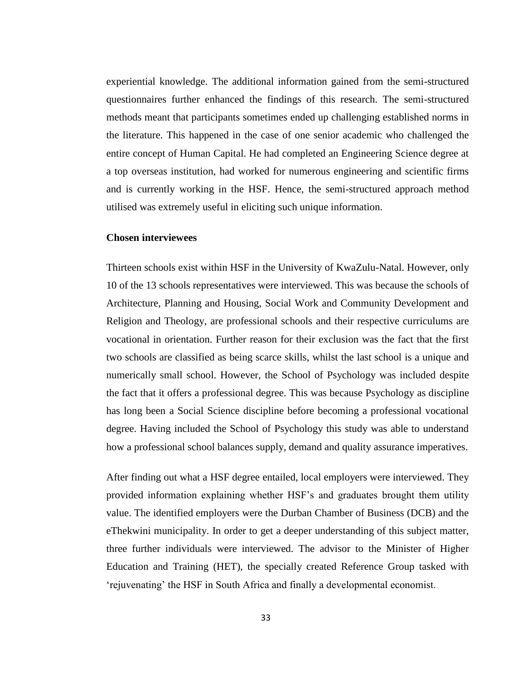experiential knowledge. The additional information gained from the semi-structured questionnaires further enhanced the findings of this research. The semi-structured methods meant that participants sometimes ended up challenging established norms in the literature. This happened in the case of one senior academic who challenged the entire concept of Human Capital. He had completed an Engineering Science degree at a top overseas institution, had worked for numerous engineering and scientific firms and is currently working in the HSF. Hence, the semi-structured approach method utilised was extremely useful in eliciting such unique information.

#### **Chosen interviewees**

Thirteen schools exist within HSF in the University of KwaZulu-Natal. However, only 10 of the 13 schools representatives were interviewed. This was because the schools of Architecture, Planning and Housing, Social Work and Community Development and Religion and Theology, are professional schools and their respective curriculums are vocational in orientation. Further reason for their exclusion was the fact that the first two schools are classified as being scarce skills, whilst the last school is a unique and numerically small school. However, the School of Psychology was included despite the fact that it offers a professional degree. This was because Psychology as discipline has long been a Social Science discipline before becoming a professional vocational degree. Having included the School of Psychology this study was able to understand how a professional school balances supply, demand and quality assurance imperatives.

After finding out what a HSF degree entailed, local employers were interviewed. They provided information explaining whether HSF"s and graduates brought them utility value. The identified employers were the Durban Chamber of Business (DCB) and the eThekwini municipality. In order to get a deeper understanding of this subject matter, three further individuals were interviewed. The advisor to the Minister of Higher Education and Training (HET), the specially created Reference Group tasked with "rejuvenating" the HSF in South Africa and finally a developmental economist.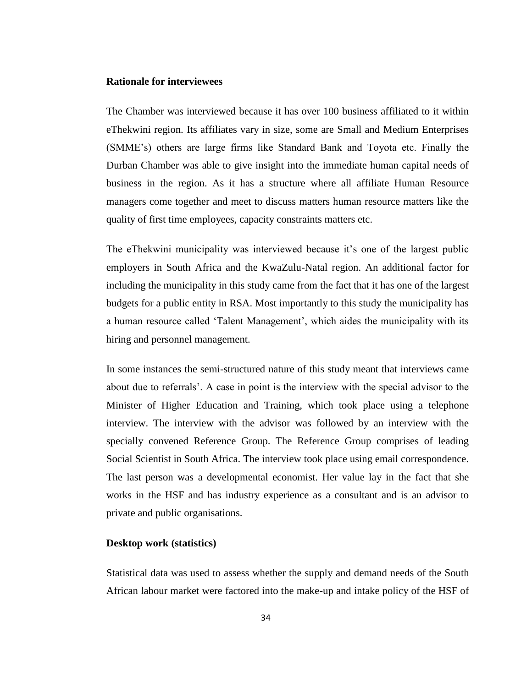### **Rationale for interviewees**

The Chamber was interviewed because it has over 100 business affiliated to it within eThekwini region. Its affiliates vary in size, some are Small and Medium Enterprises (SMME"s) others are large firms like Standard Bank and Toyota etc. Finally the Durban Chamber was able to give insight into the immediate human capital needs of business in the region. As it has a structure where all affiliate Human Resource managers come together and meet to discuss matters human resource matters like the quality of first time employees, capacity constraints matters etc.

The eThekwini municipality was interviewed because it's one of the largest public employers in South Africa and the KwaZulu-Natal region. An additional factor for including the municipality in this study came from the fact that it has one of the largest budgets for a public entity in RSA. Most importantly to this study the municipality has a human resource called "Talent Management", which aides the municipality with its hiring and personnel management.

In some instances the semi-structured nature of this study meant that interviews came about due to referrals". A case in point is the interview with the special advisor to the Minister of Higher Education and Training, which took place using a telephone interview. The interview with the advisor was followed by an interview with the specially convened Reference Group. The Reference Group comprises of leading Social Scientist in South Africa. The interview took place using email correspondence. The last person was a developmental economist. Her value lay in the fact that she works in the HSF and has industry experience as a consultant and is an advisor to private and public organisations.

### **Desktop work (statistics)**

Statistical data was used to assess whether the supply and demand needs of the South African labour market were factored into the make-up and intake policy of the HSF of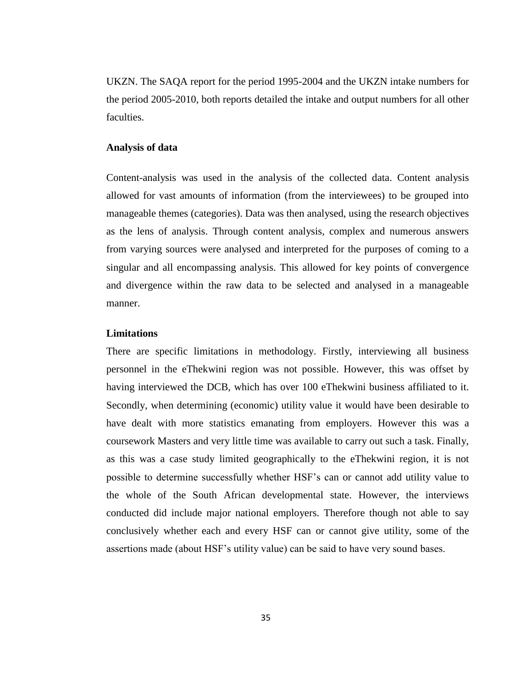UKZN. The SAQA report for the period 1995-2004 and the UKZN intake numbers for the period 2005-2010, both reports detailed the intake and output numbers for all other faculties.

### **Analysis of data**

Content-analysis was used in the analysis of the collected data. Content analysis allowed for vast amounts of information (from the interviewees) to be grouped into manageable themes (categories). Data was then analysed, using the research objectives as the lens of analysis. Through content analysis, complex and numerous answers from varying sources were analysed and interpreted for the purposes of coming to a singular and all encompassing analysis. This allowed for key points of convergence and divergence within the raw data to be selected and analysed in a manageable manner.

### **Limitations**

There are specific limitations in methodology. Firstly, interviewing all business personnel in the eThekwini region was not possible. However, this was offset by having interviewed the DCB, which has over 100 eThekwini business affiliated to it. Secondly, when determining (economic) utility value it would have been desirable to have dealt with more statistics emanating from employers. However this was a coursework Masters and very little time was available to carry out such a task. Finally, as this was a case study limited geographically to the eThekwini region, it is not possible to determine successfully whether HSF"s can or cannot add utility value to the whole of the South African developmental state. However, the interviews conducted did include major national employers. Therefore though not able to say conclusively whether each and every HSF can or cannot give utility, some of the assertions made (about HSF"s utility value) can be said to have very sound bases.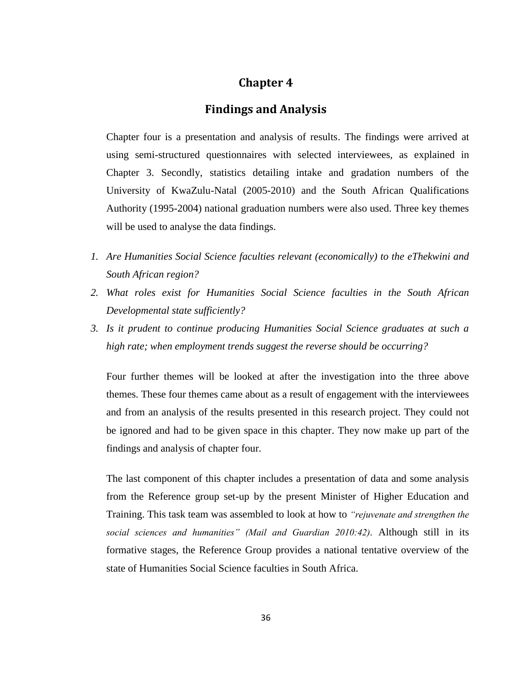# **Chapter 4**

# **Findings and Analysis**

Chapter four is a presentation and analysis of results. The findings were arrived at using semi-structured questionnaires with selected interviewees, as explained in Chapter 3. Secondly, statistics detailing intake and gradation numbers of the University of KwaZulu-Natal (2005-2010) and the South African Qualifications Authority (1995-2004) national graduation numbers were also used. Three key themes will be used to analyse the data findings.

- *1. Are Humanities Social Science faculties relevant (economically) to the eThekwini and South African region?*
- *2. What roles exist for Humanities Social Science faculties in the South African Developmental state sufficiently?*
- *3. Is it prudent to continue producing Humanities Social Science graduates at such a high rate; when employment trends suggest the reverse should be occurring?*

Four further themes will be looked at after the investigation into the three above themes. These four themes came about as a result of engagement with the interviewees and from an analysis of the results presented in this research project. They could not be ignored and had to be given space in this chapter. They now make up part of the findings and analysis of chapter four.

The last component of this chapter includes a presentation of data and some analysis from the Reference group set-up by the present Minister of Higher Education and Training. This task team was assembled to look at how to *"rejuvenate and strengthen the social sciences and humanities" (Mail and Guardian 2010:42).* Although still in its formative stages, the Reference Group provides a national tentative overview of the state of Humanities Social Science faculties in South Africa.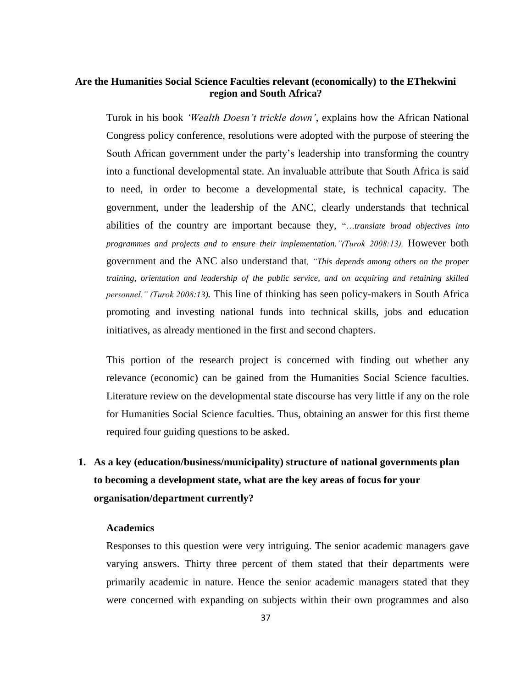## **Are the Humanities Social Science Faculties relevant (economically) to the EThekwini region and South Africa?**

Turok in his book *"Wealth Doesn"t trickle down"*, explains how the African National Congress policy conference, resolutions were adopted with the purpose of steering the South African government under the party"s leadership into transforming the country into a functional developmental state. An invaluable attribute that South Africa is said to need, in order to become a developmental state, is technical capacity. The government, under the leadership of the ANC, clearly understands that technical abilities of the country are important because they, "…*translate broad objectives into*  programmes and projects and to ensure their implementation."(Turok 2008:13). However both government and the ANC also understand that*, "This depends among others on the proper training, orientation and leadership of the public service, and on acquiring and retaining skilled personnel." (Turok 2008:13).* This line of thinking has seen policy-makers in South Africa promoting and investing national funds into technical skills, jobs and education initiatives, as already mentioned in the first and second chapters.

This portion of the research project is concerned with finding out whether any relevance (economic) can be gained from the Humanities Social Science faculties. Literature review on the developmental state discourse has very little if any on the role for Humanities Social Science faculties. Thus, obtaining an answer for this first theme required four guiding questions to be asked.

# **1. As a key (education/business/municipality) structure of national governments plan to becoming a development state, what are the key areas of focus for your organisation/department currently?**

#### **Academics**

Responses to this question were very intriguing. The senior academic managers gave varying answers. Thirty three percent of them stated that their departments were primarily academic in nature. Hence the senior academic managers stated that they were concerned with expanding on subjects within their own programmes and also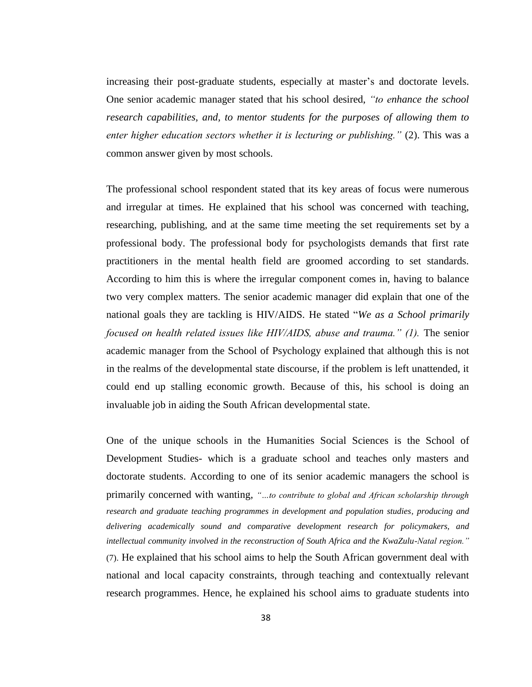increasing their post-graduate students, especially at master's and doctorate levels. One senior academic manager stated that his school desired, *"to enhance the school research capabilities, and, to mentor students for the purposes of allowing them to enter higher education sectors whether it is lecturing or publishing."* (2). This was a common answer given by most schools.

The professional school respondent stated that its key areas of focus were numerous and irregular at times. He explained that his school was concerned with teaching, researching, publishing, and at the same time meeting the set requirements set by a professional body. The professional body for psychologists demands that first rate practitioners in the mental health field are groomed according to set standards. According to him this is where the irregular component comes in, having to balance two very complex matters. The senior academic manager did explain that one of the national goals they are tackling is HIV/AIDS. He stated "*We as a School primarily focused on health related issues like HIV/AIDS, abuse and trauma." (1).* The senior academic manager from the School of Psychology explained that although this is not in the realms of the developmental state discourse, if the problem is left unattended, it could end up stalling economic growth. Because of this, his school is doing an invaluable job in aiding the South African developmental state.

One of the unique schools in the Humanities Social Sciences is the School of Development Studies- which is a graduate school and teaches only masters and doctorate students. According to one of its senior academic managers the school is primarily concerned with wanting, *"…to contribute to global and African scholarship through research and graduate teaching programmes in development and population studies, producing and delivering academically sound and comparative development research for policymakers, and intellectual community involved in the reconstruction of South Africa and the KwaZulu-Natal region."* (7). He explained that his school aims to help the South African government deal with national and local capacity constraints, through teaching and contextually relevant research programmes. Hence, he explained his school aims to graduate students into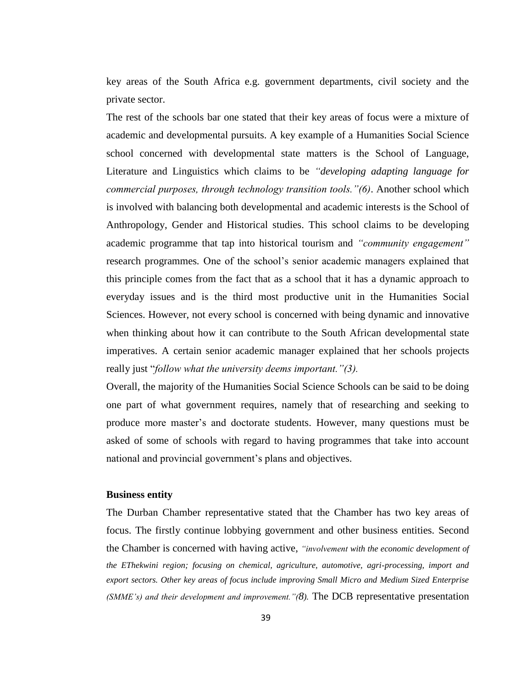key areas of the South Africa e.g. government departments, civil society and the private sector.

The rest of the schools bar one stated that their key areas of focus were a mixture of academic and developmental pursuits. A key example of a Humanities Social Science school concerned with developmental state matters is the School of Language, Literature and Linguistics which claims to be *"developing adapting language for commercial purposes, through technology transition tools."(6)*. Another school which is involved with balancing both developmental and academic interests is the School of Anthropology, Gender and Historical studies. This school claims to be developing academic programme that tap into historical tourism and *"community engagement"* research programmes*.* One of the school"s senior academic managers explained that this principle comes from the fact that as a school that it has a dynamic approach to everyday issues and is the third most productive unit in the Humanities Social Sciences. However, not every school is concerned with being dynamic and innovative when thinking about how it can contribute to the South African developmental state imperatives. A certain senior academic manager explained that her schools projects really just "*follow what the university deems important."(3).*

Overall, the majority of the Humanities Social Science Schools can be said to be doing one part of what government requires, namely that of researching and seeking to produce more master"s and doctorate students. However, many questions must be asked of some of schools with regard to having programmes that take into account national and provincial government's plans and objectives.

#### **Business entity**

The Durban Chamber representative stated that the Chamber has two key areas of focus. The firstly continue lobbying government and other business entities. Second the Chamber is concerned with having active, *"involvement with the economic development of the EThekwini region; focusing on chemical, agriculture, automotive, agri-processing, import and export sectors. Other key areas of focus include improving Small Micro and Medium Sized Enterprise (SMME"s) and their development and improvement."(8).* The DCB representative presentation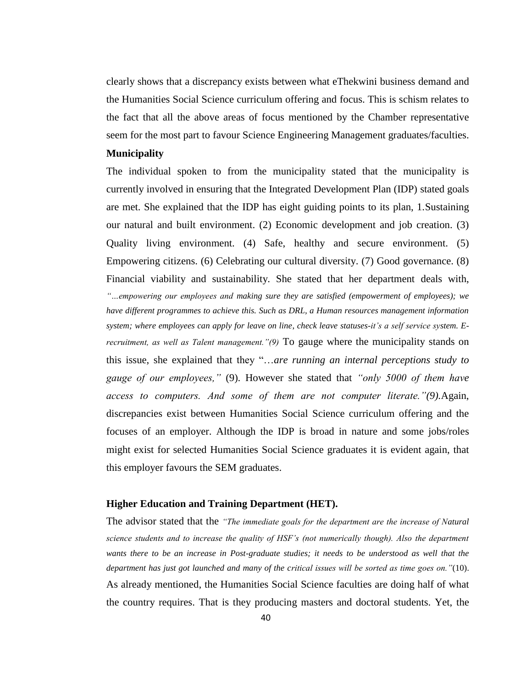clearly shows that a discrepancy exists between what eThekwini business demand and the Humanities Social Science curriculum offering and focus. This is schism relates to the fact that all the above areas of focus mentioned by the Chamber representative seem for the most part to favour Science Engineering Management graduates/faculties.

#### **Municipality**

The individual spoken to from the municipality stated that the municipality is currently involved in ensuring that the Integrated Development Plan (IDP) stated goals are met. She explained that the IDP has eight guiding points to its plan, 1.Sustaining our natural and built environment. (2) Economic development and job creation. (3) Quality living environment. (4) Safe, healthy and secure environment. (5) Empowering citizens. (6) Celebrating our cultural diversity. (7) Good governance. (8) Financial viability and sustainability. She stated that her department deals with, *"…empowering our employees and making sure they are satisfied (empowerment of employees); we have different programmes to achieve this. Such as DRL, a Human resources management information*  system; where employees can apply for leave on line, check leave statuses-it's a self service system. E*recruitment, as well as Talent management."(9)* To gauge where the municipality stands on this issue, she explained that they "…*are running an internal perceptions study to gauge of our employees,"* (9). However she stated that *"only 5000 of them have access to computers. And some of them are not computer literate."(9).*Again, discrepancies exist between Humanities Social Science curriculum offering and the focuses of an employer. Although the IDP is broad in nature and some jobs/roles might exist for selected Humanities Social Science graduates it is evident again, that this employer favours the SEM graduates.

#### **Higher Education and Training Department (HET).**

The advisor stated that the *"The immediate goals for the department are the increase of Natural science students and to increase the quality of HSF"s (not numerically though). Also the department wants there to be an increase in Post-graduate studies; it needs to be understood as well that the department has just got launched and many of the critical issues will be sorted as time goes on."*(10). As already mentioned, the Humanities Social Science faculties are doing half of what the country requires. That is they producing masters and doctoral students. Yet, the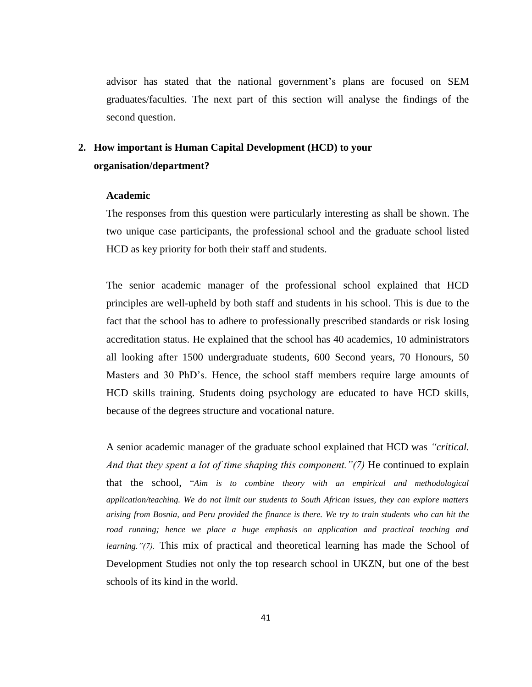advisor has stated that the national government"s plans are focused on SEM graduates/faculties. The next part of this section will analyse the findings of the second question.

### **2. How important is Human Capital Development (HCD) to your organisation/department?**

#### **Academic**

The responses from this question were particularly interesting as shall be shown. The two unique case participants, the professional school and the graduate school listed HCD as key priority for both their staff and students.

The senior academic manager of the professional school explained that HCD principles are well-upheld by both staff and students in his school. This is due to the fact that the school has to adhere to professionally prescribed standards or risk losing accreditation status. He explained that the school has 40 academics, 10 administrators all looking after 1500 undergraduate students, 600 Second years, 70 Honours, 50 Masters and 30 PhD"s. Hence, the school staff members require large amounts of HCD skills training. Students doing psychology are educated to have HCD skills, because of the degrees structure and vocational nature.

A senior academic manager of the graduate school explained that HCD was *"critical. And that they spent a lot of time shaping this component."(7)* He continued to explain that the school, "*Aim is to combine theory with an empirical and methodological application/teaching. We do not limit our students to South African issues, they can explore matters arising from Bosnia, and Peru provided the finance is there. We try to train students who can hit the road running; hence we place a huge emphasis on application and practical teaching and learning."(7).* This mix of practical and theoretical learning has made the School of Development Studies not only the top research school in UKZN, but one of the best schools of its kind in the world.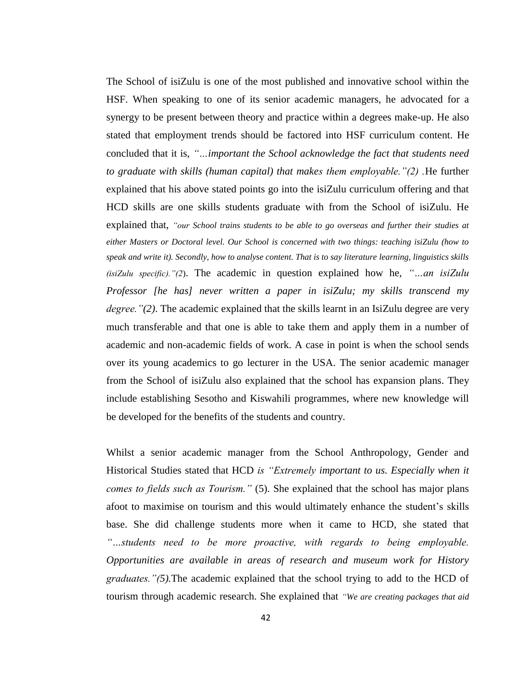The School of isiZulu is one of the most published and innovative school within the HSF. When speaking to one of its senior academic managers, he advocated for a synergy to be present between theory and practice within a degrees make-up. He also stated that employment trends should be factored into HSF curriculum content. He concluded that it is, *"…important the School acknowledge the fact that students need to graduate with skills (human capital) that makes them employable."(2) .*He further explained that his above stated points go into the isiZulu curriculum offering and that HCD skills are one skills students graduate with from the School of isiZulu. He explained that, *"our School trains students to be able to go overseas and further their studies at either Masters or Doctoral level. Our School is concerned with two things: teaching isiZulu (how to speak and write it). Secondly, how to analyse content. That is to say literature learning, linguistics skills (isiZulu specific)."(2*). The academic in question explained how he, *"…an isiZulu Professor [he has] never written a paper in isiZulu; my skills transcend my degree."(2)*. The academic explained that the skills learnt in an IsiZulu degree are very much transferable and that one is able to take them and apply them in a number of academic and non-academic fields of work. A case in point is when the school sends over its young academics to go lecturer in the USA. The senior academic manager from the School of isiZulu also explained that the school has expansion plans. They include establishing Sesotho and Kiswahili programmes, where new knowledge will be developed for the benefits of the students and country.

Whilst a senior academic manager from the School Anthropology, Gender and Historical Studies stated that HCD *is "Extremely important to us. Especially when it comes to fields such as Tourism."* (5). She explained that the school has major plans afoot to maximise on tourism and this would ultimately enhance the student"s skills base. She did challenge students more when it came to HCD, she stated that *"…students need to be more proactive, with regards to being employable. Opportunities are available in areas of research and museum work for History graduates."(5).*The academic explained that the school trying to add to the HCD of tourism through academic research. She explained that *"We are creating packages that aid*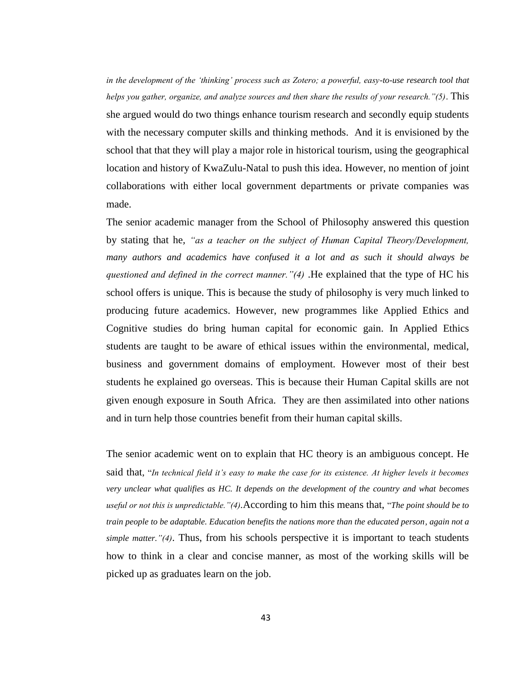*in the development of the "thinking" process such as Zotero; a powerful, easy-to-use research tool that helps you gather, organize, and analyze sources and then share the results of your research."(5)*. This she argued would do two things enhance tourism research and secondly equip students with the necessary computer skills and thinking methods. And it is envisioned by the school that that they will play a major role in historical tourism, using the geographical location and history of KwaZulu-Natal to push this idea. However, no mention of joint collaborations with either local government departments or private companies was made.

The senior academic manager from the School of Philosophy answered this question by stating that he*, "as a teacher on the subject of Human Capital Theory/Development, many authors and academics have confused it a lot and as such it should always be questioned and defined in the correct manner."(4)* .He explained that the type of HC his school offers is unique. This is because the study of philosophy is very much linked to producing future academics. However, new programmes like Applied Ethics and Cognitive studies do bring human capital for economic gain. In Applied Ethics students are taught to be aware of ethical issues within the environmental, medical, business and government domains of employment. However most of their best students he explained go overseas. This is because their Human Capital skills are not given enough exposure in South Africa. They are then assimilated into other nations and in turn help those countries benefit from their human capital skills.

The senior academic went on to explain that HC theory is an ambiguous concept. He said that, "*In technical field it"s easy to make the case for its existence. At higher levels it becomes very unclear what qualifies as HC. It depends on the development of the country and what becomes useful or not this is unpredictable."(4).*According to him this means that, "*The point should be to train people to be adaptable. Education benefits the nations more than the educated person, again not a simple matter."(4)*. Thus, from his schools perspective it is important to teach students how to think in a clear and concise manner, as most of the working skills will be picked up as graduates learn on the job.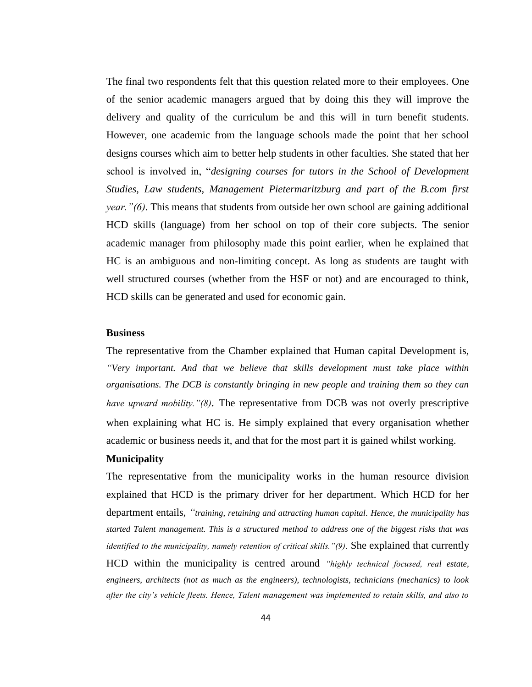The final two respondents felt that this question related more to their employees. One of the senior academic managers argued that by doing this they will improve the delivery and quality of the curriculum be and this will in turn benefit students. However, one academic from the language schools made the point that her school designs courses which aim to better help students in other faculties. She stated that her school is involved in, "*designing courses for tutors in the School of Development Studies, Law students, Management Pietermaritzburg and part of the B.com first year."(6)*. This means that students from outside her own school are gaining additional HCD skills (language) from her school on top of their core subjects. The senior academic manager from philosophy made this point earlier, when he explained that HC is an ambiguous and non-limiting concept. As long as students are taught with well structured courses (whether from the HSF or not) and are encouraged to think, HCD skills can be generated and used for economic gain.

#### **Business**

The representative from the Chamber explained that Human capital Development is, *"Very important. And that we believe that skills development must take place within organisations. The DCB is constantly bringing in new people and training them so they can have upward mobility."(8).* The representative from DCB was not overly prescriptive when explaining what HC is. He simply explained that every organisation whether academic or business needs it, and that for the most part it is gained whilst working.

#### **Municipality**

The representative from the municipality works in the human resource division explained that HCD is the primary driver for her department. Which HCD for her department entails, *"training, retaining and attracting human capital. Hence, the municipality has started Talent management. This is a structured method to address one of the biggest risks that was identified to the municipality, namely retention of critical skills."(9)*. She explained that currently HCD within the municipality is centred around *"highly technical focused, real estate, engineers, architects (not as much as the engineers), technologists, technicians (mechanics) to look after the city"s vehicle fleets. Hence, Talent management was implemented to retain skills, and also to*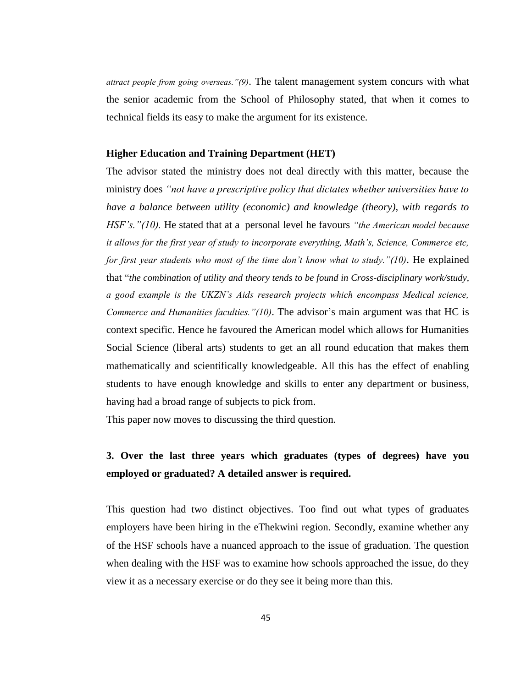*attract people from going overseas."(9)*. The talent management system concurs with what the senior academic from the School of Philosophy stated, that when it comes to technical fields its easy to make the argument for its existence.

#### **Higher Education and Training Department (HET)**

The advisor stated the ministry does not deal directly with this matter, because the ministry does *"not have a prescriptive policy that dictates whether universities have to have a balance between utility (economic) and knowledge (theory), with regards to HSF"s."(10).* He stated that at a personal level he favours *"the American model because it allows for the first year of study to incorporate everything, Math"s, Science, Commerce etc, for first year students who most of the time don"t know what to study."(10)*. He explained that "*the combination of utility and theory tends to be found in Cross-disciplinary work/study, a good example is the UKZN"s Aids research projects which encompass Medical science, Commerce and Humanities faculties."(10).* The advisor's main argument was that HC is context specific. Hence he favoured the American model which allows for Humanities Social Science (liberal arts) students to get an all round education that makes them mathematically and scientifically knowledgeable. All this has the effect of enabling students to have enough knowledge and skills to enter any department or business, having had a broad range of subjects to pick from.

This paper now moves to discussing the third question.

### **3. Over the last three years which graduates (types of degrees) have you employed or graduated? A detailed answer is required.**

This question had two distinct objectives. Too find out what types of graduates employers have been hiring in the eThekwini region. Secondly, examine whether any of the HSF schools have a nuanced approach to the issue of graduation. The question when dealing with the HSF was to examine how schools approached the issue, do they view it as a necessary exercise or do they see it being more than this.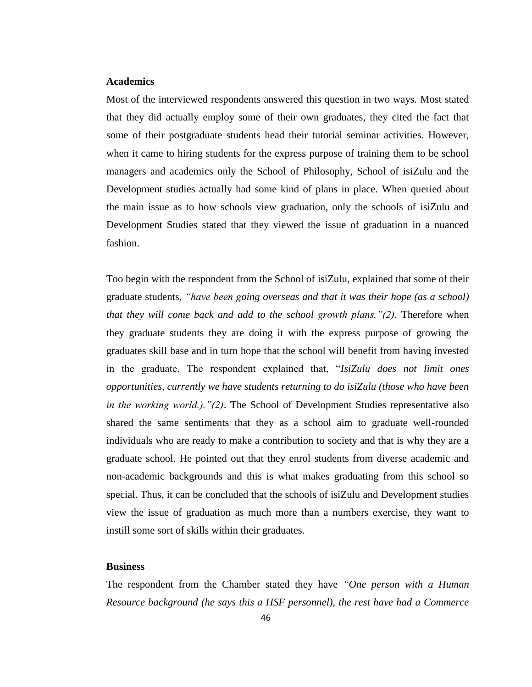#### **Academics**

Most of the interviewed respondents answered this question in two ways. Most stated that they did actually employ some of their own graduates, they cited the fact that some of their postgraduate students head their tutorial seminar activities. However, when it came to hiring students for the express purpose of training them to be school managers and academics only the School of Philosophy, School of isiZulu and the Development studies actually had some kind of plans in place. When queried about the main issue as to how schools view graduation, only the schools of isiZulu and Development Studies stated that they viewed the issue of graduation in a nuanced fashion.

Too begin with the respondent from the School of isiZulu, explained that some of their graduate students, *"have been going overseas and that it was their hope (as a school) that they will come back and add to the school growth plans."(2)*. Therefore when they graduate students they are doing it with the express purpose of growing the graduates skill base and in turn hope that the school will benefit from having invested in the graduate. The respondent explained that, "*IsiZulu does not limit ones opportunities, currently we have students returning to do isiZulu (those who have been in the working world.)."(2)*. The School of Development Studies representative also shared the same sentiments that they as a school aim to graduate well-rounded individuals who are ready to make a contribution to society and that is why they are a graduate school. He pointed out that they enrol students from diverse academic and non-academic backgrounds and this is what makes graduating from this school so special. Thus, it can be concluded that the schools of isiZulu and Development studies view the issue of graduation as much more than a numbers exercise, they want to instill some sort of skills within their graduates.

#### **Business**

The respondent from the Chamber stated they have *"One person with a Human Resource background (he says this a HSF personnel), the rest have had a Commerce*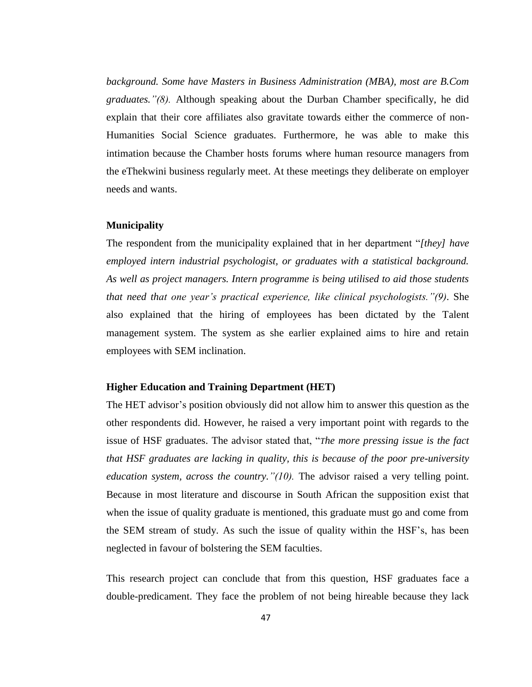*background. Some have Masters in Business Administration (MBA), most are B.Com graduates."(8).* Although speaking about the Durban Chamber specifically, he did explain that their core affiliates also gravitate towards either the commerce of non-Humanities Social Science graduates. Furthermore, he was able to make this intimation because the Chamber hosts forums where human resource managers from the eThekwini business regularly meet. At these meetings they deliberate on employer needs and wants.

#### **Municipality**

The respondent from the municipality explained that in her department "*[they] have employed intern industrial psychologist, or graduates with a statistical background. As well as project managers. Intern programme is being utilised to aid those students that need that one year"s practical experience, like clinical psychologists."(9)*. She also explained that the hiring of employees has been dictated by the Talent management system. The system as she earlier explained aims to hire and retain employees with SEM inclination.

#### **Higher Education and Training Department (HET)**

The HET advisor's position obviously did not allow him to answer this question as the other respondents did. However, he raised a very important point with regards to the issue of HSF graduates. The advisor stated that, "*The more pressing issue is the fact that HSF graduates are lacking in quality, this is because of the poor pre-university education system, across the country."(10).* The advisor raised a very telling point. Because in most literature and discourse in South African the supposition exist that when the issue of quality graduate is mentioned, this graduate must go and come from the SEM stream of study. As such the issue of quality within the HSF"s, has been neglected in favour of bolstering the SEM faculties.

This research project can conclude that from this question, HSF graduates face a double-predicament. They face the problem of not being hireable because they lack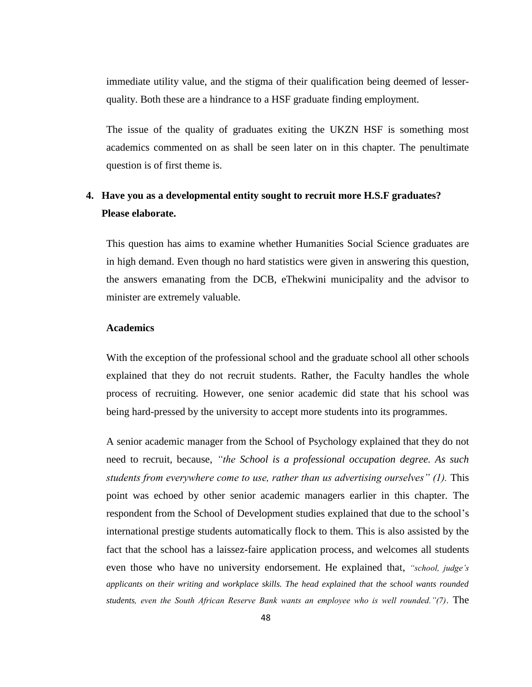immediate utility value, and the stigma of their qualification being deemed of lesserquality. Both these are a hindrance to a HSF graduate finding employment.

The issue of the quality of graduates exiting the UKZN HSF is something most academics commented on as shall be seen later on in this chapter. The penultimate question is of first theme is.

### **4. Have you as a developmental entity sought to recruit more H.S.F graduates? Please elaborate.**

This question has aims to examine whether Humanities Social Science graduates are in high demand. Even though no hard statistics were given in answering this question, the answers emanating from the DCB, eThekwini municipality and the advisor to minister are extremely valuable.

#### **Academics**

With the exception of the professional school and the graduate school all other schools explained that they do not recruit students. Rather, the Faculty handles the whole process of recruiting. However, one senior academic did state that his school was being hard-pressed by the university to accept more students into its programmes.

A senior academic manager from the School of Psychology explained that they do not need to recruit, because, *"the School is a professional occupation degree. As such students from everywhere come to use, rather than us advertising ourselves" (1).* This point was echoed by other senior academic managers earlier in this chapter. The respondent from the School of Development studies explained that due to the school"s international prestige students automatically flock to them. This is also assisted by the fact that the school has a laissez-faire application process, and welcomes all students even those who have no university endorsement. He explained that, *"school, judge"s applicants on their writing and workplace skills. The head explained that the school wants rounded students, even the South African Reserve Bank wants an employee who is well rounded."(7)*. The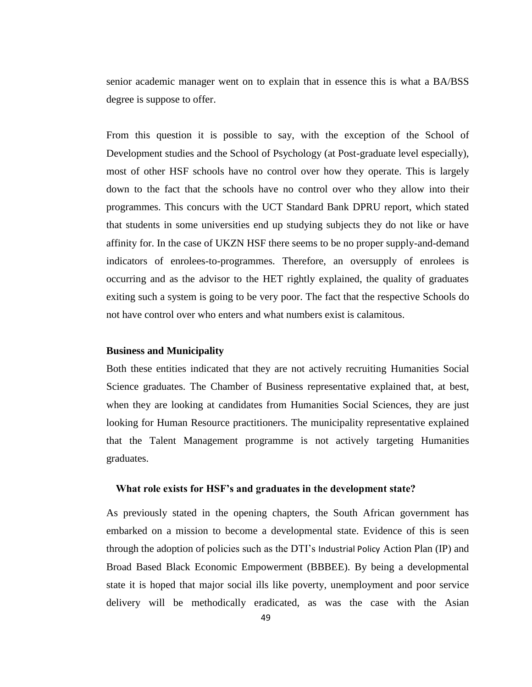senior academic manager went on to explain that in essence this is what a BA/BSS degree is suppose to offer.

From this question it is possible to say, with the exception of the School of Development studies and the School of Psychology (at Post-graduate level especially), most of other HSF schools have no control over how they operate. This is largely down to the fact that the schools have no control over who they allow into their programmes. This concurs with the UCT Standard Bank DPRU report, which stated that students in some universities end up studying subjects they do not like or have affinity for. In the case of UKZN HSF there seems to be no proper supply-and-demand indicators of enrolees-to-programmes. Therefore, an oversupply of enrolees is occurring and as the advisor to the HET rightly explained, the quality of graduates exiting such a system is going to be very poor. The fact that the respective Schools do not have control over who enters and what numbers exist is calamitous.

#### **Business and Municipality**

Both these entities indicated that they are not actively recruiting Humanities Social Science graduates. The Chamber of Business representative explained that, at best, when they are looking at candidates from Humanities Social Sciences, they are just looking for Human Resource practitioners. The municipality representative explained that the Talent Management programme is not actively targeting Humanities graduates.

#### **What role exists for HSF's and graduates in the development state?**

As previously stated in the opening chapters, the South African government has embarked on a mission to become a developmental state. Evidence of this is seen through the adoption of policies such as the DTI"s Industrial Policy Action Plan (IP) and Broad Based Black Economic Empowerment (BBBEE). By being a developmental state it is hoped that major social ills like poverty, unemployment and poor service delivery will be methodically eradicated, as was the case with the Asian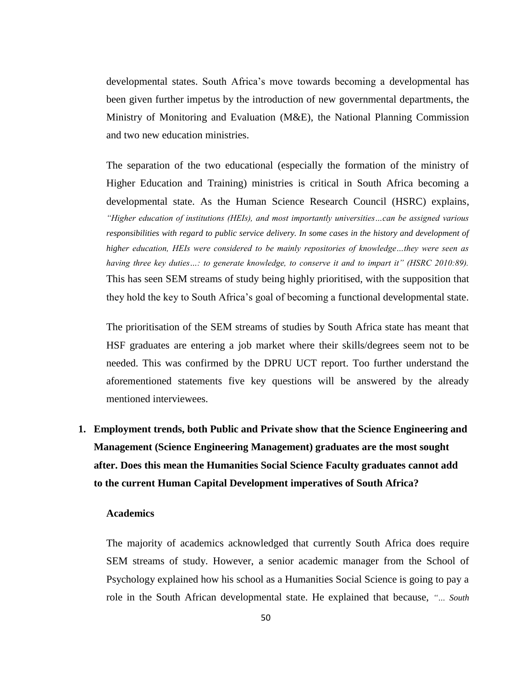developmental states. South Africa"s move towards becoming a developmental has been given further impetus by the introduction of new governmental departments, the Ministry of Monitoring and Evaluation (M&E), the National Planning Commission and two new education ministries.

The separation of the two educational (especially the formation of the ministry of Higher Education and Training) ministries is critical in South Africa becoming a developmental state. As the Human Science Research Council (HSRC) explains, *"Higher education of institutions (HEIs), and most importantly universities…can be assigned various responsibilities with regard to public service delivery. In some cases in the history and development of higher education, HEIs were considered to be mainly repositories of knowledge…they were seen as having three key duties…: to generate knowledge, to conserve it and to impart it" (HSRC 2010:89).* This has seen SEM streams of study being highly prioritised, with the supposition that they hold the key to South Africa"s goal of becoming a functional developmental state.

The prioritisation of the SEM streams of studies by South Africa state has meant that HSF graduates are entering a job market where their skills/degrees seem not to be needed. This was confirmed by the DPRU UCT report. Too further understand the aforementioned statements five key questions will be answered by the already mentioned interviewees.

# **1. Employment trends, both Public and Private show that the Science Engineering and Management (Science Engineering Management) graduates are the most sought after. Does this mean the Humanities Social Science Faculty graduates cannot add to the current Human Capital Development imperatives of South Africa?**

#### **Academics**

The majority of academics acknowledged that currently South Africa does require SEM streams of study. However, a senior academic manager from the School of Psychology explained how his school as a Humanities Social Science is going to pay a role in the South African developmental state. He explained that because, *"… South*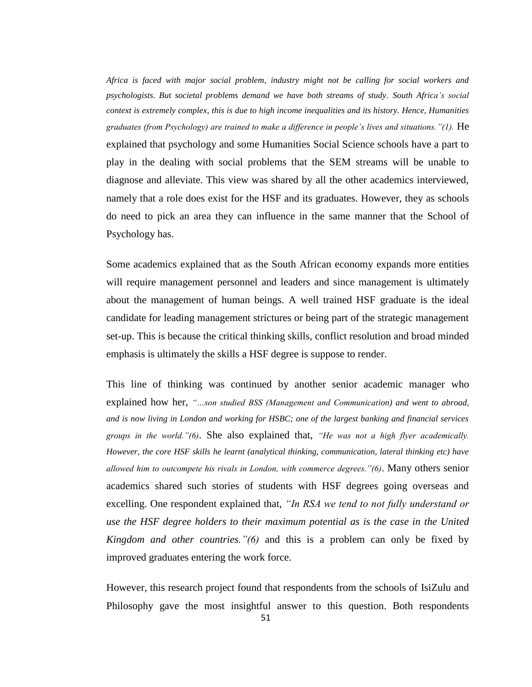*Africa is faced with major social problem, industry might not be calling for social workers and psychologists. But societal problems demand we have both streams of study. South Africa"s social context is extremely complex, this is due to high income inequalities and its history. Hence, Humanities graduates (from Psychology) are trained to make a difference in people"s lives and situations."(1).* He explained that psychology and some Humanities Social Science schools have a part to play in the dealing with social problems that the SEM streams will be unable to diagnose and alleviate. This view was shared by all the other academics interviewed, namely that a role does exist for the HSF and its graduates. However, they as schools do need to pick an area they can influence in the same manner that the School of Psychology has.

Some academics explained that as the South African economy expands more entities will require management personnel and leaders and since management is ultimately about the management of human beings. A well trained HSF graduate is the ideal candidate for leading management strictures or being part of the strategic management set-up. This is because the critical thinking skills, conflict resolution and broad minded emphasis is ultimately the skills a HSF degree is suppose to render.

This line of thinking was continued by another senior academic manager who explained how her, *"…son studied BSS (Management and Communication) and went to abroad, and is now living in London and working for HSBC; one of the largest banking and financial services groups in the world."(6)*. She also explained that, *"He was not a high flyer academically. However, the core HSF skills he learnt (analytical thinking, communication, lateral thinking etc) have allowed him to outcompete his rivals in London, with commerce degrees."(6)*. Many others senior academics shared such stories of students with HSF degrees going overseas and excelling. One respondent explained that, *"In RSA we tend to not fully understand or use the HSF degree holders to their maximum potential as is the case in the United Kingdom and other countries."(6)* and this is a problem can only be fixed by improved graduates entering the work force.

However, this research project found that respondents from the schools of IsiZulu and Philosophy gave the most insightful answer to this question. Both respondents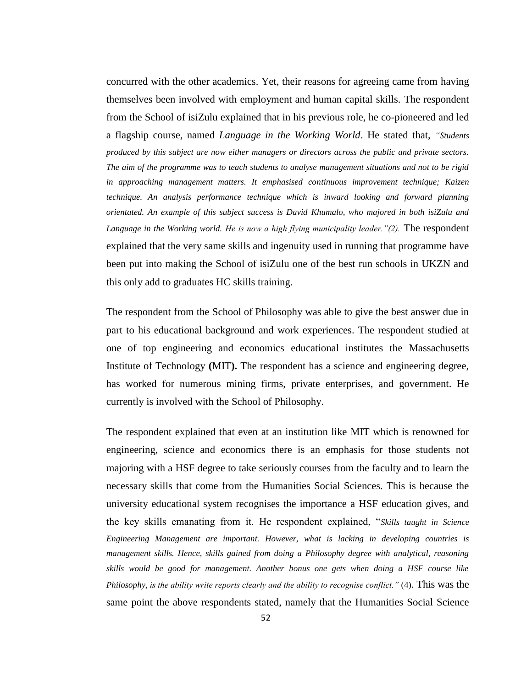concurred with the other academics. Yet, their reasons for agreeing came from having themselves been involved with employment and human capital skills. The respondent from the School of isiZulu explained that in his previous role, he co-pioneered and led a flagship course, named *Language in the Working World*. He stated that, *"Students produced by this subject are now either managers or directors across the public and private sectors. The aim of the programme was to teach students to analyse management situations and not to be rigid in approaching management matters. It emphasised continuous improvement technique; Kaizen technique. An analysis performance technique which is inward looking and forward planning orientated. An example of this subject success is David Khumalo, who majored in both isiZulu and Language in the Working world. He is now a high flying municipality leader."(2).* The respondent explained that the very same skills and ingenuity used in running that programme have been put into making the School of isiZulu one of the best run schools in UKZN and this only add to graduates HC skills training.

The respondent from the School of Philosophy was able to give the best answer due in part to his educational background and work experiences. The respondent studied at one of top engineering and economics educational institutes the Massachusetts Institute of Technology **(**MIT**).** The respondent has a science and engineering degree, has worked for numerous mining firms, private enterprises, and government. He currently is involved with the School of Philosophy.

The respondent explained that even at an institution like MIT which is renowned for engineering, science and economics there is an emphasis for those students not majoring with a HSF degree to take seriously courses from the faculty and to learn the necessary skills that come from the Humanities Social Sciences. This is because the university educational system recognises the importance a HSF education gives, and the key skills emanating from it. He respondent explained, "*Skills taught in Science Engineering Management are important. However, what is lacking in developing countries is management skills. Hence, skills gained from doing a Philosophy degree with analytical, reasoning skills would be good for management. Another bonus one gets when doing a HSF course like Philosophy, is the ability write reports clearly and the ability to recognise conflict."* (4). This was the same point the above respondents stated, namely that the Humanities Social Science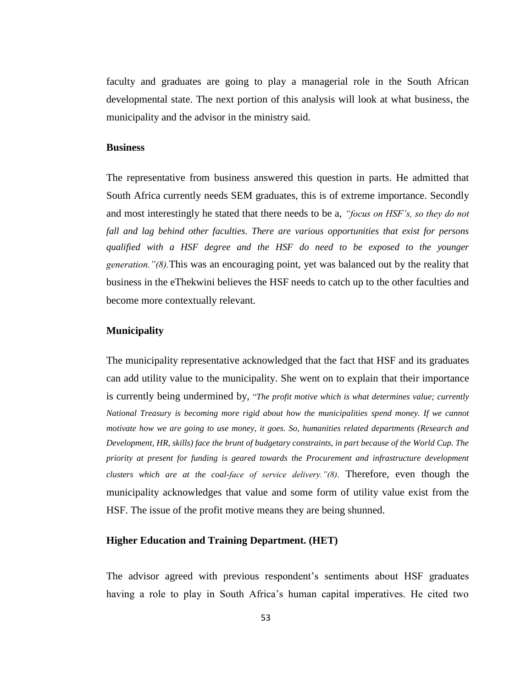faculty and graduates are going to play a managerial role in the South African developmental state. The next portion of this analysis will look at what business, the municipality and the advisor in the ministry said.

#### **Business**

The representative from business answered this question in parts. He admitted that South Africa currently needs SEM graduates, this is of extreme importance. Secondly and most interestingly he stated that there needs to be a, *"focus on HSF"s, so they do not fall and lag behind other faculties. There are various opportunities that exist for persons qualified with a HSF degree and the HSF do need to be exposed to the younger generation."(8).*This was an encouraging point, yet was balanced out by the reality that business in the eThekwini believes the HSF needs to catch up to the other faculties and become more contextually relevant.

#### **Municipality**

The municipality representative acknowledged that the fact that HSF and its graduates can add utility value to the municipality. She went on to explain that their importance is currently being undermined by, "*The profit motive which is what determines value; currently National Treasury is becoming more rigid about how the municipalities spend money. If we cannot motivate how we are going to use money, it goes. So, humanities related departments (Research and Development, HR, skills) face the brunt of budgetary constraints, in part because of the World Cup. The priority at present for funding is geared towards the Procurement and infrastructure development clusters which are at the coal-face of service delivery."(8)*. Therefore, even though the municipality acknowledges that value and some form of utility value exist from the HSF. The issue of the profit motive means they are being shunned.

#### **Higher Education and Training Department. (HET)**

The advisor agreed with previous respondent"s sentiments about HSF graduates having a role to play in South Africa's human capital imperatives. He cited two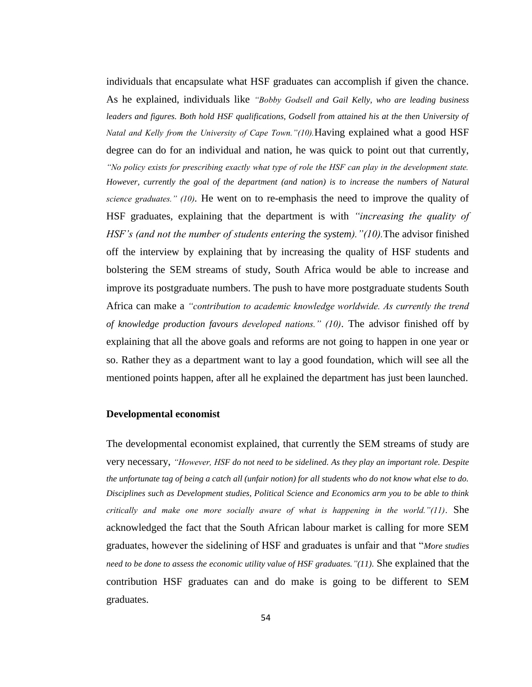individuals that encapsulate what HSF graduates can accomplish if given the chance. As he explained, individuals like *"Bobby Godsell and Gail Kelly, who are leading business*  leaders and figures. Both hold HSF qualifications, Godsell from attained his at the then University of *Natal and Kelly from the University of Cape Town."(10).*Having explained what a good HSF degree can do for an individual and nation, he was quick to point out that currently, *"No policy exists for prescribing exactly what type of role the HSF can play in the development state. However, currently the goal of the department (and nation) is to increase the numbers of Natural science graduates." (10).* He went on to re-emphasis the need to improve the quality of HSF graduates, explaining that the department is with *"increasing the quality of HSF"s (and not the number of students entering the system)."(10).*The advisor finished off the interview by explaining that by increasing the quality of HSF students and bolstering the SEM streams of study, South Africa would be able to increase and improve its postgraduate numbers. The push to have more postgraduate students South Africa can make a *"contribution to academic knowledge worldwide. As currently the trend of knowledge production favours developed nations." (10)*. The advisor finished off by explaining that all the above goals and reforms are not going to happen in one year or so. Rather they as a department want to lay a good foundation, which will see all the mentioned points happen, after all he explained the department has just been launched.

#### **Developmental economist**

The developmental economist explained, that currently the SEM streams of study are very necessary, *"However, HSF do not need to be sidelined. As they play an important role. Despite the unfortunate tag of being a catch all (unfair notion) for all students who do not know what else to do. Disciplines such as Development studies, Political Science and Economics arm you to be able to think critically and make one more socially aware of what is happening in the world."(11)*. She acknowledged the fact that the South African labour market is calling for more SEM graduates, however the sidelining of HSF and graduates is unfair and that "*More studies need to be done to assess the economic utility value of HSF graduates."(11)*. She explained that the contribution HSF graduates can and do make is going to be different to SEM graduates.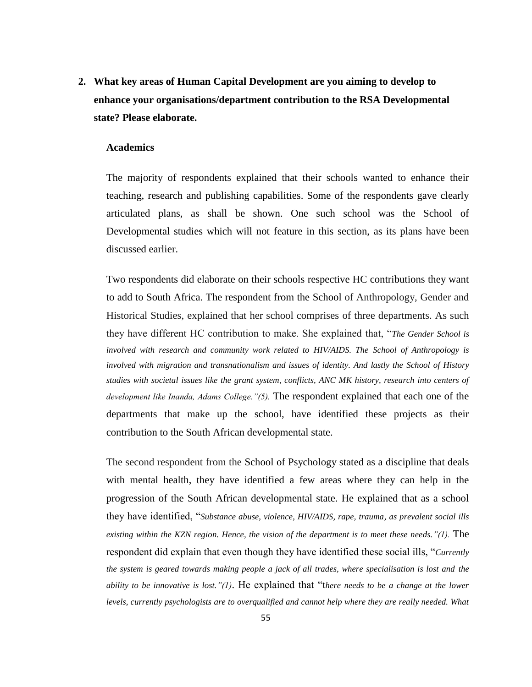**2. What key areas of Human Capital Development are you aiming to develop to enhance your organisations/department contribution to the RSA Developmental state? Please elaborate.** 

#### **Academics**

The majority of respondents explained that their schools wanted to enhance their teaching, research and publishing capabilities. Some of the respondents gave clearly articulated plans, as shall be shown. One such school was the School of Developmental studies which will not feature in this section, as its plans have been discussed earlier.

Two respondents did elaborate on their schools respective HC contributions they want to add to South Africa. The respondent from the School of Anthropology, Gender and Historical Studies, explained that her school comprises of three departments. As such they have different HC contribution to make. She explained that, "*The Gender School is involved with research and community work related to HIV/AIDS. The School of Anthropology is involved with migration and transnationalism and issues of identity. And lastly the School of History studies with societal issues like the grant system, conflicts, ANC MK history, research into centers of development like Inanda, Adams College."(5).* The respondent explained that each one of the departments that make up the school, have identified these projects as their contribution to the South African developmental state.

The second respondent from the School of Psychology stated as a discipline that deals with mental health, they have identified a few areas where they can help in the progression of the South African developmental state. He explained that as a school they have identified, "*Substance abuse, violence, HIV/AIDS, rape, trauma, as prevalent social ills existing within the KZN region. Hence, the vision of the department is to meet these needs."(1).* The respondent did explain that even though they have identified these social ills, "*Currently the system is geared towards making people a jack of all trades, where specialisation is lost and the ability to be innovative is lost."(1)*. He explained that "t*here needs to be a change at the lower levels, currently psychologists are to overqualified and cannot help where they are really needed. What*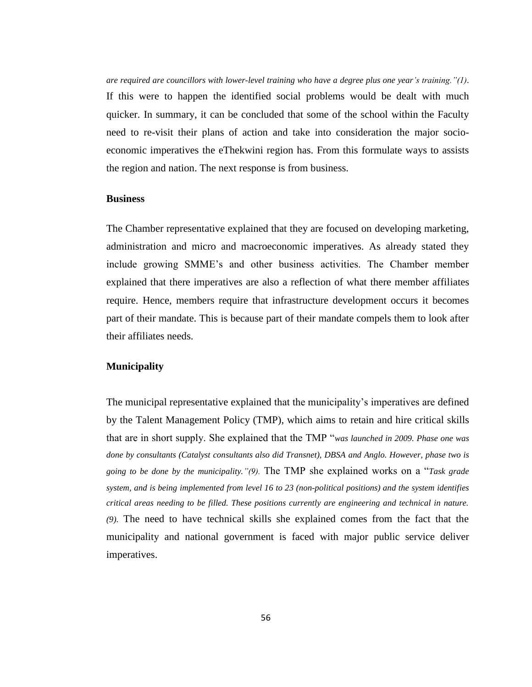*are required are councillors with lower-level training who have a degree plus one year"s training."(1)*. If this were to happen the identified social problems would be dealt with much quicker. In summary, it can be concluded that some of the school within the Faculty need to re-visit their plans of action and take into consideration the major socioeconomic imperatives the eThekwini region has. From this formulate ways to assists the region and nation. The next response is from business.

#### **Business**

The Chamber representative explained that they are focused on developing marketing, administration and micro and macroeconomic imperatives. As already stated they include growing SMME"s and other business activities. The Chamber member explained that there imperatives are also a reflection of what there member affiliates require. Hence, members require that infrastructure development occurs it becomes part of their mandate. This is because part of their mandate compels them to look after their affiliates needs.

#### **Municipality**

The municipal representative explained that the municipality"s imperatives are defined by the Talent Management Policy (TMP), which aims to retain and hire critical skills that are in short supply. She explained that the TMP "*was launched in 2009. Phase one was done by consultants (Catalyst consultants also did Transnet), DBSA and Anglo. However, phase two is going to be done by the municipality."(9).* The TMP she explained works on a "*Task grade system, and is being implemented from level 16 to 23 (non-political positions) and the system identifies critical areas needing to be filled. These positions currently are engineering and technical in nature. (9)*. The need to have technical skills she explained comes from the fact that the municipality and national government is faced with major public service deliver imperatives.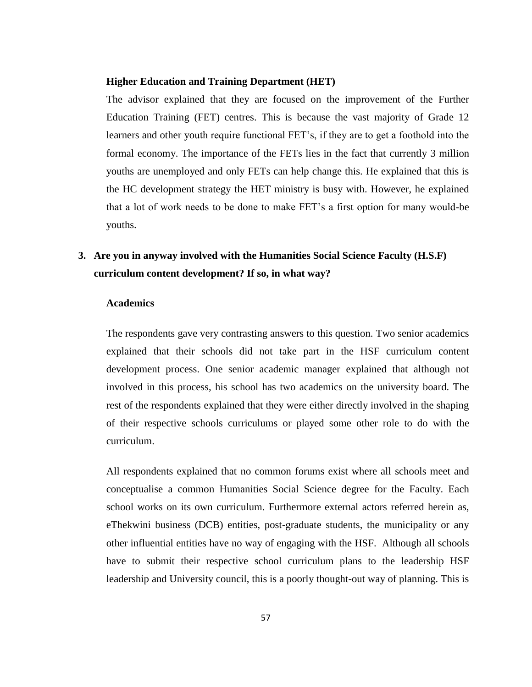#### **Higher Education and Training Department (HET)**

The advisor explained that they are focused on the improvement of the Further Education Training (FET) centres. This is because the vast majority of Grade 12 learners and other youth require functional FET"s, if they are to get a foothold into the formal economy. The importance of the FETs lies in the fact that currently 3 million youths are unemployed and only FETs can help change this. He explained that this is the HC development strategy the HET ministry is busy with. However, he explained that a lot of work needs to be done to make FET"s a first option for many would-be youths.

### **3. Are you in anyway involved with the Humanities Social Science Faculty (H.S.F) curriculum content development? If so, in what way?**

#### **Academics**

The respondents gave very contrasting answers to this question. Two senior academics explained that their schools did not take part in the HSF curriculum content development process. One senior academic manager explained that although not involved in this process, his school has two academics on the university board. The rest of the respondents explained that they were either directly involved in the shaping of their respective schools curriculums or played some other role to do with the curriculum.

All respondents explained that no common forums exist where all schools meet and conceptualise a common Humanities Social Science degree for the Faculty. Each school works on its own curriculum. Furthermore external actors referred herein as, eThekwini business (DCB) entities, post-graduate students, the municipality or any other influential entities have no way of engaging with the HSF. Although all schools have to submit their respective school curriculum plans to the leadership HSF leadership and University council, this is a poorly thought-out way of planning. This is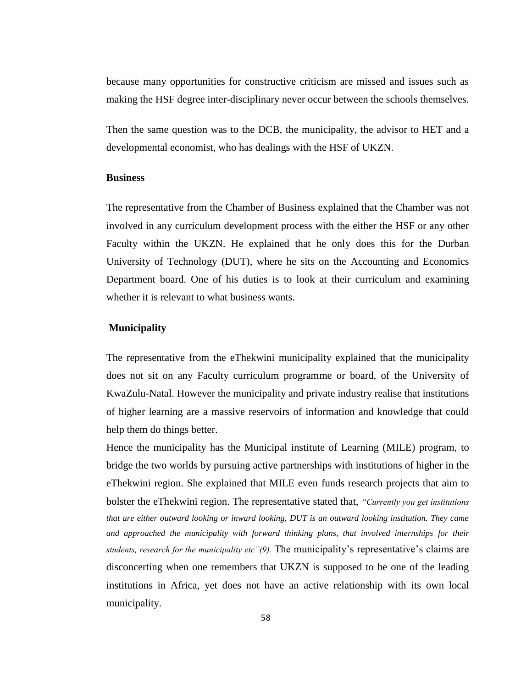because many opportunities for constructive criticism are missed and issues such as making the HSF degree inter-disciplinary never occur between the schools themselves.

Then the same question was to the DCB, the municipality, the advisor to HET and a developmental economist, who has dealings with the HSF of UKZN.

#### **Business**

The representative from the Chamber of Business explained that the Chamber was not involved in any curriculum development process with the either the HSF or any other Faculty within the UKZN. He explained that he only does this for the Durban University of Technology (DUT), where he sits on the Accounting and Economics Department board. One of his duties is to look at their curriculum and examining whether it is relevant to what business wants.

#### **Municipality**

The representative from the eThekwini municipality explained that the municipality does not sit on any Faculty curriculum programme or board, of the University of KwaZulu-Natal. However the municipality and private industry realise that institutions of higher learning are a massive reservoirs of information and knowledge that could help them do things better.

Hence the municipality has the Municipal institute of Learning (MILE) program, to bridge the two worlds by pursuing active partnerships with institutions of higher in the eThekwini region. She explained that MILE even funds research projects that aim to bolster the eThekwini region. The representative stated that, *"Currently you get institutions that are either outward looking or inward looking, DUT is an outward looking institution. They came and approached the municipality with forward thinking plans, that involved internships for their students, research for the municipality etc"(9).* The municipality"s representative"s claims are disconcerting when one remembers that UKZN is supposed to be one of the leading institutions in Africa, yet does not have an active relationship with its own local municipality.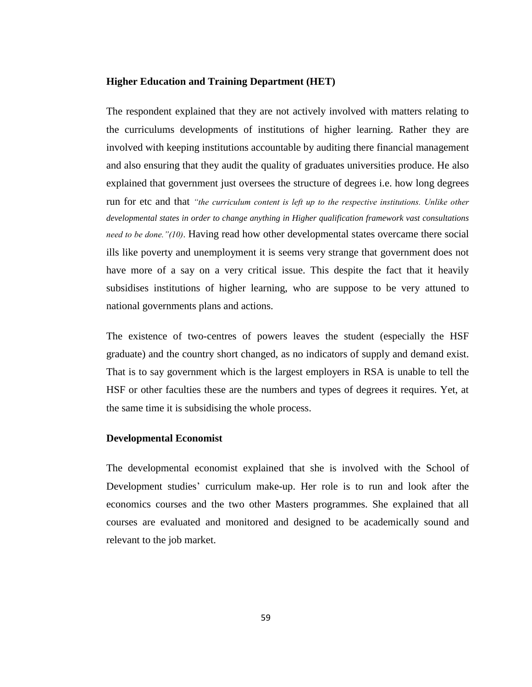#### **Higher Education and Training Department (HET)**

The respondent explained that they are not actively involved with matters relating to the curriculums developments of institutions of higher learning. Rather they are involved with keeping institutions accountable by auditing there financial management and also ensuring that they audit the quality of graduates universities produce. He also explained that government just oversees the structure of degrees i.e. how long degrees run for etc and that *"the curriculum content is left up to the respective institutions. Unlike other developmental states in order to change anything in Higher qualification framework vast consultations need to be done."(10)*. Having read how other developmental states overcame there social ills like poverty and unemployment it is seems very strange that government does not have more of a say on a very critical issue. This despite the fact that it heavily subsidises institutions of higher learning, who are suppose to be very attuned to national governments plans and actions.

The existence of two-centres of powers leaves the student (especially the HSF graduate) and the country short changed, as no indicators of supply and demand exist. That is to say government which is the largest employers in RSA is unable to tell the HSF or other faculties these are the numbers and types of degrees it requires. Yet, at the same time it is subsidising the whole process.

#### **Developmental Economist**

The developmental economist explained that she is involved with the School of Development studies' curriculum make-up. Her role is to run and look after the economics courses and the two other Masters programmes. She explained that all courses are evaluated and monitored and designed to be academically sound and relevant to the job market.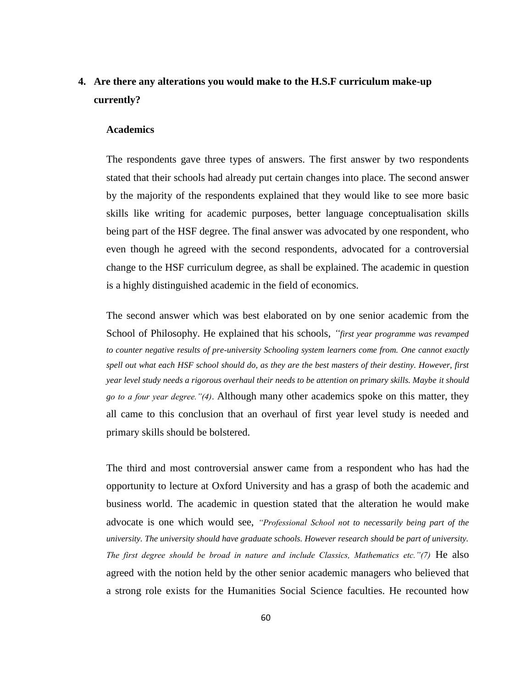### **4. Are there any alterations you would make to the H.S.F curriculum make-up currently?**

#### **Academics**

The respondents gave three types of answers. The first answer by two respondents stated that their schools had already put certain changes into place. The second answer by the majority of the respondents explained that they would like to see more basic skills like writing for academic purposes, better language conceptualisation skills being part of the HSF degree. The final answer was advocated by one respondent, who even though he agreed with the second respondents, advocated for a controversial change to the HSF curriculum degree, as shall be explained. The academic in question is a highly distinguished academic in the field of economics.

The second answer which was best elaborated on by one senior academic from the School of Philosophy. He explained that his schools, *"first year programme was revamped to counter negative results of pre-university Schooling system learners come from. One cannot exactly spell out what each HSF school should do, as they are the best masters of their destiny. However, first year level study needs a rigorous overhaul their needs to be attention on primary skills. Maybe it should go to a four year degree."(4)*. Although many other academics spoke on this matter, they all came to this conclusion that an overhaul of first year level study is needed and primary skills should be bolstered.

The third and most controversial answer came from a respondent who has had the opportunity to lecture at Oxford University and has a grasp of both the academic and business world. The academic in question stated that the alteration he would make advocate is one which would see, *"Professional School not to necessarily being part of the university. The university should have graduate schools. However research should be part of university. The first degree should be broad in nature and include Classics, Mathematics etc."(7)* He also agreed with the notion held by the other senior academic managers who believed that a strong role exists for the Humanities Social Science faculties. He recounted how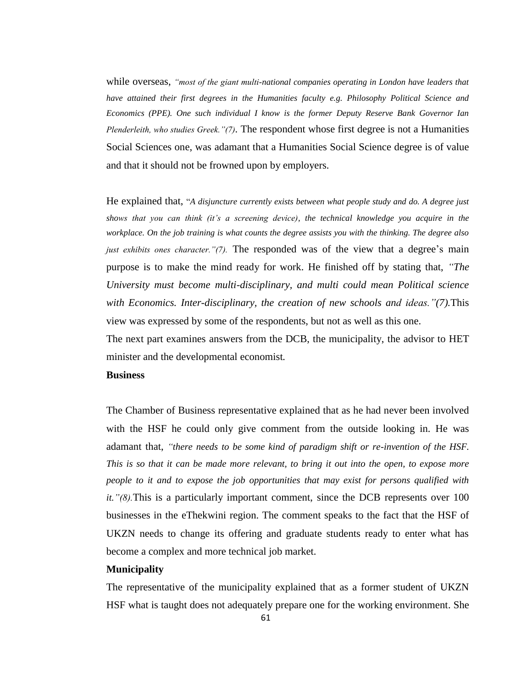while overseas, *"most of the giant multi-national companies operating in London have leaders that have attained their first degrees in the Humanities faculty e.g. Philosophy Political Science and Economics (PPE). One such individual I know is the former Deputy Reserve Bank Governor Ian Plenderleith, who studies Greek."(7).* The respondent whose first degree is not a Humanities Social Sciences one, was adamant that a Humanities Social Science degree is of value and that it should not be frowned upon by employers.

He explained that, "*A disjuncture currently exists between what people study and do. A degree just shows that you can think (it"s a screening device), the technical knowledge you acquire in the workplace. On the job training is what counts the degree assists you with the thinking. The degree also just exhibits ones character."(7).* The responded was of the view that a degree's main purpose is to make the mind ready for work. He finished off by stating that, *"The University must become multi-disciplinary, and multi could mean Political science with Economics. Inter-disciplinary, the creation of new schools and ideas."(7).*This view was expressed by some of the respondents, but not as well as this one.

The next part examines answers from the DCB, the municipality, the advisor to HET minister and the developmental economist*.* 

#### **Business**

The Chamber of Business representative explained that as he had never been involved with the HSF he could only give comment from the outside looking in. He was adamant that, *"there needs to be some kind of paradigm shift or re-invention of the HSF. This is so that it can be made more relevant, to bring it out into the open, to expose more people to it and to expose the job opportunities that may exist for persons qualified with it."(8).*This is a particularly important comment, since the DCB represents over 100 businesses in the eThekwini region. The comment speaks to the fact that the HSF of UKZN needs to change its offering and graduate students ready to enter what has become a complex and more technical job market.

#### **Municipality**

The representative of the municipality explained that as a former student of UKZN HSF what is taught does not adequately prepare one for the working environment. She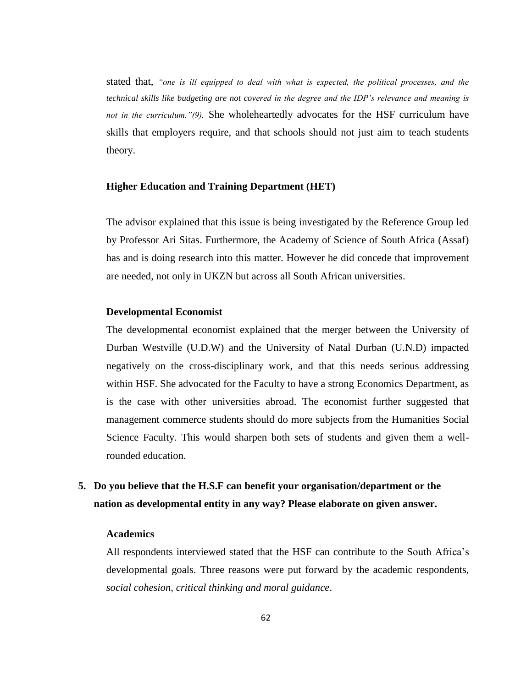stated that, *"one is ill equipped to deal with what is expected, the political processes, and the technical skills like budgeting are not covered in the degree and the IDP"s relevance and meaning is not in the curriculum."(9).* She wholeheartedly advocates for the HSF curriculum have skills that employers require, and that schools should not just aim to teach students theory.

#### **Higher Education and Training Department (HET)**

The advisor explained that this issue is being investigated by the Reference Group led by Professor Ari Sitas. Furthermore, the Academy of Science of South Africa (Assaf) has and is doing research into this matter. However he did concede that improvement are needed, not only in UKZN but across all South African universities.

#### **Developmental Economist**

The developmental economist explained that the merger between the University of Durban Westville (U.D.W) and the University of Natal Durban (U.N.D) impacted negatively on the cross-disciplinary work, and that this needs serious addressing within HSF. She advocated for the Faculty to have a strong Economics Department, as is the case with other universities abroad. The economist further suggested that management commerce students should do more subjects from the Humanities Social Science Faculty. This would sharpen both sets of students and given them a wellrounded education.

### **5. Do you believe that the H.S.F can benefit your organisation/department or the nation as developmental entity in any way? Please elaborate on given answer.**

#### **Academics**

All respondents interviewed stated that the HSF can contribute to the South Africa"s developmental goals. Three reasons were put forward by the academic respondents, *social cohesion, critical thinking and moral guidance*.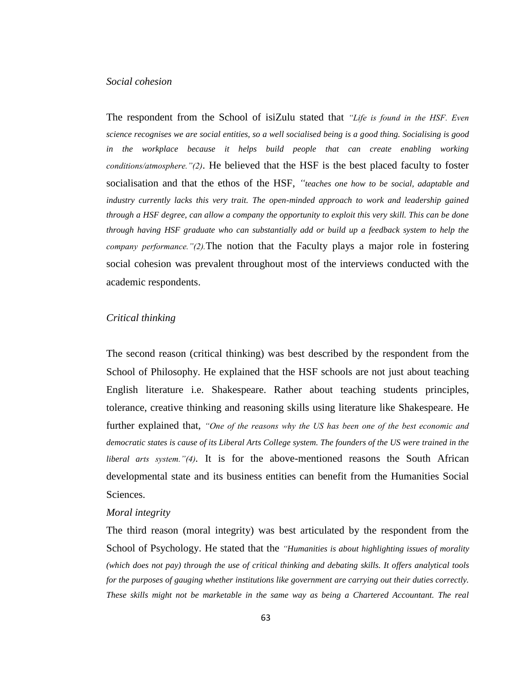#### *Social cohesion*

The respondent from the School of isiZulu stated that *"Life is found in the HSF. Even science recognises we are social entities, so a well socialised being is a good thing. Socialising is good in the workplace because it helps build people that can create enabling working conditions/atmosphere."(2)*. He believed that the HSF is the best placed faculty to foster socialisation and that the ethos of the HSF, *"teaches one how to be social, adaptable and industry currently lacks this very trait. The open-minded approach to work and leadership gained through a HSF degree, can allow a company the opportunity to exploit this very skill. This can be done through having HSF graduate who can substantially add or build up a feedback system to help the company performance."(2).*The notion that the Faculty plays a major role in fostering social cohesion was prevalent throughout most of the interviews conducted with the academic respondents.

#### *Critical thinking*

The second reason (critical thinking) was best described by the respondent from the School of Philosophy. He explained that the HSF schools are not just about teaching English literature i.e. Shakespeare. Rather about teaching students principles, tolerance, creative thinking and reasoning skills using literature like Shakespeare. He further explained that, *"One of the reasons why the US has been one of the best economic and democratic states is cause of its Liberal Arts College system. The founders of the US were trained in the liberal arts system."(4).* It is for the above-mentioned reasons the South African developmental state and its business entities can benefit from the Humanities Social Sciences.

#### *Moral integrity*

The third reason (moral integrity) was best articulated by the respondent from the School of Psychology. He stated that the *"Humanities is about highlighting issues of morality (which does not pay) through the use of critical thinking and debating skills. It offers analytical tools for the purposes of gauging whether institutions like government are carrying out their duties correctly. These skills might not be marketable in the same way as being a Chartered Accountant. The real*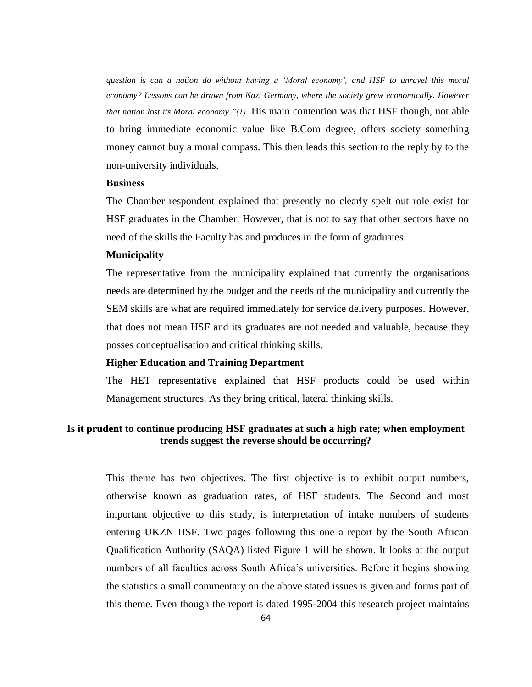*question is can a nation do without having a "Moral economy", and HSF to unravel this moral economy? Lessons can be drawn from Nazi Germany, where the society grew economically. However that nation lost its Moral economy."(1)*. His main contention was that HSF though, not able to bring immediate economic value like B.Com degree, offers society something money cannot buy a moral compass. This then leads this section to the reply by to the non-university individuals.

#### **Business**

The Chamber respondent explained that presently no clearly spelt out role exist for HSF graduates in the Chamber. However, that is not to say that other sectors have no need of the skills the Faculty has and produces in the form of graduates.

#### **Municipality**

The representative from the municipality explained that currently the organisations needs are determined by the budget and the needs of the municipality and currently the SEM skills are what are required immediately for service delivery purposes. However, that does not mean HSF and its graduates are not needed and valuable, because they posses conceptualisation and critical thinking skills.

#### **Higher Education and Training Department**

The HET representative explained that HSF products could be used within Management structures. As they bring critical, lateral thinking skills.

#### **Is it prudent to continue producing HSF graduates at such a high rate; when employment trends suggest the reverse should be occurring?**

This theme has two objectives. The first objective is to exhibit output numbers, otherwise known as graduation rates, of HSF students. The Second and most important objective to this study, is interpretation of intake numbers of students entering UKZN HSF. Two pages following this one a report by the South African Qualification Authority (SAQA) listed Figure 1 will be shown. It looks at the output numbers of all faculties across South Africa's universities. Before it begins showing the statistics a small commentary on the above stated issues is given and forms part of this theme. Even though the report is dated 1995-2004 this research project maintains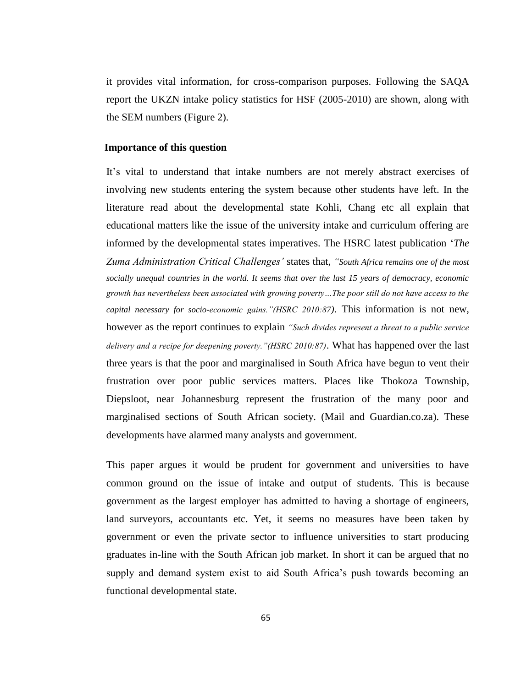it provides vital information, for cross-comparison purposes. Following the SAQA report the UKZN intake policy statistics for HSF (2005-2010) are shown, along with the SEM numbers (Figure 2).

#### **Importance of this question**

It"s vital to understand that intake numbers are not merely abstract exercises of involving new students entering the system because other students have left. In the literature read about the developmental state Kohli, Chang etc all explain that educational matters like the issue of the university intake and curriculum offering are informed by the developmental states imperatives. The HSRC latest publication "*The Zuma Administration Critical Challenges"* states that, *"South Africa remains one of the most socially unequal countries in the world. It seems that over the last 15 years of democracy, economic growth has nevertheless been associated with growing poverty…The poor still do not have access to the capital necessary for socio-economic gains."(HSRC 2010:87)*. This information is not new, however as the report continues to explain *"Such divides represent a threat to a public service delivery and a recipe for deepening poverty."(HSRC 2010:87)*. What has happened over the last three years is that the poor and marginalised in South Africa have begun to vent their frustration over poor public services matters. Places like Thokoza Township, Diepsloot, near Johannesburg represent the frustration of the many poor and marginalised sections of South African society. (Mail and Guardian.co.za). These developments have alarmed many analysts and government.

This paper argues it would be prudent for government and universities to have common ground on the issue of intake and output of students. This is because government as the largest employer has admitted to having a shortage of engineers, land surveyors, accountants etc. Yet, it seems no measures have been taken by government or even the private sector to influence universities to start producing graduates in-line with the South African job market. In short it can be argued that no supply and demand system exist to aid South Africa's push towards becoming an functional developmental state.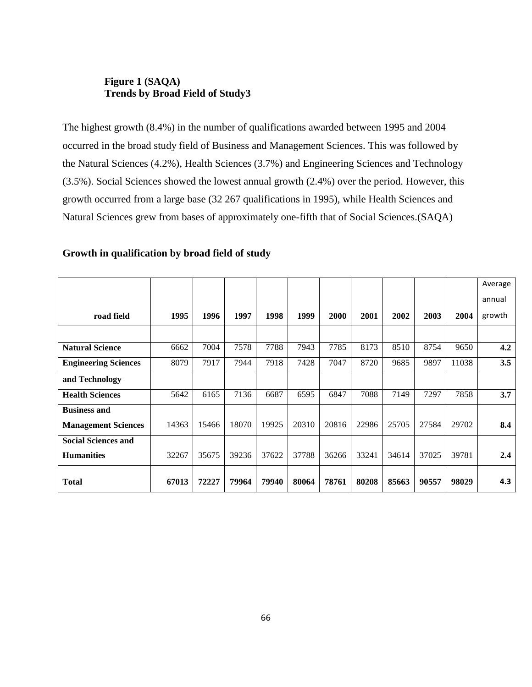#### **Figure 1 (SAQA) Trends by Broad Field of Study3**

The highest growth (8.4%) in the number of qualifications awarded between 1995 and 2004 occurred in the broad study field of Business and Management Sciences. This was followed by the Natural Sciences (4.2%), Health Sciences (3.7%) and Engineering Sciences and Technology (3.5%). Social Sciences showed the lowest annual growth (2.4%) over the period. However, this growth occurred from a large base (32 267 qualifications in 1995), while Health Sciences and Natural Sciences grew from bases of approximately one-fifth that of Social Sciences.(SAQA)

#### **Growth in qualification by broad field of study**

|                             |       |       |       |       |       |       |       |       |       |       | Average |
|-----------------------------|-------|-------|-------|-------|-------|-------|-------|-------|-------|-------|---------|
|                             |       |       |       |       |       |       |       |       |       |       | annual  |
| road field                  | 1995  | 1996  | 1997  | 1998  | 1999  | 2000  | 2001  | 2002  | 2003  | 2004  | growth  |
|                             |       |       |       |       |       |       |       |       |       |       |         |
| <b>Natural Science</b>      | 6662  | 7004  | 7578  | 7788  | 7943  | 7785  | 8173  | 8510  | 8754  | 9650  | 4.2     |
| <b>Engineering Sciences</b> | 8079  | 7917  | 7944  | 7918  | 7428  | 7047  | 8720  | 9685  | 9897  | 11038 | 3.5     |
| and Technology              |       |       |       |       |       |       |       |       |       |       |         |
| <b>Health Sciences</b>      | 5642  | 6165  | 7136  | 6687  | 6595  | 6847  | 7088  | 7149  | 7297  | 7858  | 3.7     |
| <b>Business and</b>         |       |       |       |       |       |       |       |       |       |       |         |
| <b>Management Sciences</b>  | 14363 | 15466 | 18070 | 19925 | 20310 | 20816 | 22986 | 25705 | 27584 | 29702 | 8.4     |
| <b>Social Sciences and</b>  |       |       |       |       |       |       |       |       |       |       |         |
| <b>Humanities</b>           | 32267 | 35675 | 39236 | 37622 | 37788 | 36266 | 33241 | 34614 | 37025 | 39781 | 2.4     |
| <b>Total</b>                | 67013 | 72227 | 79964 | 79940 | 80064 | 78761 | 80208 | 85663 | 90557 | 98029 | 4.3     |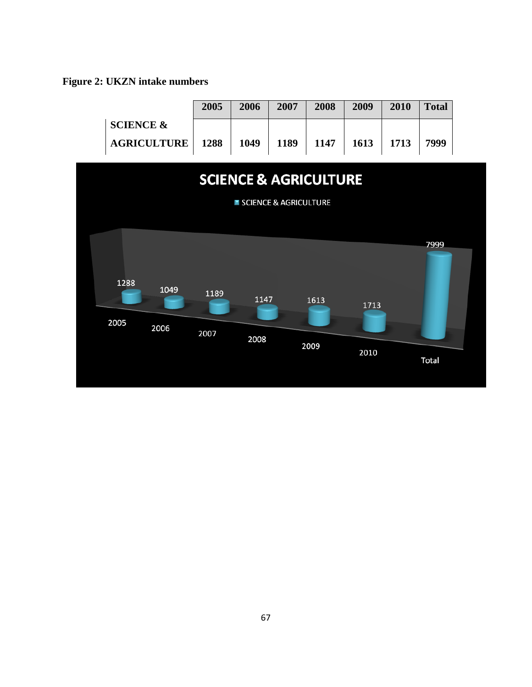**Figure 2: UKZN intake numbers**

|                                            | 2005         | 2006         | 2007                  | 2008                             | 2009         | 2010 | <b>Total</b>  |  |
|--------------------------------------------|--------------|--------------|-----------------------|----------------------------------|--------------|------|---------------|--|
| <b>SCIENCE &amp;</b><br><b>AGRICULTURE</b> | 1288         | 1049         | 1189                  | 1147                             | 1613         | 1713 | 7999          |  |
|                                            |              |              |                       | <b>SCIENCE &amp; AGRICULTURE</b> |              |      |               |  |
|                                            |              |              | SCIENCE & AGRICULTURE |                                  |              |      |               |  |
| 1288<br>1049<br>2005<br>2006               | 1189<br>2007 | 1147<br>2008 |                       | 1613<br>2009                     | 1713<br>2010 |      | 7999<br>Total |  |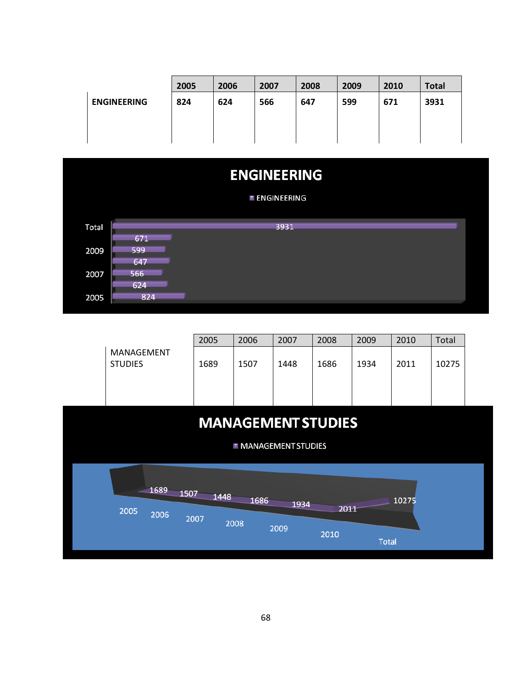|                    | 2005 | 2006 | 2007 | 2008 | 2009 | 2010 | <b>Total</b> |
|--------------------|------|------|------|------|------|------|--------------|
| <b>ENGINEERING</b> | 824  | 624  | 566  | 647  | 599  | 671  | 3931         |
|                    |      |      |      |      |      |      |              |
|                    |      |      |      |      |      |      |              |



|                              | 2005 | 2006 | 2007 | 2008 | 2009 | 2010 | Total |
|------------------------------|------|------|------|------|------|------|-------|
| MANAGEMENT<br><b>STUDIES</b> | 1689 | 1507 | 1448 | 1686 | 1934 | 2011 | 10275 |
|                              |      |      |      |      |      |      |       |
|                              |      |      |      |      |      |      |       |

# **MANAGEMENT STUDIES**

**MANAGEMENT STUDIES** 

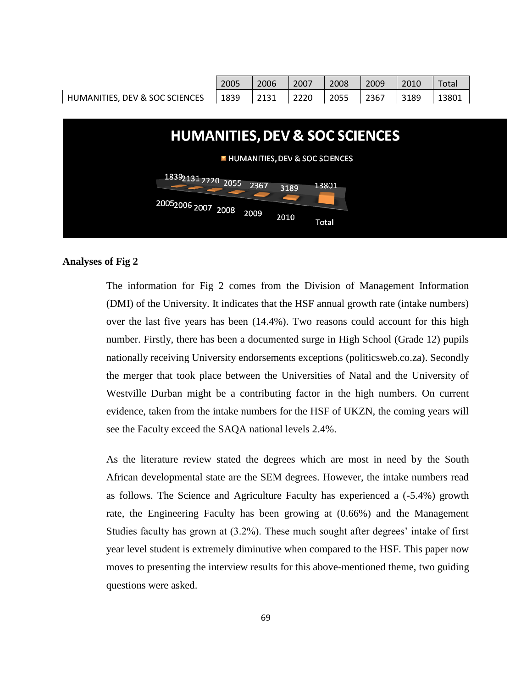

#### **Analyses of Fig 2**

The information for Fig 2 comes from the Division of Management Information (DMI) of the University. It indicates that the HSF annual growth rate (intake numbers) over the last five years has been (14.4%). Two reasons could account for this high number. Firstly, there has been a documented surge in High School (Grade 12) pupils nationally receiving University endorsements exceptions (politicsweb.co.za). Secondly the merger that took place between the Universities of Natal and the University of Westville Durban might be a contributing factor in the high numbers. On current evidence, taken from the intake numbers for the HSF of UKZN, the coming years will see the Faculty exceed the SAQA national levels 2.4%.

As the literature review stated the degrees which are most in need by the South African developmental state are the SEM degrees. However, the intake numbers read as follows. The Science and Agriculture Faculty has experienced a (-5.4%) growth rate, the Engineering Faculty has been growing at (0.66%) and the Management Studies faculty has grown at  $(3.2\%)$ . These much sought after degrees' intake of first year level student is extremely diminutive when compared to the HSF. This paper now moves to presenting the interview results for this above-mentioned theme, two guiding questions were asked.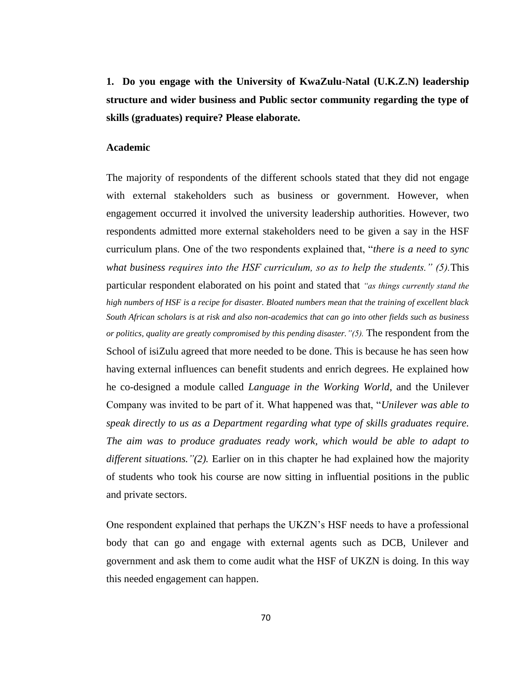**1. Do you engage with the University of KwaZulu-Natal (U.K.Z.N) leadership structure and wider business and Public sector community regarding the type of skills (graduates) require? Please elaborate.**

#### **Academic**

The majority of respondents of the different schools stated that they did not engage with external stakeholders such as business or government. However, when engagement occurred it involved the university leadership authorities. However, two respondents admitted more external stakeholders need to be given a say in the HSF curriculum plans. One of the two respondents explained that, "*there is a need to sync what business requires into the HSF curriculum, so as to help the students." (5).*This particular respondent elaborated on his point and stated that *"as things currently stand the high numbers of HSF is a recipe for disaster. Bloated numbers mean that the training of excellent black South African scholars is at risk and also non-academics that can go into other fields such as business or politics, quality are greatly compromised by this pending disaster."(5).* The respondent from the School of isiZulu agreed that more needed to be done. This is because he has seen how having external influences can benefit students and enrich degrees. He explained how he co-designed a module called *Language in the Working World*, and the Unilever Company was invited to be part of it. What happened was that, "*Unilever was able to speak directly to us as a Department regarding what type of skills graduates require. The aim was to produce graduates ready work, which would be able to adapt to different situations."(2).* Earlier on in this chapter he had explained how the majority of students who took his course are now sitting in influential positions in the public and private sectors.

One respondent explained that perhaps the UKZN"s HSF needs to have a professional body that can go and engage with external agents such as DCB, Unilever and government and ask them to come audit what the HSF of UKZN is doing. In this way this needed engagement can happen.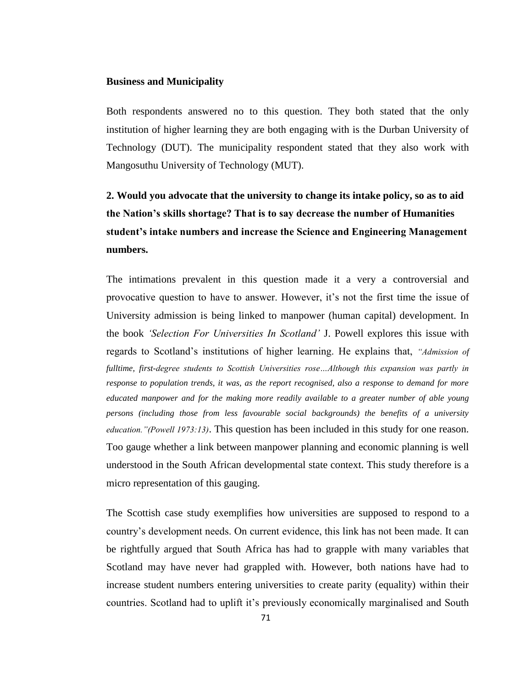#### **Business and Municipality**

Both respondents answered no to this question. They both stated that the only institution of higher learning they are both engaging with is the Durban University of Technology (DUT). The municipality respondent stated that they also work with Mangosuthu University of Technology (MUT).

# **2. Would you advocate that the university to change its intake policy, so as to aid the Nation's skills shortage? That is to say decrease the number of Humanities student's intake numbers and increase the Science and Engineering Management numbers.**

The intimations prevalent in this question made it a very a controversial and provocative question to have to answer. However, it"s not the first time the issue of University admission is being linked to manpower (human capital) development. In the book *"Selection For Universities In Scotland"* J. Powell explores this issue with regards to Scotland"s institutions of higher learning. He explains that, *"Admission of fulltime, first-degree students to Scottish Universities rose…Although this expansion was partly in response to population trends, it was, as the report recognised, also a response to demand for more educated manpower and for the making more readily available to a greater number of able young persons (including those from less favourable social backgrounds) the benefits of a university education."(Powell 1973:13)*. This question has been included in this study for one reason. Too gauge whether a link between manpower planning and economic planning is well understood in the South African developmental state context. This study therefore is a micro representation of this gauging.

The Scottish case study exemplifies how universities are supposed to respond to a country"s development needs. On current evidence, this link has not been made. It can be rightfully argued that South Africa has had to grapple with many variables that Scotland may have never had grappled with. However, both nations have had to increase student numbers entering universities to create parity (equality) within their countries. Scotland had to uplift it's previously economically marginalised and South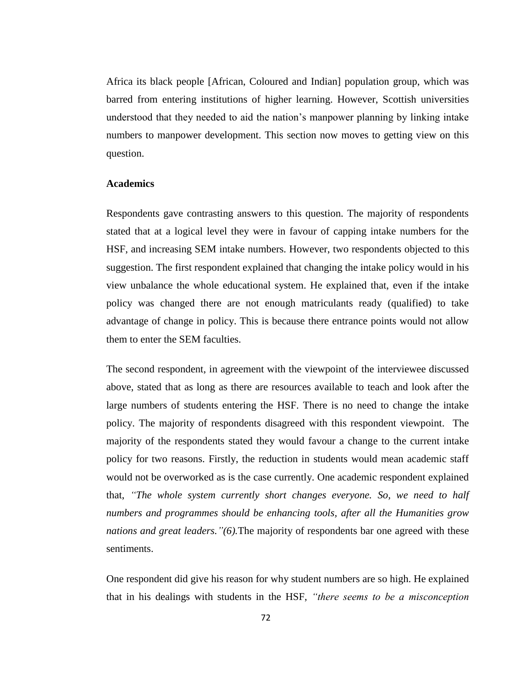Africa its black people [African, Coloured and Indian] population group, which was barred from entering institutions of higher learning. However, Scottish universities understood that they needed to aid the nation"s manpower planning by linking intake numbers to manpower development. This section now moves to getting view on this question.

#### **Academics**

Respondents gave contrasting answers to this question. The majority of respondents stated that at a logical level they were in favour of capping intake numbers for the HSF, and increasing SEM intake numbers. However, two respondents objected to this suggestion. The first respondent explained that changing the intake policy would in his view unbalance the whole educational system. He explained that, even if the intake policy was changed there are not enough matriculants ready (qualified) to take advantage of change in policy. This is because there entrance points would not allow them to enter the SEM faculties.

The second respondent, in agreement with the viewpoint of the interviewee discussed above, stated that as long as there are resources available to teach and look after the large numbers of students entering the HSF. There is no need to change the intake policy. The majority of respondents disagreed with this respondent viewpoint. The majority of the respondents stated they would favour a change to the current intake policy for two reasons. Firstly, the reduction in students would mean academic staff would not be overworked as is the case currently. One academic respondent explained that, *"The whole system currently short changes everyone. So, we need to half numbers and programmes should be enhancing tools, after all the Humanities grow nations and great leaders."(6).*The majority of respondents bar one agreed with these sentiments.

One respondent did give his reason for why student numbers are so high. He explained that in his dealings with students in the HSF, *"there seems to be a misconception*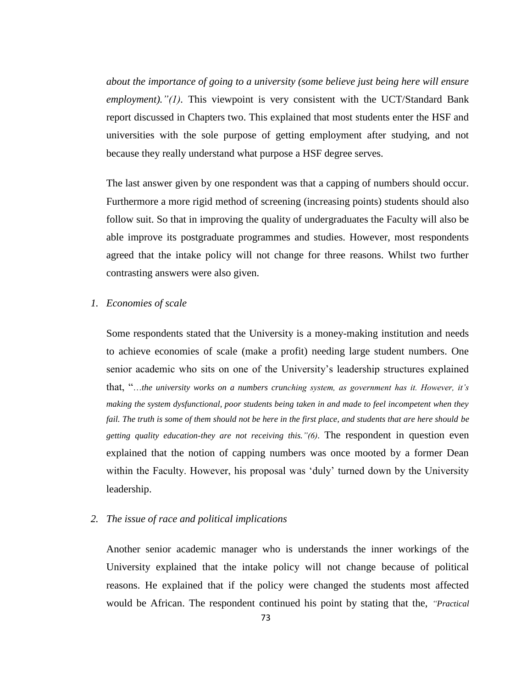*about the importance of going to a university (some believe just being here will ensure employment)."(1).* This viewpoint is very consistent with the UCT/Standard Bank report discussed in Chapters two. This explained that most students enter the HSF and universities with the sole purpose of getting employment after studying, and not because they really understand what purpose a HSF degree serves.

The last answer given by one respondent was that a capping of numbers should occur. Furthermore a more rigid method of screening (increasing points) students should also follow suit. So that in improving the quality of undergraduates the Faculty will also be able improve its postgraduate programmes and studies. However, most respondents agreed that the intake policy will not change for three reasons. Whilst two further contrasting answers were also given.

#### *1. Economies of scale*

Some respondents stated that the University is a money-making institution and needs to achieve economies of scale (make a profit) needing large student numbers. One senior academic who sits on one of the University's leadership structures explained that, "…*the university works on a numbers crunching system, as government has it. However, it"s making the system dysfunctional, poor students being taken in and made to feel incompetent when they fail. The truth is some of them should not be here in the first place, and students that are here should be getting quality education-they are not receiving this."(6).* The respondent in question even explained that the notion of capping numbers was once mooted by a former Dean within the Faculty. However, his proposal was 'duly' turned down by the University leadership.

#### *2. The issue of race and political implications*

Another senior academic manager who is understands the inner workings of the University explained that the intake policy will not change because of political reasons. He explained that if the policy were changed the students most affected would be African. The respondent continued his point by stating that the, *"Practical*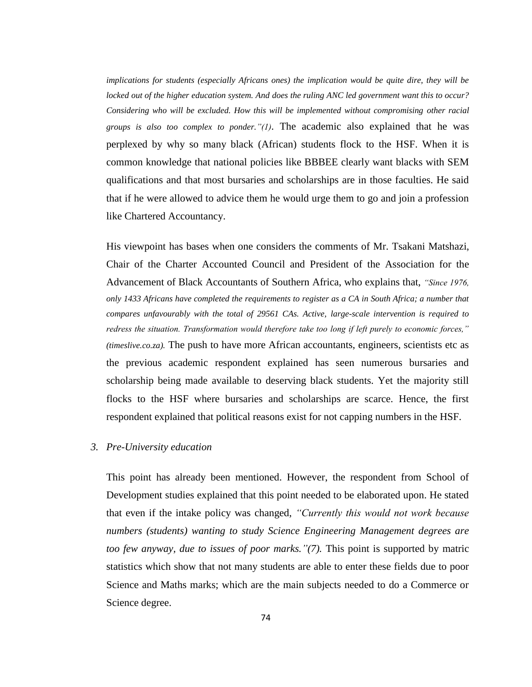*implications for students (especially Africans ones) the implication would be quite dire, they will be locked out of the higher education system. And does the ruling ANC led government want this to occur? Considering who will be excluded. How this will be implemented without compromising other racial groups is also too complex to ponder."(1)*. The academic also explained that he was perplexed by why so many black (African) students flock to the HSF. When it is common knowledge that national policies like BBBEE clearly want blacks with SEM qualifications and that most bursaries and scholarships are in those faculties. He said that if he were allowed to advice them he would urge them to go and join a profession like Chartered Accountancy.

His viewpoint has bases when one considers the comments of Mr. Tsakani Matshazi, Chair of the Charter Accounted Council and President of the Association for the Advancement of Black Accountants of Southern Africa, who explains that, *"Since 1976, only 1433 Africans have completed the requirements to register as a CA in South Africa; a number that compares unfavourably with the total of 29561 CAs. Active, large-scale intervention is required to redress the situation. Transformation would therefore take too long if left purely to economic forces," (timeslive.co.za).* The push to have more African accountants, engineers, scientists etc as the previous academic respondent explained has seen numerous bursaries and scholarship being made available to deserving black students. Yet the majority still flocks to the HSF where bursaries and scholarships are scarce. Hence, the first respondent explained that political reasons exist for not capping numbers in the HSF.

#### *3. Pre-University education*

This point has already been mentioned. However, the respondent from School of Development studies explained that this point needed to be elaborated upon. He stated that even if the intake policy was changed, *"Currently this would not work because numbers (students) wanting to study Science Engineering Management degrees are too few anyway, due to issues of poor marks."(7).* This point is supported by matric statistics which show that not many students are able to enter these fields due to poor Science and Maths marks; which are the main subjects needed to do a Commerce or Science degree.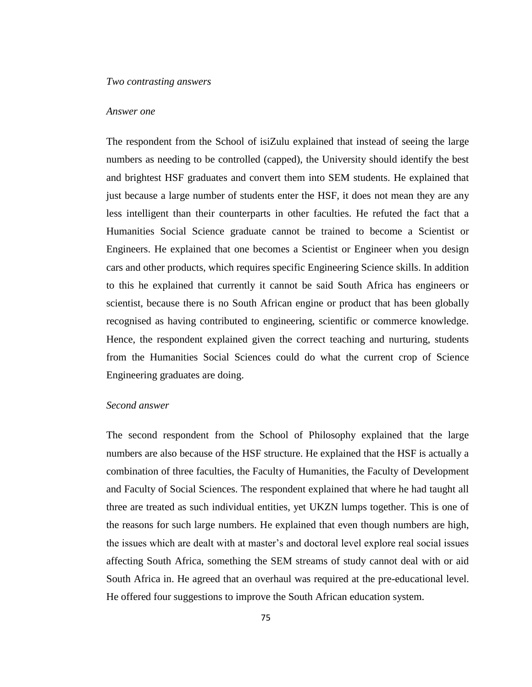### *Two contrasting answers*

#### *Answer one*

The respondent from the School of isiZulu explained that instead of seeing the large numbers as needing to be controlled (capped), the University should identify the best and brightest HSF graduates and convert them into SEM students. He explained that just because a large number of students enter the HSF, it does not mean they are any less intelligent than their counterparts in other faculties. He refuted the fact that a Humanities Social Science graduate cannot be trained to become a Scientist or Engineers. He explained that one becomes a Scientist or Engineer when you design cars and other products, which requires specific Engineering Science skills. In addition to this he explained that currently it cannot be said South Africa has engineers or scientist, because there is no South African engine or product that has been globally recognised as having contributed to engineering, scientific or commerce knowledge. Hence, the respondent explained given the correct teaching and nurturing, students from the Humanities Social Sciences could do what the current crop of Science Engineering graduates are doing.

### *Second answer*

The second respondent from the School of Philosophy explained that the large numbers are also because of the HSF structure. He explained that the HSF is actually a combination of three faculties, the Faculty of Humanities, the Faculty of Development and Faculty of Social Sciences. The respondent explained that where he had taught all three are treated as such individual entities, yet UKZN lumps together. This is one of the reasons for such large numbers. He explained that even though numbers are high, the issues which are dealt with at master"s and doctoral level explore real social issues affecting South Africa, something the SEM streams of study cannot deal with or aid South Africa in. He agreed that an overhaul was required at the pre-educational level. He offered four suggestions to improve the South African education system.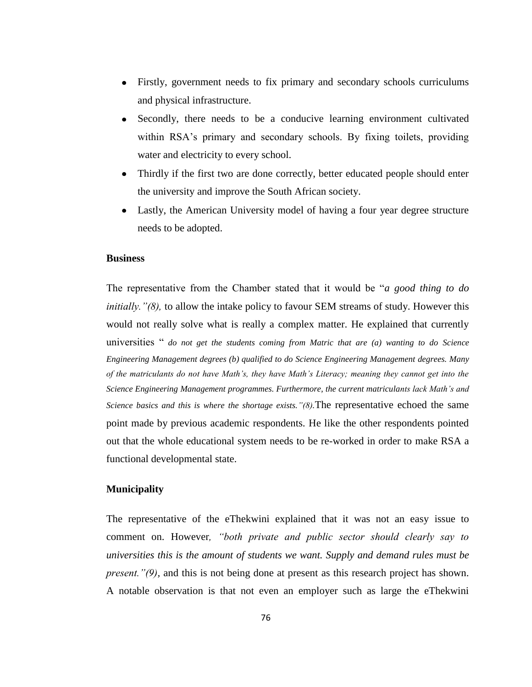- Firstly, government needs to fix primary and secondary schools curriculums and physical infrastructure.
- Secondly, there needs to be a conducive learning environment cultivated within RSA's primary and secondary schools. By fixing toilets, providing water and electricity to every school.
- Thirdly if the first two are done correctly, better educated people should enter the university and improve the South African society.
- Lastly, the American University model of having a four year degree structure needs to be adopted.

#### **Business**

The representative from the Chamber stated that it would be "*a good thing to do initially."(8),* to allow the intake policy to favour SEM streams of study. However this would not really solve what is really a complex matter. He explained that currently universities " *do not get the students coming from Matric that are (a) wanting to do Science Engineering Management degrees (b) qualified to do Science Engineering Management degrees. Many of the matriculants do not have Math"s, they have Math"s Literacy; meaning they cannot get into the Science Engineering Management programmes. Furthermore, the current matriculants lack Math"s and Science basics and this is where the shortage exists."(8).*The representative echoed the same point made by previous academic respondents. He like the other respondents pointed out that the whole educational system needs to be re-worked in order to make RSA a functional developmental state.

#### **Municipality**

The representative of the eThekwini explained that it was not an easy issue to comment on. However*, "both private and public sector should clearly say to universities this is the amount of students we want. Supply and demand rules must be present."(9),* and this is not being done at present as this research project has shown. A notable observation is that not even an employer such as large the eThekwini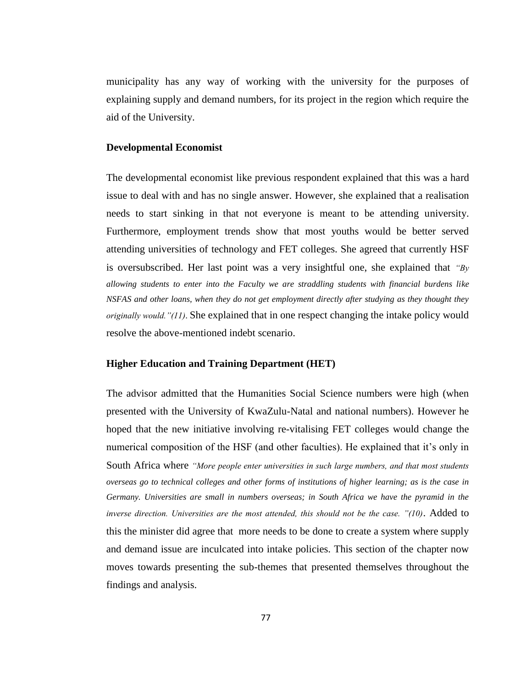municipality has any way of working with the university for the purposes of explaining supply and demand numbers, for its project in the region which require the aid of the University.

## **Developmental Economist**

The developmental economist like previous respondent explained that this was a hard issue to deal with and has no single answer. However, she explained that a realisation needs to start sinking in that not everyone is meant to be attending university. Furthermore, employment trends show that most youths would be better served attending universities of technology and FET colleges. She agreed that currently HSF is oversubscribed. Her last point was a very insightful one, she explained that *"By allowing students to enter into the Faculty we are straddling students with financial burdens like NSFAS and other loans, when they do not get employment directly after studying as they thought they originally would."(11)*. She explained that in one respect changing the intake policy would resolve the above-mentioned indebt scenario.

#### **Higher Education and Training Department (HET)**

The advisor admitted that the Humanities Social Science numbers were high (when presented with the University of KwaZulu-Natal and national numbers). However he hoped that the new initiative involving re-vitalising FET colleges would change the numerical composition of the HSF (and other faculties). He explained that it's only in South Africa where *"More people enter universities in such large numbers, and that most students overseas go to technical colleges and other forms of institutions of higher learning; as is the case in Germany. Universities are small in numbers overseas; in South Africa we have the pyramid in the inverse direction. Universities are the most attended, this should not be the case. "(10)*. Added to this the minister did agree that more needs to be done to create a system where supply and demand issue are inculcated into intake policies. This section of the chapter now moves towards presenting the sub-themes that presented themselves throughout the findings and analysis.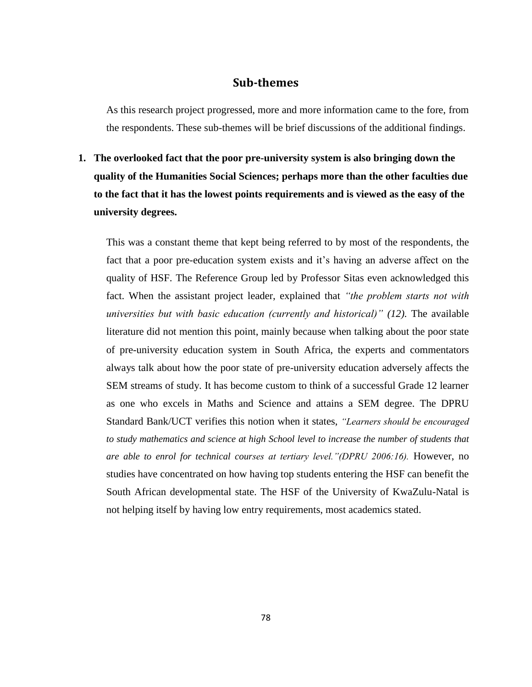## **Sub-themes**

As this research project progressed, more and more information came to the fore, from the respondents. These sub-themes will be brief discussions of the additional findings.

**1. The overlooked fact that the poor pre-university system is also bringing down the quality of the Humanities Social Sciences; perhaps more than the other faculties due to the fact that it has the lowest points requirements and is viewed as the easy of the university degrees.** 

This was a constant theme that kept being referred to by most of the respondents, the fact that a poor pre-education system exists and it's having an adverse affect on the quality of HSF. The Reference Group led by Professor Sitas even acknowledged this fact. When the assistant project leader, explained that *"the problem starts not with universities but with basic education (currently and historical)" (12).* The available literature did not mention this point, mainly because when talking about the poor state of pre-university education system in South Africa, the experts and commentators always talk about how the poor state of pre-university education adversely affects the SEM streams of study. It has become custom to think of a successful Grade 12 learner as one who excels in Maths and Science and attains a SEM degree. The DPRU Standard Bank/UCT verifies this notion when it states, *"Learners should be encouraged to study mathematics and science at high School level to increase the number of students that are able to enrol for technical courses at tertiary level."(DPRU 2006:16).* However, no studies have concentrated on how having top students entering the HSF can benefit the South African developmental state. The HSF of the University of KwaZulu-Natal is not helping itself by having low entry requirements, most academics stated.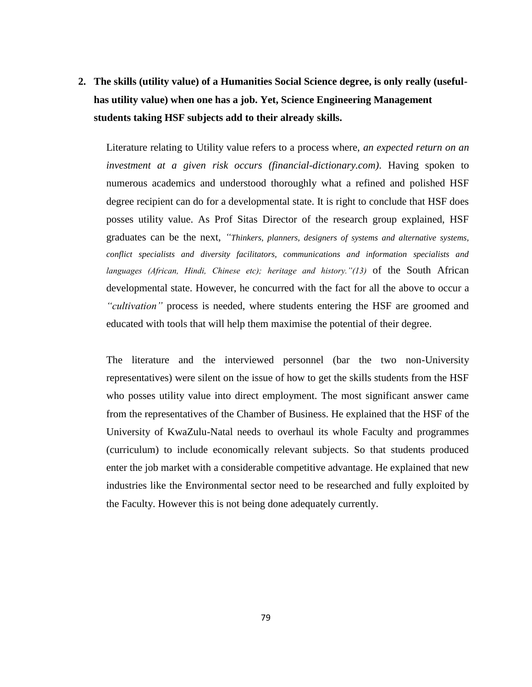**2. The skills (utility value) of a Humanities Social Science degree, is only really (usefulhas utility value) when one has a job. Yet, Science Engineering Management students taking HSF subjects add to their already skills.** 

Literature relating to Utility value refers to a process where, *an expected return on an investment at a given risk occurs (financial-dictionary.com)*. Having spoken to numerous academics and understood thoroughly what a refined and polished HSF degree recipient can do for a developmental state. It is right to conclude that HSF does posses utility value. As Prof Sitas Director of the research group explained, HSF graduates can be the next, *"Thinkers, planners, designers of systems and alternative systems, conflict specialists and diversity facilitators, communications and information specialists and languages (African, Hindi, Chinese etc); heritage and history."(13)* of the South African developmental state. However, he concurred with the fact for all the above to occur a *"cultivation"* process is needed, where students entering the HSF are groomed and educated with tools that will help them maximise the potential of their degree.

The literature and the interviewed personnel (bar the two non-University representatives) were silent on the issue of how to get the skills students from the HSF who posses utility value into direct employment. The most significant answer came from the representatives of the Chamber of Business. He explained that the HSF of the University of KwaZulu-Natal needs to overhaul its whole Faculty and programmes (curriculum) to include economically relevant subjects. So that students produced enter the job market with a considerable competitive advantage. He explained that new industries like the Environmental sector need to be researched and fully exploited by the Faculty. However this is not being done adequately currently.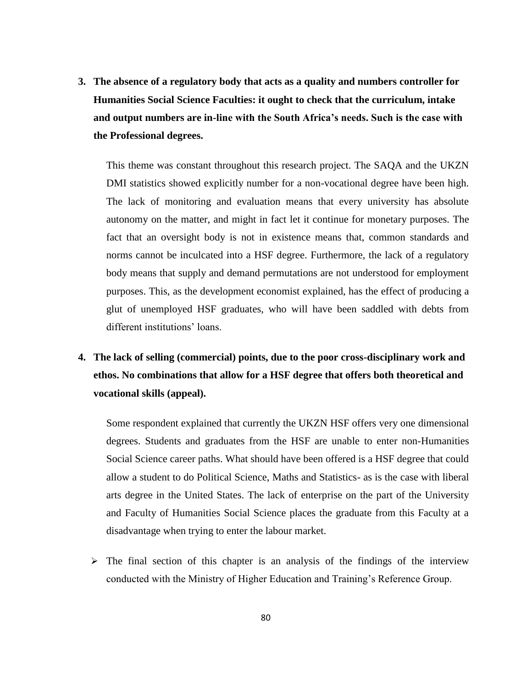**3. The absence of a regulatory body that acts as a quality and numbers controller for Humanities Social Science Faculties: it ought to check that the curriculum, intake and output numbers are in-line with the South Africa's needs. Such is the case with the Professional degrees.** 

This theme was constant throughout this research project. The SAQA and the UKZN DMI statistics showed explicitly number for a non-vocational degree have been high. The lack of monitoring and evaluation means that every university has absolute autonomy on the matter, and might in fact let it continue for monetary purposes. The fact that an oversight body is not in existence means that, common standards and norms cannot be inculcated into a HSF degree. Furthermore, the lack of a regulatory body means that supply and demand permutations are not understood for employment purposes. This, as the development economist explained, has the effect of producing a glut of unemployed HSF graduates, who will have been saddled with debts from different institutions' loans.

# **4. The lack of selling (commercial) points, due to the poor cross-disciplinary work and ethos. No combinations that allow for a HSF degree that offers both theoretical and vocational skills (appeal).**

Some respondent explained that currently the UKZN HSF offers very one dimensional degrees. Students and graduates from the HSF are unable to enter non-Humanities Social Science career paths. What should have been offered is a HSF degree that could allow a student to do Political Science, Maths and Statistics- as is the case with liberal arts degree in the United States. The lack of enterprise on the part of the University and Faculty of Humanities Social Science places the graduate from this Faculty at a disadvantage when trying to enter the labour market.

 $\triangleright$  The final section of this chapter is an analysis of the findings of the interview conducted with the Ministry of Higher Education and Training"s Reference Group.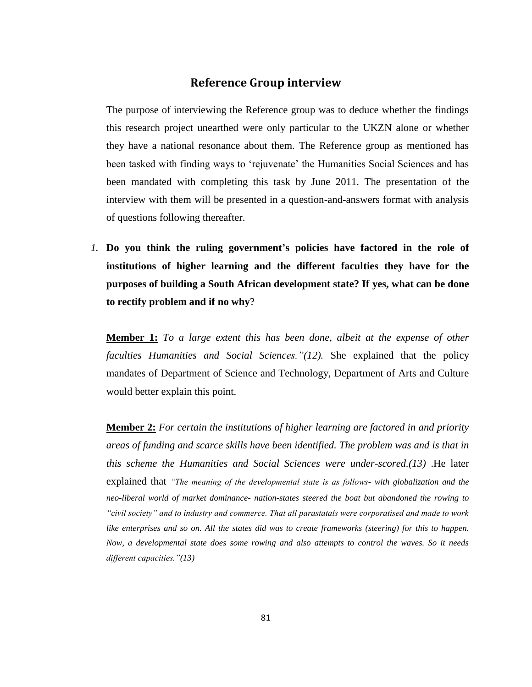## **Reference Group interview**

The purpose of interviewing the Reference group was to deduce whether the findings this research project unearthed were only particular to the UKZN alone or whether they have a national resonance about them. The Reference group as mentioned has been tasked with finding ways to "rejuvenate" the Humanities Social Sciences and has been mandated with completing this task by June 2011. The presentation of the interview with them will be presented in a question-and-answers format with analysis of questions following thereafter.

*1.* **Do you think the ruling government's policies have factored in the role of institutions of higher learning and the different faculties they have for the purposes of building a South African development state? If yes, what can be done to rectify problem and if no why**?

**Member 1:** *To a large extent this has been done, albeit at the expense of other faculties Humanities and Social Sciences."(12).* She explained that the policy mandates of Department of Science and Technology, Department of Arts and Culture would better explain this point.

**Member 2:** *For certain the institutions of higher learning are factored in and priority areas of funding and scarce skills have been identified. The problem was and is that in this scheme the Humanities and Social Sciences were under-scored.(13)* .He later explained that *"The meaning of the developmental state is as follows- with globalization and the neo-liberal world of market dominance- nation-states steered the boat but abandoned the rowing to "civil society" and to industry and commerce. That all parastatals were corporatised and made to work like enterprises and so on. All the states did was to create frameworks (steering) for this to happen. Now, a developmental state does some rowing and also attempts to control the waves. So it needs different capacities."(13)*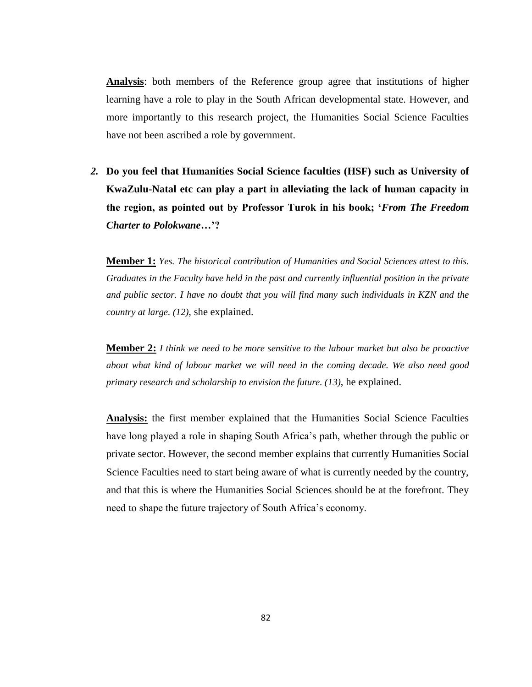**Analysis**: both members of the Reference group agree that institutions of higher learning have a role to play in the South African developmental state. However, and more importantly to this research project, the Humanities Social Science Faculties have not been ascribed a role by government.

*2.* **Do you feel that Humanities Social Science faculties (HSF) such as University of KwaZulu-Natal etc can play a part in alleviating the lack of human capacity in the region, as pointed out by Professor Turok in his book; '***From The Freedom Charter to Polokwane***…'?**

**Member 1:** *Yes. The historical contribution of Humanities and Social Sciences attest to this. Graduates in the Faculty have held in the past and currently influential position in the private and public sector. I have no doubt that you will find many such individuals in KZN and the country at large. (12)*, she explained.

**Member 2:** *I think we need to be more sensitive to the labour market but also be proactive about what kind of labour market we will need in the coming decade. We also need good primary research and scholarship to envision the future. (13)*, he explained.

**Analysis:** the first member explained that the Humanities Social Science Faculties have long played a role in shaping South Africa"s path, whether through the public or private sector. However, the second member explains that currently Humanities Social Science Faculties need to start being aware of what is currently needed by the country, and that this is where the Humanities Social Sciences should be at the forefront. They need to shape the future trajectory of South Africa's economy.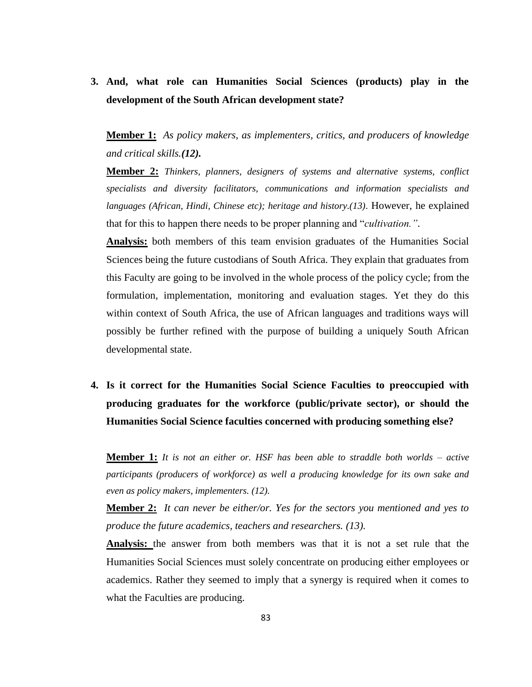**3. And, what role can Humanities Social Sciences (products) play in the development of the South African development state?** 

**Member 1:** *As policy makers, as implementers, critics, and producers of knowledge and critical skills.(12).*

**Member 2:** *Thinkers, planners, designers of systems and alternative systems, conflict specialists and diversity facilitators, communications and information specialists and languages (African, Hindi, Chinese etc); heritage and history.(13)*. However, he explained that for this to happen there needs to be proper planning and "*cultivation."*.

**Analysis:** both members of this team envision graduates of the Humanities Social Sciences being the future custodians of South Africa. They explain that graduates from this Faculty are going to be involved in the whole process of the policy cycle; from the formulation, implementation, monitoring and evaluation stages. Yet they do this within context of South Africa, the use of African languages and traditions ways will possibly be further refined with the purpose of building a uniquely South African developmental state.

**4. Is it correct for the Humanities Social Science Faculties to preoccupied with producing graduates for the workforce (public/private sector), or should the Humanities Social Science faculties concerned with producing something else?**

**Member 1:** *It is not an either or. HSF has been able to straddle both worlds – active participants (producers of workforce) as well a producing knowledge for its own sake and even as policy makers, implementers. (12).*

**Member 2:** *It can never be either/or. Yes for the sectors you mentioned and yes to produce the future academics, teachers and researchers. (13).*

**Analysis:** the answer from both members was that it is not a set rule that the Humanities Social Sciences must solely concentrate on producing either employees or academics. Rather they seemed to imply that a synergy is required when it comes to what the Faculties are producing.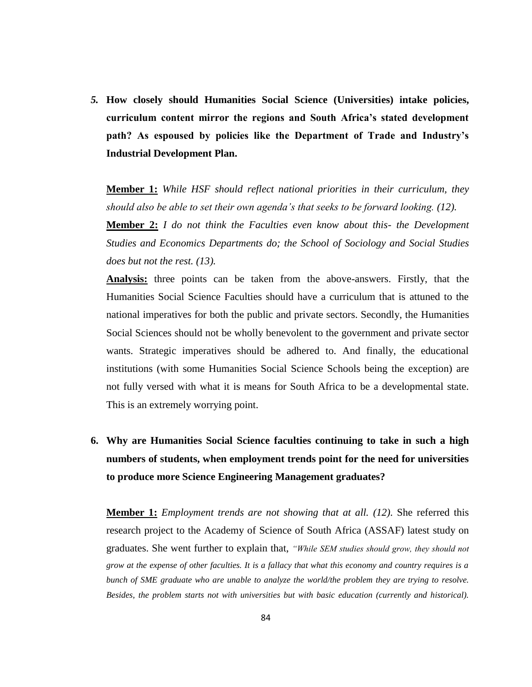*5.* **How closely should Humanities Social Science (Universities) intake policies, curriculum content mirror the regions and South Africa's stated development path? As espoused by policies like the Department of Trade and Industry's Industrial Development Plan.** 

**Member 1:** *While HSF should reflect national priorities in their curriculum, they should also be able to set their own agenda"s that seeks to be forward looking. (12).*

**Member 2:** *I do not think the Faculties even know about this- the Development Studies and Economics Departments do; the School of Sociology and Social Studies does but not the rest. (13).*

**Analysis:** three points can be taken from the above-answers. Firstly, that the Humanities Social Science Faculties should have a curriculum that is attuned to the national imperatives for both the public and private sectors. Secondly, the Humanities Social Sciences should not be wholly benevolent to the government and private sector wants. Strategic imperatives should be adhered to. And finally, the educational institutions (with some Humanities Social Science Schools being the exception) are not fully versed with what it is means for South Africa to be a developmental state. This is an extremely worrying point.

**6. Why are Humanities Social Science faculties continuing to take in such a high numbers of students, when employment trends point for the need for universities to produce more Science Engineering Management graduates?**

**Member 1:** *Employment trends are not showing that at all. (12)*. She referred this research project to the Academy of Science of South Africa (ASSAF) latest study on graduates. She went further to explain that, *"While SEM studies should grow, they should not grow at the expense of other faculties. It is a fallacy that what this economy and country requires is a bunch of SME graduate who are unable to analyze the world/the problem they are trying to resolve. Besides, the problem starts not with universities but with basic education (currently and historical).*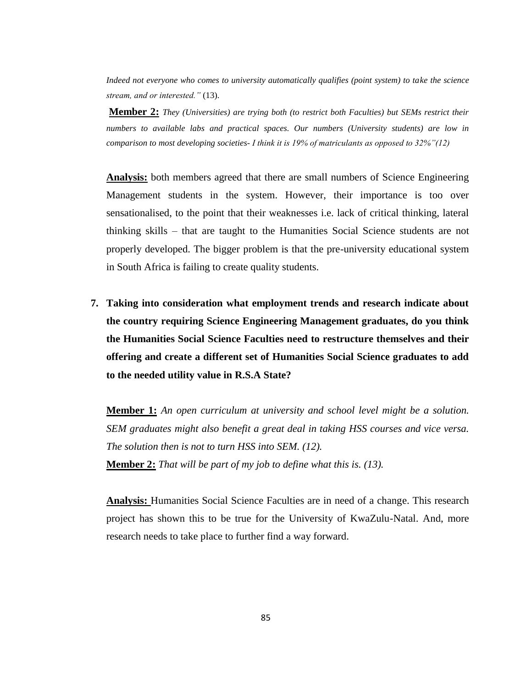*Indeed not everyone who comes to university automatically qualifies (point system) to take the science stream, and or interested."* (13).

**Member 2:** *They (Universities) are trying both (to restrict both Faculties) but SEMs restrict their numbers to available labs and practical spaces. Our numbers (University students) are low in comparison to most developing societies- I think it is 19% of matriculants as opposed to 32%"(12)*

**Analysis:** both members agreed that there are small numbers of Science Engineering Management students in the system. However, their importance is too over sensationalised, to the point that their weaknesses i.e. lack of critical thinking, lateral thinking skills – that are taught to the Humanities Social Science students are not properly developed. The bigger problem is that the pre-university educational system in South Africa is failing to create quality students.

**7. Taking into consideration what employment trends and research indicate about the country requiring Science Engineering Management graduates, do you think the Humanities Social Science Faculties need to restructure themselves and their offering and create a different set of Humanities Social Science graduates to add to the needed utility value in R.S.A State?**

**Member 1:** *An open curriculum at university and school level might be a solution. SEM graduates might also benefit a great deal in taking HSS courses and vice versa. The solution then is not to turn HSS into SEM. (12).* **Member 2:** *That will be part of my job to define what this is. (13).*

**Analysis:** Humanities Social Science Faculties are in need of a change. This research project has shown this to be true for the University of KwaZulu-Natal. And, more research needs to take place to further find a way forward.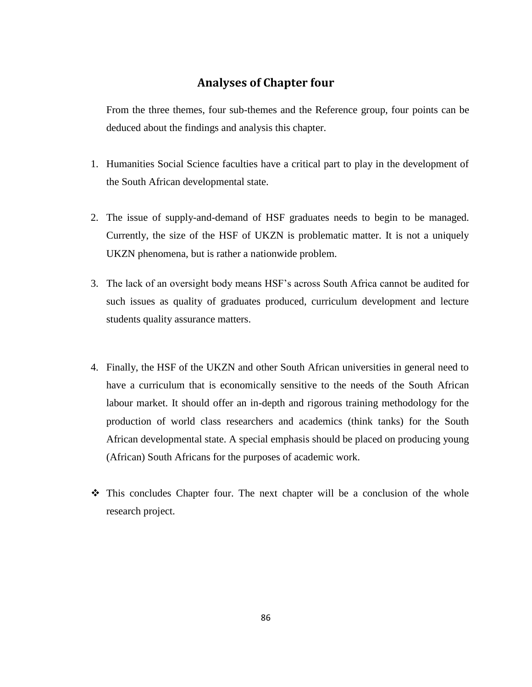## **Analyses of Chapter four**

From the three themes, four sub-themes and the Reference group, four points can be deduced about the findings and analysis this chapter.

- 1. Humanities Social Science faculties have a critical part to play in the development of the South African developmental state.
- 2. The issue of supply-and-demand of HSF graduates needs to begin to be managed. Currently, the size of the HSF of UKZN is problematic matter. It is not a uniquely UKZN phenomena, but is rather a nationwide problem.
- 3. The lack of an oversight body means HSF"s across South Africa cannot be audited for such issues as quality of graduates produced, curriculum development and lecture students quality assurance matters.
- 4. Finally, the HSF of the UKZN and other South African universities in general need to have a curriculum that is economically sensitive to the needs of the South African labour market. It should offer an in-depth and rigorous training methodology for the production of world class researchers and academics (think tanks) for the South African developmental state. A special emphasis should be placed on producing young (African) South Africans for the purposes of academic work.
- This concludes Chapter four. The next chapter will be a conclusion of the whole research project.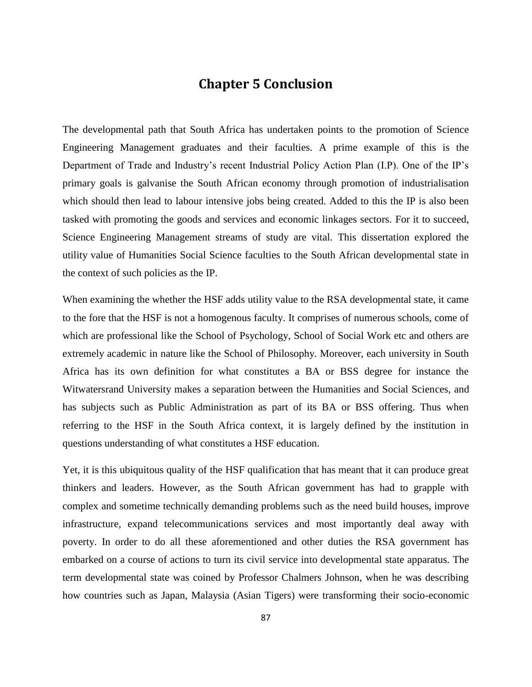## **Chapter 5 Conclusion**

The developmental path that South Africa has undertaken points to the promotion of Science Engineering Management graduates and their faculties. A prime example of this is the Department of Trade and Industry's recent Industrial Policy Action Plan (I.P). One of the IP's primary goals is galvanise the South African economy through promotion of industrialisation which should then lead to labour intensive jobs being created. Added to this the IP is also been tasked with promoting the goods and services and economic linkages sectors*.* For it to succeed, Science Engineering Management streams of study are vital. This dissertation explored the utility value of Humanities Social Science faculties to the South African developmental state in the context of such policies as the IP.

When examining the whether the HSF adds utility value to the RSA developmental state, it came to the fore that the HSF is not a homogenous faculty. It comprises of numerous schools, come of which are professional like the School of Psychology, School of Social Work etc and others are extremely academic in nature like the School of Philosophy. Moreover, each university in South Africa has its own definition for what constitutes a BA or BSS degree for instance the Witwatersrand University makes a separation between the Humanities and Social Sciences, and has subjects such as Public Administration as part of its BA or BSS offering. Thus when referring to the HSF in the South Africa context, it is largely defined by the institution in questions understanding of what constitutes a HSF education.

Yet, it is this ubiquitous quality of the HSF qualification that has meant that it can produce great thinkers and leaders. However, as the South African government has had to grapple with complex and sometime technically demanding problems such as the need build houses, improve infrastructure, expand telecommunications services and most importantly deal away with poverty. In order to do all these aforementioned and other duties the RSA government has embarked on a course of actions to turn its civil service into developmental state apparatus. The term developmental state was coined by Professor Chalmers Johnson, when he was describing how countries such as Japan, Malaysia (Asian Tigers) were transforming their socio-economic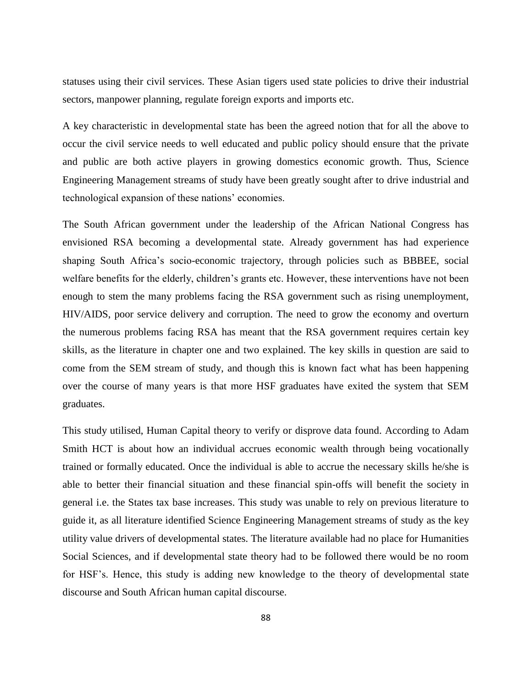statuses using their civil services. These Asian tigers used state policies to drive their industrial sectors, manpower planning, regulate foreign exports and imports etc.

A key characteristic in developmental state has been the agreed notion that for all the above to occur the civil service needs to well educated and public policy should ensure that the private and public are both active players in growing domestics economic growth. Thus, Science Engineering Management streams of study have been greatly sought after to drive industrial and technological expansion of these nations" economies.

The South African government under the leadership of the African National Congress has envisioned RSA becoming a developmental state. Already government has had experience shaping South Africa"s socio-economic trajectory, through policies such as BBBEE, social welfare benefits for the elderly, children's grants etc. However, these interventions have not been enough to stem the many problems facing the RSA government such as rising unemployment, HIV/AIDS, poor service delivery and corruption. The need to grow the economy and overturn the numerous problems facing RSA has meant that the RSA government requires certain key skills, as the literature in chapter one and two explained. The key skills in question are said to come from the SEM stream of study, and though this is known fact what has been happening over the course of many years is that more HSF graduates have exited the system that SEM graduates.

This study utilised, Human Capital theory to verify or disprove data found. According to Adam Smith HCT is about how an individual accrues economic wealth through being vocationally trained or formally educated. Once the individual is able to accrue the necessary skills he/she is able to better their financial situation and these financial spin-offs will benefit the society in general i.e. the States tax base increases. This study was unable to rely on previous literature to guide it, as all literature identified Science Engineering Management streams of study as the key utility value drivers of developmental states. The literature available had no place for Humanities Social Sciences, and if developmental state theory had to be followed there would be no room for HSF"s. Hence, this study is adding new knowledge to the theory of developmental state discourse and South African human capital discourse.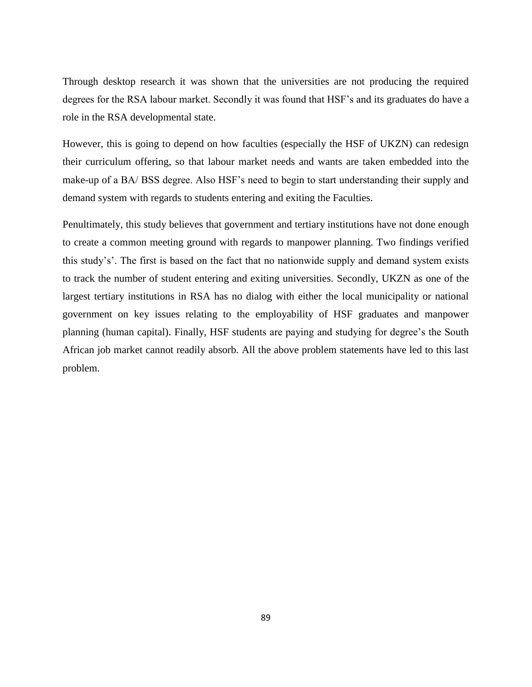Through desktop research it was shown that the universities are not producing the required degrees for the RSA labour market. Secondly it was found that HSF's and its graduates do have a role in the RSA developmental state.

However, this is going to depend on how faculties (especially the HSF of UKZN) can redesign their curriculum offering, so that labour market needs and wants are taken embedded into the make-up of a BA/ BSS degree. Also HSF's need to begin to start understanding their supply and demand system with regards to students entering and exiting the Faculties.

Penultimately, this study believes that government and tertiary institutions have not done enough to create a common meeting ground with regards to manpower planning. Two findings verified this study"s". The first is based on the fact that no nationwide supply and demand system exists to track the number of student entering and exiting universities. Secondly, UKZN as one of the largest tertiary institutions in RSA has no dialog with either the local municipality or national government on key issues relating to the employability of HSF graduates and manpower planning (human capital). Finally, HSF students are paying and studying for degree"s the South African job market cannot readily absorb. All the above problem statements have led to this last problem.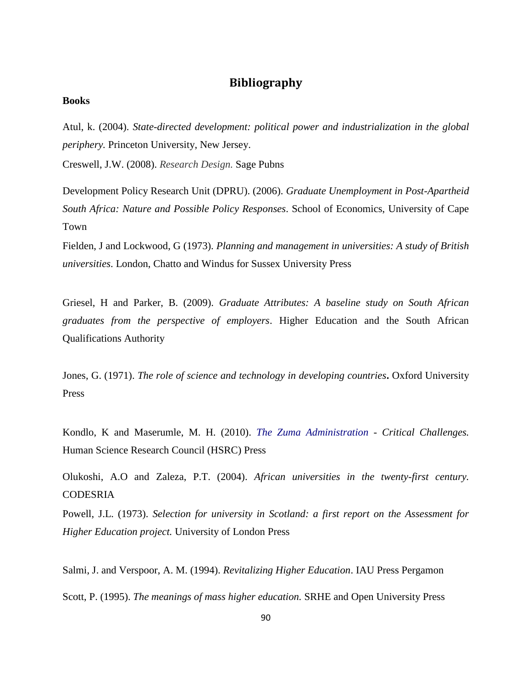## **Bibliography**

## **Books**

Atul, k. (2004). *State-directed development: political power and industrialization in the global periphery.* Princeton University, New Jersey.

Creswell, J.W. (2008). *Research Design.* Sage Pubns

Development Policy Research Unit (DPRU). (2006). *Graduate Unemployment in Post-Apartheid South Africa: Nature and Possible Policy Responses*. School of Economics, University of Cape Town

Fielden, J and Lockwood, G (1973). *Planning and management in universities: A study of British universities*. London, Chatto and Windus for Sussex University Press

Griesel, H and Parker, B. (2009). *Graduate Attributes: A baseline study on South African graduates from the perspective of employers*. Higher Education and the South African Qualifications Authority

Jones, G. (1971). *The role of science and technology in developing countries***.** Oxford University Press

Kondlo, K and Maserumle, M. H. (2010). *The Zuma Administration - Critical Challenges.*  Human Science Research Council (HSRC) Press

Olukoshi, A.O and Zaleza, P.T. (2004). *African universities in the twenty-first century.* CODESRIA

Powell, J.L. (1973). *Selection for university in Scotland: a first report on the Assessment for Higher Education project.* University of London Press

Salmi, J. and Verspoor, A. M. (1994). *Revitalizing Higher Education*. IAU Press Pergamon Scott, P. (1995). *The meanings of mass higher education.* SRHE and Open University Press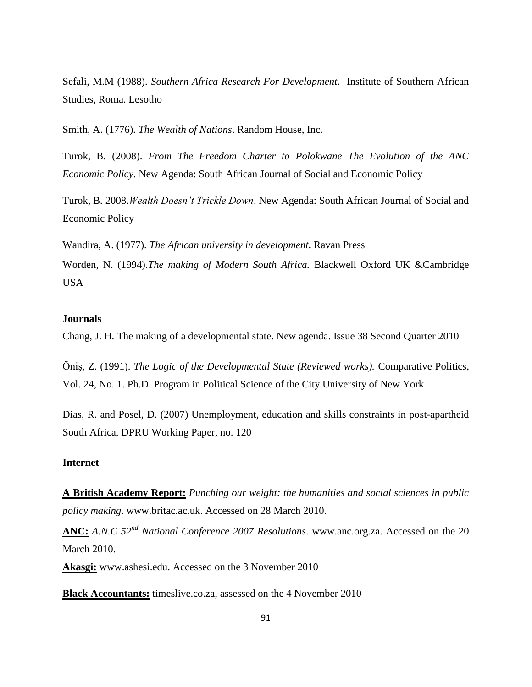Sefali, M.M (1988). *Southern Africa Research For Development*. Institute of Southern African Studies, Roma. Lesotho

Smith, A. (1776). *The Wealth of Nations*. Random House, Inc.

Turok, B. (2008). *From The Freedom Charter to Polokwane The Evolution of the ANC Economic Policy*. New Agenda: South African Journal of Social and Economic Policy

Turok, B. 2008.*Wealth Doesn"t Trickle Down*. New Agenda: South African Journal of Social and Economic Policy

Wandira, A. (1977). *The African university in development***.** Ravan Press Worden, N. (1994).*The making of Modern South Africa.* Blackwell Oxford UK &Cambridge USA

## **Journals**

Chang, J. H. The making of a developmental state. New agenda. Issue 38 Second Quarter 2010

Öniş, Z. (1991). *The Logic of the Developmental State (Reviewed works).* Comparative Politics, Vol. 24, No. 1. Ph.D. Program in Political Science of the City University of New York

Dias, R. and Posel, D. (2007) Unemployment, education and skills constraints in post-apartheid South Africa. DPRU Working Paper, no. 120

## **Internet**

**A British Academy Report:** *Punching our weight: the humanities and social sciences in public policy making*. www.britac.ac.uk. Accessed on 28 March 2010.

**ANC:** *A.N.C 52nd National Conference 2007 Resolutions*. www.anc.org.za. Accessed on the 20 March 2010.

**Akasgi:** www.ashesi.edu. Accessed on the 3 November 2010

**Black Accountants:** timeslive.co.za, assessed on the 4 November 2010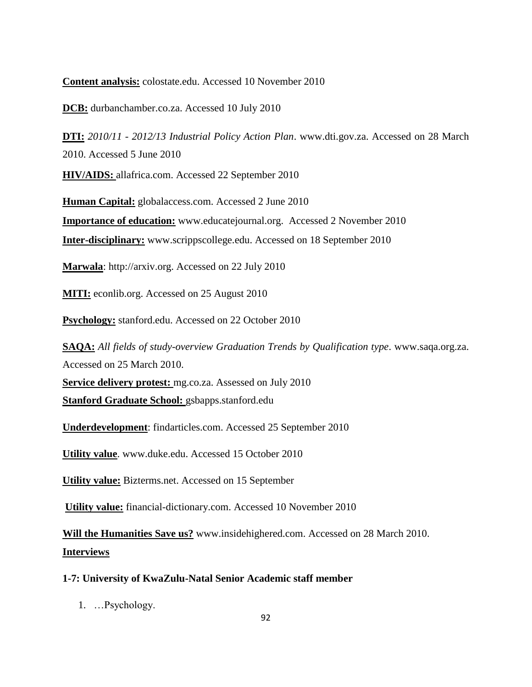**Content analysis:** colostate.edu. Accessed 10 November 2010

**DCB:** durbanchamber.co.za. Accessed 10 July 2010

**DTI:** *2010/11 - 2012/13 Industrial Policy Action Plan*. www.dti.gov.za. Accessed on 28 March 2010. Accessed 5 June 2010

**HIV/AIDS:** allafrica.com. Accessed 22 September 2010

**Human Capital:** globalaccess.com. Accessed 2 June 2010 **Importance of education:** www.educatejournal.org. Accessed 2 November 2010 **Inter-disciplinary:** www.scrippscollege.edu. Accessed on 18 September 2010

**Marwala**: http://arxiv.org. Accessed on 22 July 2010

**MITI:** econlib.org. Accessed on 25 August 2010

**Psychology:** stanford.edu. Accessed on 22 October 2010

**SAQA:** *All fields of study-overview Graduation Trends by Qualification type*. www.saqa.org.za. Accessed on 25 March 2010.

**Service delivery protest:** mg.co.za. Assessed on July 2010

**Stanford Graduate School:** gsbapps.stanford.edu

**Underdevelopment**: findarticles.com. Accessed 25 September 2010

**Utility value**. www.duke.edu. Accessed 15 October 2010

**Utility value:** Bizterms.net. Accessed on 15 September

**Utility value:** financial-dictionary.com. Accessed 10 November 2010

**Will the Humanities Save us?** www.insidehighered.com. Accessed on 28 March 2010. **Interviews**

## **1-7: University of KwaZulu-Natal Senior Academic staff member**

1. …Psychology.